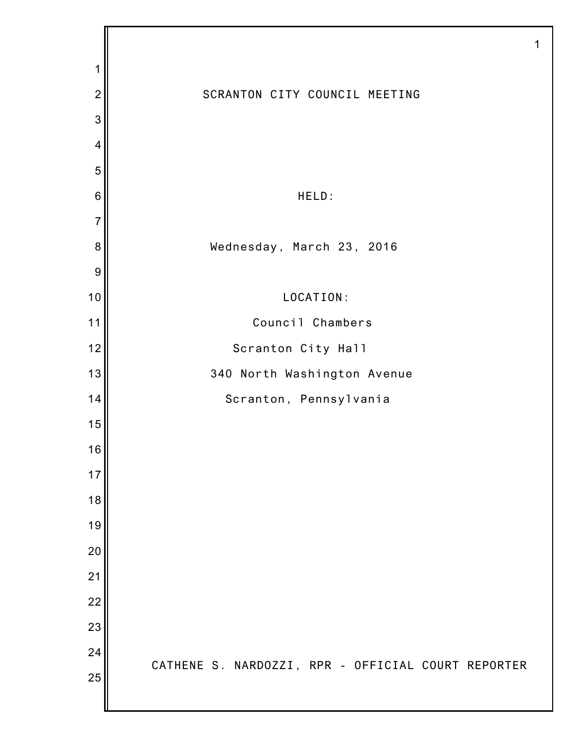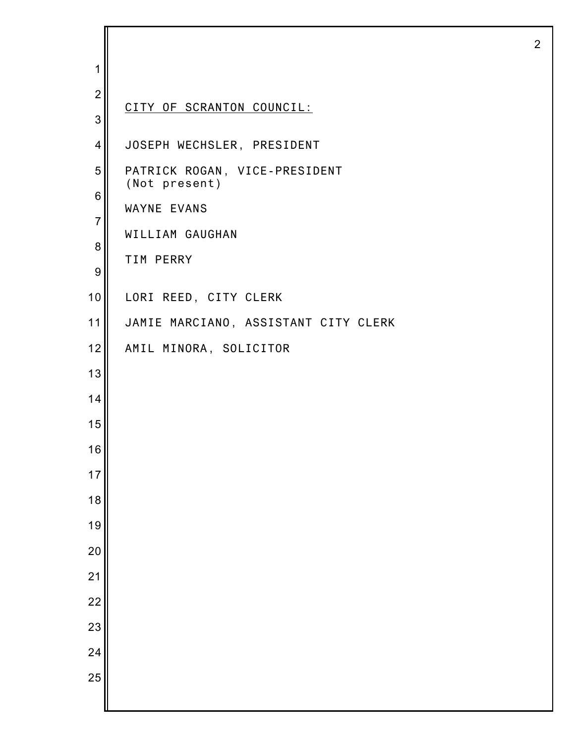| 1                |                                                |
|------------------|------------------------------------------------|
| $\overline{2}$   |                                                |
| 3                | CITY OF SCRANTON COUNCIL:                      |
| $\overline{4}$   | JOSEPH WECHSLER, PRESIDENT                     |
| 5                | PATRICK ROGAN, VICE-PRESIDENT<br>(Not present) |
| 6                | WAYNE EVANS                                    |
| $\overline{7}$   | WILLIAM GAUGHAN                                |
| 8                | TIM PERRY                                      |
| $\boldsymbol{9}$ |                                                |
| 10               | LORI REED, CITY CLERK                          |
| 11               | JAMIE MARCIANO, ASSISTANT CITY CLERK           |
| 12               | AMIL MINORA, SOLICITOR                         |
| 13               |                                                |
| 14               |                                                |
| 15               |                                                |
| 16               |                                                |
| 17               |                                                |
| 18               |                                                |
| 19               |                                                |
| 20               |                                                |
| 21               |                                                |
| 22               |                                                |
| 23               |                                                |
| 24               |                                                |
| 25               |                                                |
|                  |                                                |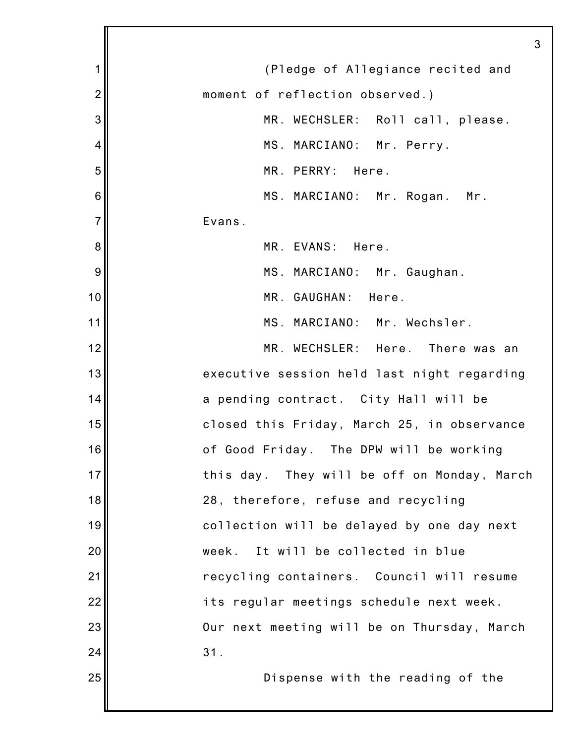|                | 3                                           |
|----------------|---------------------------------------------|
| 1              | (Pledge of Allegiance recited and           |
| $\overline{2}$ | moment of reflection observed.)             |
| 3              | MR. WECHSLER: Roll call, please.            |
| 4              | MS. MARCIANO: Mr. Perry.                    |
| 5              | MR. PERRY: Here.                            |
| 6              | MS. MARCIANO: Mr. Rogan. Mr.                |
| $\overline{7}$ | Evans.                                      |
| 8              | MR. EVANS: Here.                            |
| 9              | MS. MARCIANO: Mr. Gaughan.                  |
| 10             | MR. GAUGHAN: Here.                          |
| 11             | MS. MARCIANO: Mr. Wechsler.                 |
| 12             | MR. WECHSLER: Here. There was an            |
| 13             | executive session held last night regarding |
| 14             | a pending contract. City Hall will be       |
| 15             | closed this Friday, March 25, in observance |
| 16             | of Good Friday. The DPW will be working     |
| 17             | this day. They will be off on Monday, March |
| 18             | 28, therefore, refuse and recycling         |
| 19             | collection will be delayed by one day next  |
| 20             | It will be collected in blue<br>week.       |
| 21             | recycling containers. Council will resume   |
| 22             | its regular meetings schedule next week.    |
| 23             | Our next meeting will be on Thursday, March |
| 24             | 31.                                         |
| 25             | Dispense with the reading of the            |
|                |                                             |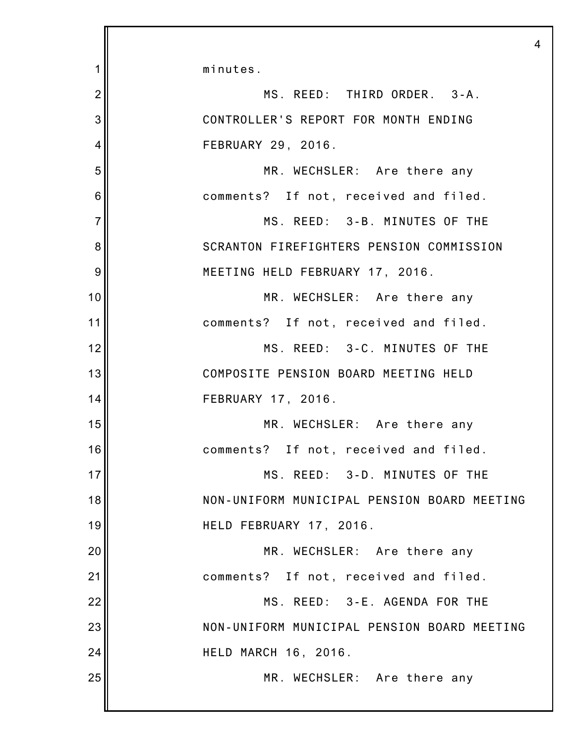|                | $\overline{4}$                              |
|----------------|---------------------------------------------|
| 1              | minutes.                                    |
| $\overline{2}$ | MS. REED: THIRD ORDER. 3-A.                 |
| 3              | CONTROLLER'S REPORT FOR MONTH ENDING        |
| 4              | FEBRUARY 29, 2016.                          |
| 5              | MR. WECHSLER: Are there any                 |
| 6              | comments? If not, received and filed.       |
| $\overline{7}$ | MS. REED: 3-B. MINUTES OF THE               |
| 8              | SCRANTON FIREFIGHTERS PENSION COMMISSION    |
| 9              | MEETING HELD FEBRUARY 17, 2016.             |
| 10             | MR. WECHSLER: Are there any                 |
| 11             | comments? If not, received and filed.       |
| 12             | MS. REED: 3-C. MINUTES OF THE               |
| 13             | COMPOSITE PENSION BOARD MEETING HELD        |
| 14             | FEBRUARY 17, 2016.                          |
| 15             | MR. WECHSLER: Are there any                 |
| 16             | comments? If not, received and filed.       |
| 17             | MS. REED: 3-D. MINUTES OF THE               |
| 18             | NON-UNIFORM MUNICIPAL PENSION BOARD MEETING |
| 19             | HELD FEBRUARY 17, 2016.                     |
| 20             | MR. WECHSLER: Are there any                 |
| 21             | comments? If not, received and filed.       |
| 22             | MS. REED: 3-E. AGENDA FOR THE               |
| 23             | NON-UNIFORM MUNICIPAL PENSION BOARD MEETING |
| 24             | <b>HELD MARCH 16, 2016.</b>                 |
| 25             | MR. WECHSLER: Are there any                 |
|                |                                             |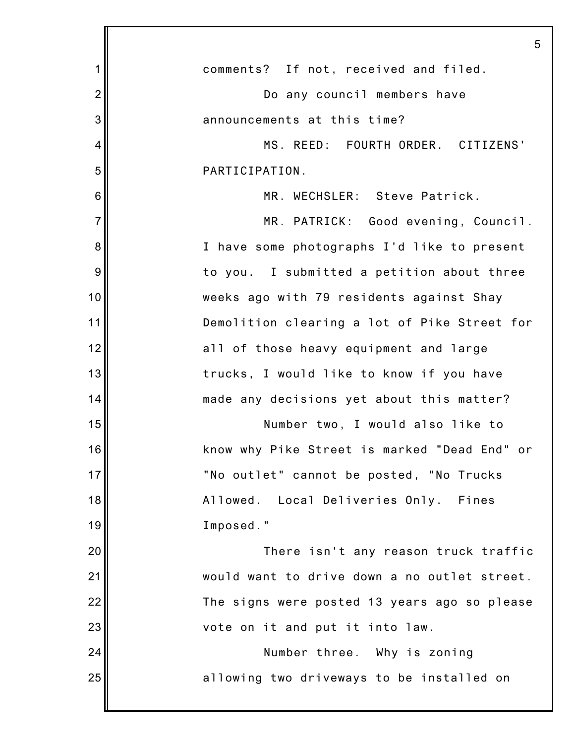|                | 5                                            |
|----------------|----------------------------------------------|
| 1              | comments? If not, received and filed.        |
| $\overline{2}$ | Do any council members have                  |
| 3              | announcements at this time?                  |
| 4              | MS. REED: FOURTH ORDER. CITIZENS'            |
| 5              | PARTICIPATION.                               |
| 6              | MR. WECHSLER: Steve Patrick.                 |
| $\overline{7}$ | MR. PATRICK: Good evening, Council.          |
| 8              | I have some photographs I'd like to present  |
| 9              | to you. I submitted a petition about three   |
| 10             | weeks ago with 79 residents against Shay     |
| 11             | Demolition clearing a lot of Pike Street for |
| 12             | all of those heavy equipment and large       |
| 13             | trucks, I would like to know if you have     |
| 14             | made any decisions yet about this matter?    |
| 15             | Number two, I would also like to             |
| 16             | know why Pike Street is marked "Dead End" or |
| 17             | "No outlet" cannot be posted, "No Trucks     |
| 18             | Allowed. Local Deliveries Only. Fines        |
| 19             | Imposed."                                    |
| 20             | There isn't any reason truck traffic         |
| 21             | would want to drive down a no outlet street. |
| 22             | The signs were posted 13 years ago so please |
| 23             | vote on it and put it into law.              |
| 24             | Number three. Why is zoning                  |
| 25             | allowing two driveways to be installed on    |
|                |                                              |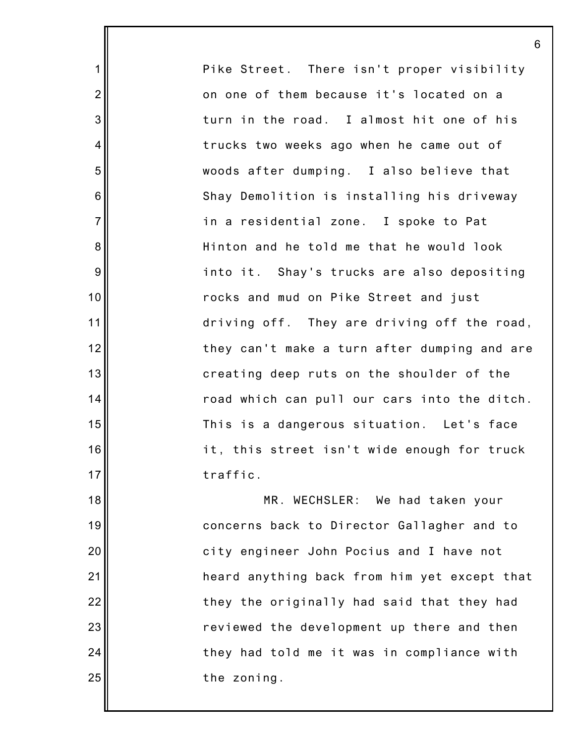Pike Street. There isn't proper visibility on one of them because it's located on a turn in the road. I almost hit one of his trucks two weeks ago when he came out of woods after dumping. I also believe that Shay Demolition is installing his driveway in a residential zone. I spoke to Pat Hinton and he told me that he would look into it. Shay's trucks are also depositing rocks and mud on Pike Street and just driving off. They are driving off the road, they can't make a turn after dumping and are creating deep ruts on the shoulder of the road which can pull our cars into the ditch. This is a dangerous situation. Let's face it, this street isn't wide enough for truck traffic. MR. WECHSLER: We had taken your concerns back to Director Gallagher and to city engineer John Pocius and I have not heard anything back from him yet except that

they the originally had said that they had

reviewed the development up there and then

they had told me it was in compliance with

the zoning.

6

1

2

3

4

5

6

7

8

9

10

11

12

13

14

15

16

17

18

19

20

21

22

23

24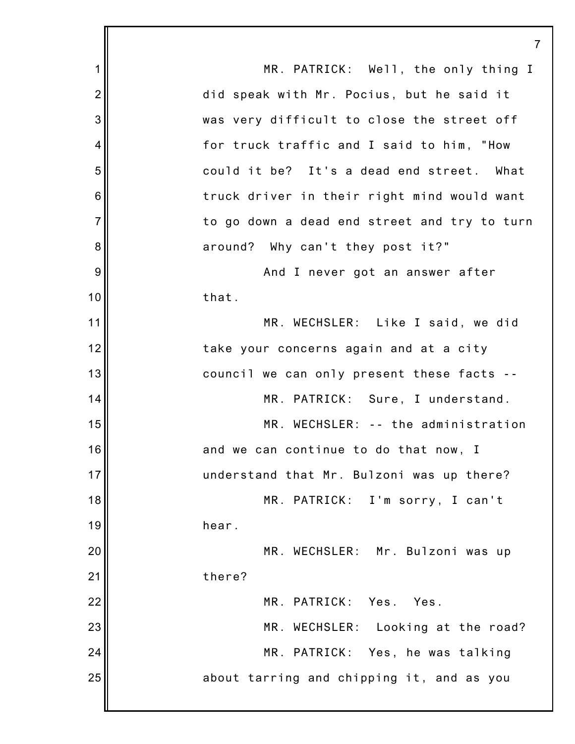1 2 3 4 5 6 7 8 9 10 11 12 13 14 15 16 17 18 19 20 21 22 23 24 25 7 MR. PATRICK: Well, the only thing I did speak with Mr. Pocius, but he said it was very difficult to close the street off for truck traffic and I said to him, "How could it be? It's a dead end street. What truck driver in their right mind would want to go down a dead end street and try to turn around? Why can't they post it?" And I never got an answer after that. MR. WECHSLER: Like I said, we did take your concerns again and at a city council we can only present these facts -- MR. PATRICK: Sure, I understand. MR. WECHSLER: -- the administration and we can continue to do that now, I understand that Mr. Bulzoni was up there? MR. PATRICK: I'm sorry, I can't hear. MR. WECHSLER: Mr. Bulzoni was up there? MR. PATRICK: Yes. Yes. MR. WECHSLER: Looking at the road? MR. PATRICK: Yes, he was talking about tarring and chipping it, and as you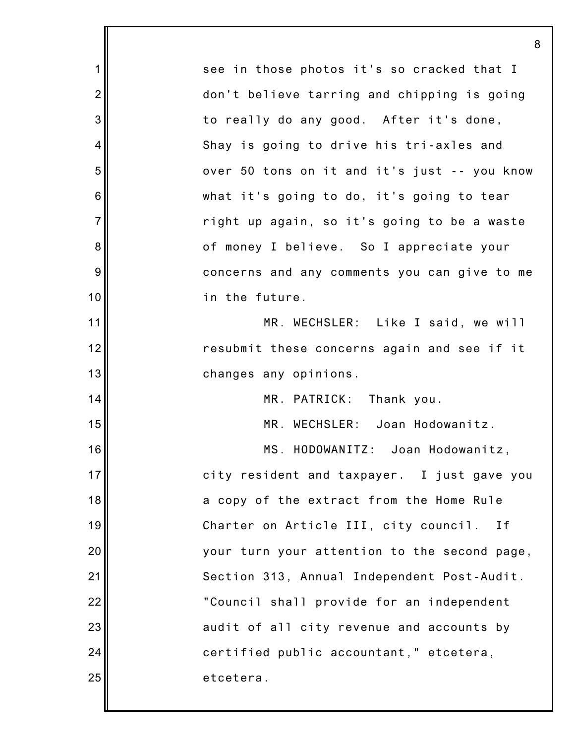1 2 3 4 5 6 7 8 9 10 11 12 13 14 15 16 17 18 19 20 21 22 23 24 25 8 see in those photos it's so cracked that I don't believe tarring and chipping is going to really do any good. After it's done, Shay is going to drive his tri-axles and over 50 tons on it and it's just -- you know what it's going to do, it's going to tear right up again, so it's going to be a waste of money I believe. So I appreciate your concerns and any comments you can give to me in the future. MR. WECHSLER: Like I said, we will resubmit these concerns again and see if it changes any opinions. MR. PATRICK: Thank you. MR. WECHSLER: Joan Hodowanitz. MS. HODOWANITZ: Joan Hodowanitz, city resident and taxpayer. I just gave you a copy of the extract from the Home Rule Charter on Article III, city council. If your turn your attention to the second page, Section 313, Annual Independent Post-Audit. "Council shall provide for an independent audit of all city revenue and accounts by certified public accountant," etcetera, etcetera.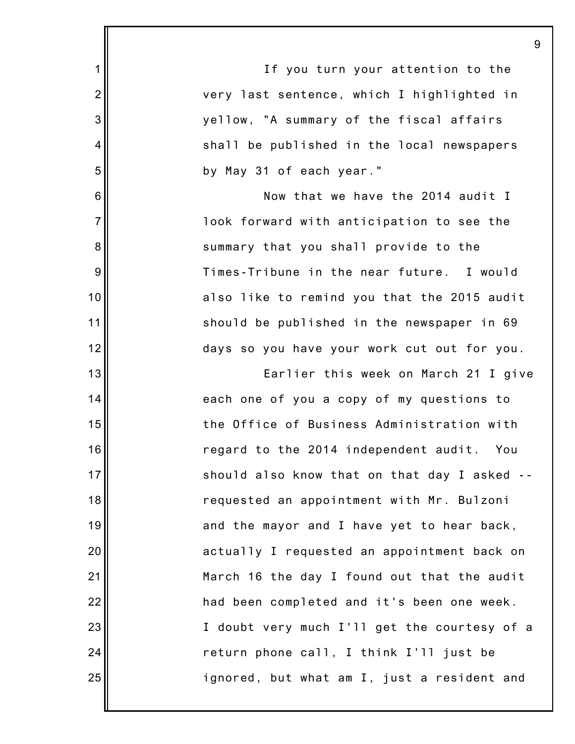|                | 9                                            |
|----------------|----------------------------------------------|
| $\mathbf 1$    | If you turn your attention to the            |
| $\overline{2}$ | very last sentence, which I highlighted in   |
| 3              | yellow, "A summary of the fiscal affairs     |
| $\overline{4}$ | shall be published in the local newspapers   |
| 5              | by May 31 of each year."                     |
| 6              | Now that we have the 2014 audit I            |
| $\overline{7}$ | look forward with anticipation to see the    |
| 8              | summary that you shall provide to the        |
| 9              | Times-Tribune in the near future. I would    |
| 10             | also like to remind you that the 2015 audit  |
| 11             | should be published in the newspaper in 69   |
| 12             | days so you have your work cut out for you.  |
| 13             | Earlier this week on March 21 I give         |
| 14             | each one of you a copy of my questions to    |
| 15             | the Office of Business Administration with   |
| 16             | regard to the 2014 independent audit. You    |
| 17             | should also know that on that day I asked -- |
| 18             | requested an appointment with Mr. Bulzoni    |
| 19             | and the mayor and I have yet to hear back,   |
| 20             | actually I requested an appointment back on  |
| 21             | March 16 the day I found out that the audit  |
| 22             | had been completed and it's been one week.   |
| 23             | I doubt very much I'll get the courtesy of a |
| 24             | return phone call, I think I'll just be      |
| 25             | ignored, but what am I, just a resident and  |
|                |                                              |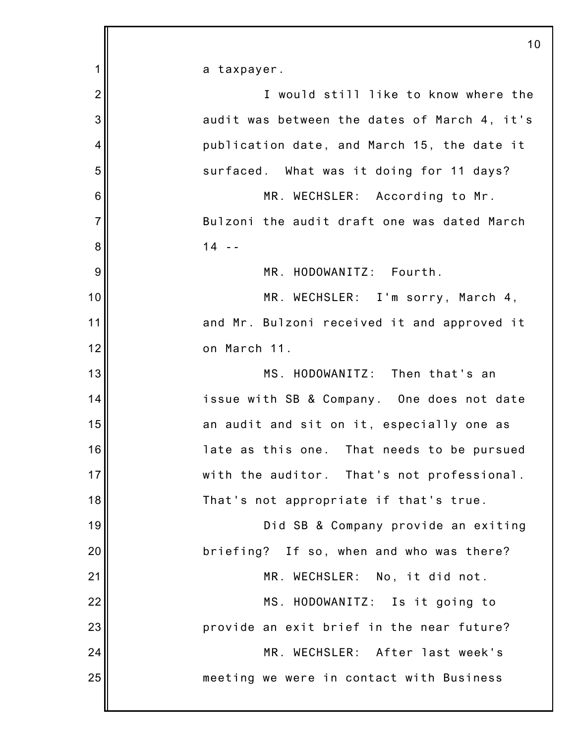|                | 10                                           |
|----------------|----------------------------------------------|
| 1              | a taxpayer.                                  |
| $\overline{2}$ | I would still like to know where the         |
| 3              | audit was between the dates of March 4, it's |
| 4              | publication date, and March 15, the date it  |
| 5              | surfaced. What was it doing for 11 days?     |
| 6              | MR. WECHSLER: According to Mr.               |
| $\overline{7}$ | Bulzoni the audit draft one was dated March  |
| 8              | $14 - -$                                     |
| 9              | MR. HODOWANITZ: Fourth.                      |
| 10             | MR. WECHSLER: I'm sorry, March 4,            |
| 11             | and Mr. Bulzoni received it and approved it  |
| 12             | on March 11.                                 |
| 13             | MS. HODOWANITZ: Then that's an               |
| 14             | issue with SB & Company. One does not date   |
| 15             | an audit and sit on it, especially one as    |
| 16             | late as this one. That needs to be pursued   |
| 17             | with the auditor. That's not professional.   |
| 18             | That's not appropriate if that's true.       |
| 19             | Did SB & Company provide an exiting          |
| 20             | briefing? If so, when and who was there?     |
| 21             | MR. WECHSLER: No, it did not.                |
| 22             | MS. HODOWANITZ: Is it going to               |
| 23             | provide an exit brief in the near future?    |
| 24             | MR. WECHSLER: After last week's              |
| 25             | meeting we were in contact with Business     |
|                |                                              |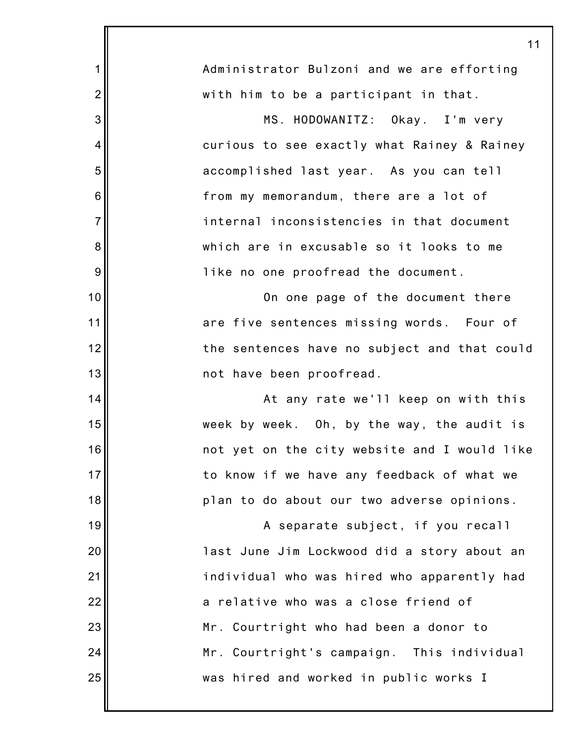|                | 11                                           |
|----------------|----------------------------------------------|
| 1              | Administrator Bulzoni and we are efforting   |
| $\overline{2}$ | with him to be a participant in that.        |
| 3              | MS. HODOWANITZ: Okay. I'm very               |
| 4              | curious to see exactly what Rainey & Rainey  |
| 5              | accomplished last year. As you can tell      |
| 6              | from my memorandum, there are a lot of       |
| $\overline{7}$ | internal inconsistencies in that document    |
| 8              | which are in excusable so it looks to me     |
| 9              | like no one proofread the document.          |
| 10             | On one page of the document there            |
| 11             | are five sentences missing words. Four of    |
| 12             | the sentences have no subject and that could |
| 13             | not have been proofread.                     |
| 14             | At any rate we'll keep on with this          |
| 15             | week by week. Oh, by the way, the audit is   |
| 16             | not yet on the city website and I would like |
| 17             | to know if we have any feedback of what we   |
| 18             | plan to do about our two adverse opinions.   |
| 19             | A separate subject, if you recall            |
| 20             | last June Jim Lockwood did a story about an  |
| 21             | individual who was hired who apparently had  |
| 22             | a relative who was a close friend of         |
| 23             | Mr. Courtright who had been a donor to       |
| 24             | Mr. Courtright's campaign. This individual   |
| 25             | was hired and worked in public works I       |
|                |                                              |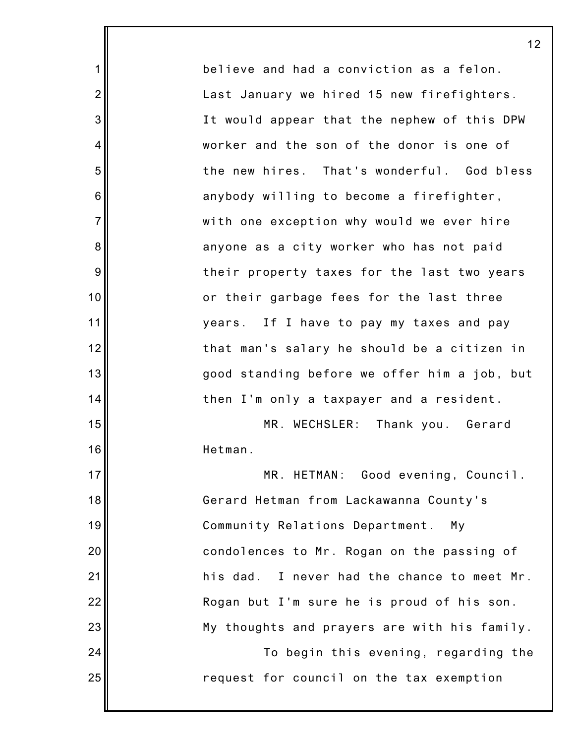believe and had a conviction as a felon. Last January we hired 15 new firefighters. It would appear that the nephew of this DPW worker and the son of the donor is one of the new hires. That's wonderful. God bless anybody willing to become a firefighter, with one exception why would we ever hire anyone as a city worker who has not paid their property taxes for the last two years or their garbage fees for the last three years. If I have to pay my taxes and pay that man's salary he should be a citizen in good standing before we offer him a job, but then I'm only a taxpayer and a resident. MR. WECHSLER: Thank you. Gerard Hetman. MR. HETMAN: Good evening, Council. Gerard Hetman from Lackawanna County's Community Relations Department. My condolences to Mr. Rogan on the passing of his dad. I never had the chance to meet Mr. Rogan but I'm sure he is proud of his son.

1

2

3

4

5

6

7

8

9

10

11

12

13

14

15

16

17

18

19

20

21

22

23

24

25

My thoughts and prayers are with his family.

To begin this evening, regarding the request for council on the tax exemption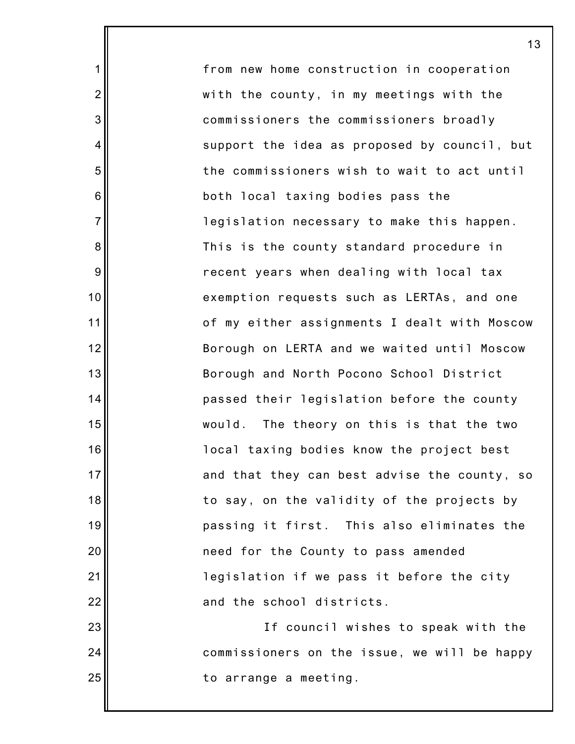from new home construction in cooperation with the county, in my meetings with the commissioners the commissioners broadly support the idea as proposed by council, but the commissioners wish to wait to act until both local taxing bodies pass the legislation necessary to make this happen. This is the county standard procedure in recent years when dealing with local tax exemption requests such as LERTAs, and one of my either assignments I dealt with Moscow Borough on LERTA and we waited until Moscow Borough and North Pocono School District passed their legislation before the county would. The theory on this is that the two local taxing bodies know the project best and that they can best advise the county, so to say, on the validity of the projects by passing it first. This also eliminates the need for the County to pass amended legislation if we pass it before the city and the school districts.

1

2

3

4

5

6

7

8

9

10

11

12

13

14

15

16

17

18

19

20

21

22

23

24

25

If council wishes to speak with the commissioners on the issue, we will be happy to arrange a meeting.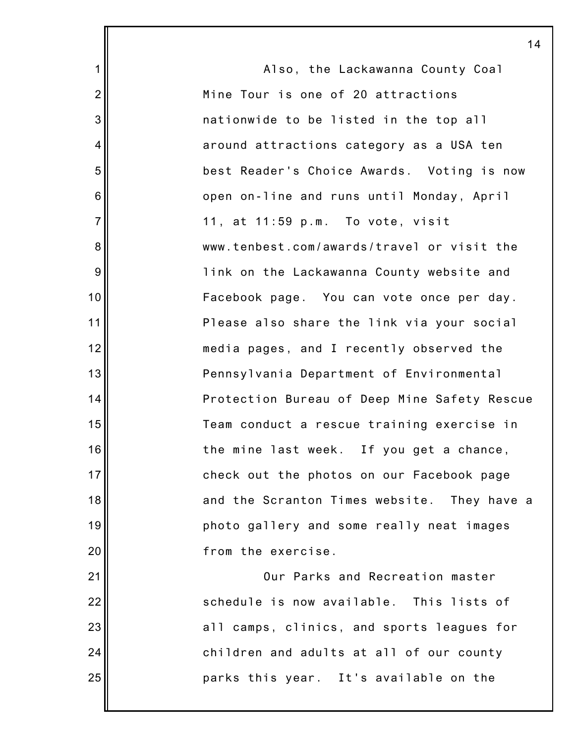|                | 14                                           |
|----------------|----------------------------------------------|
| $\mathbf 1$    | Also, the Lackawanna County Coal             |
| $\overline{2}$ | Mine Tour is one of 20 attractions           |
| 3              | nationwide to be listed in the top all       |
| 4              | around attractions category as a USA ten     |
| 5              | best Reader's Choice Awards. Voting is now   |
| 6              | open on-line and runs until Monday, April    |
| $\overline{7}$ | 11, at 11:59 p.m. To vote, visit             |
| 8              | www.tenbest.com/awards/travel or visit the   |
| 9              | link on the Lackawanna County website and    |
| 10             | Facebook page. You can vote once per day.    |
| 11             | Please also share the link via your social   |
| 12             | media pages, and I recently observed the     |
| 13             | Pennsylvania Department of Environmental     |
| 14             | Protection Bureau of Deep Mine Safety Rescue |
| 15             | Team conduct a rescue training exercise in   |
| 16             | the mine last week. If you get a chance,     |
| 17             | check out the photos on our Facebook page    |
| 18             | and the Scranton Times website. They have a  |
| 19             | photo gallery and some really neat images    |
| 20             | from the exercise.                           |
| 21             | Our Parks and Recreation master              |
| 22             | schedule is now available. This lists of     |
| 23             | all camps, clinics, and sports leagues for   |
| 24             | children and adults at all of our county     |
| 25             | parks this year. It's available on the       |
|                |                                              |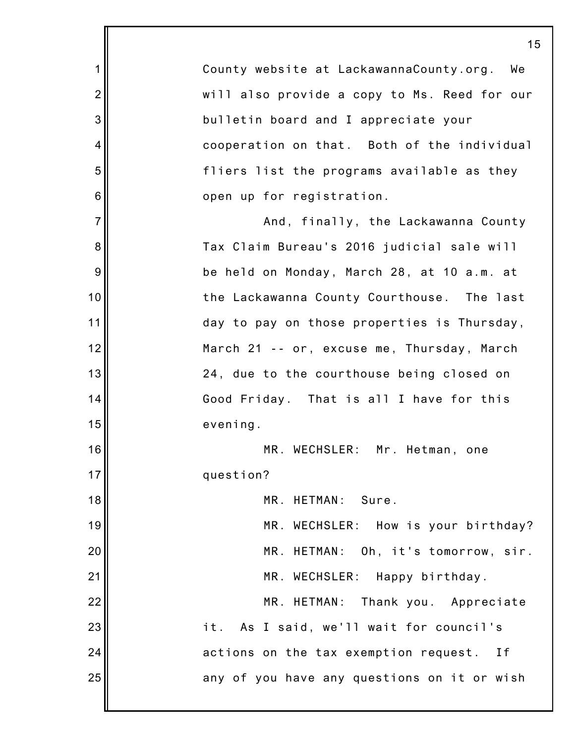1 2 3 4 5 6 7 8 9 10 11 12 13 14 15 16 17 18 19 20 21 22 23 24 25 15 County website at LackawannaCounty.org. We will also provide a copy to Ms. Reed for our bulletin board and I appreciate your cooperation on that. Both of the individual fliers list the programs available as they open up for registration. And, finally, the Lackawanna County Tax Claim Bureau's 2016 judicial sale will be held on Monday, March 28, at 10 a.m. at the Lackawanna County Courthouse. The last day to pay on those properties is Thursday, March 21 -- or, excuse me, Thursday, March 24, due to the courthouse being closed on Good Friday. That is all I have for this evening. MR. WECHSLER: Mr. Hetman, one question? MR. HETMAN: Sure. MR. WECHSLER: How is your birthday? MR. HETMAN: Oh, it's tomorrow, sir. MR. WECHSLER: Happy birthday. MR. HETMAN: Thank you. Appreciate it. As I said, we'll wait for council's actions on the tax exemption request. If any of you have any questions on it or wish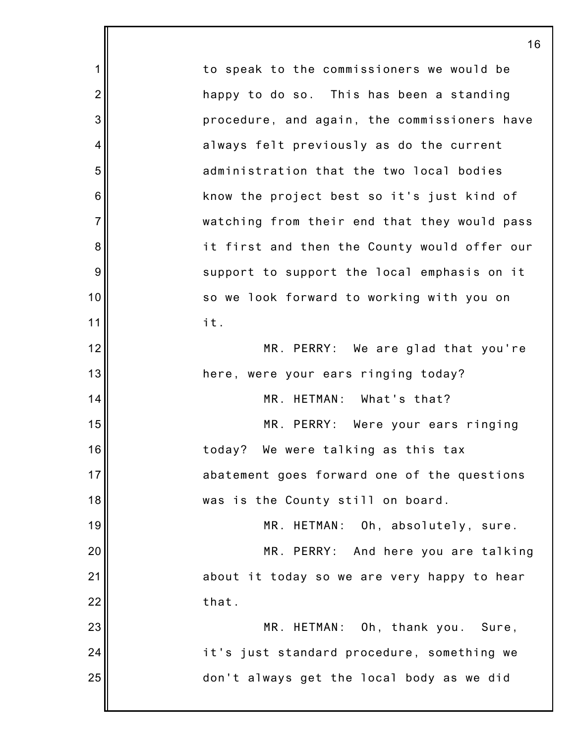1 2 3 4 5 6 7 8 9 10 11 12 13 14 15 16 17 18 19 20 21 22 23 24 25 to speak to the commissioners we would be happy to do so. This has been a standing procedure, and again, the commissioners have always felt previously as do the current administration that the two local bodies know the project best so it's just kind of watching from their end that they would pass it first and then the County would offer our support to support the local emphasis on it so we look forward to working with you on it. MR. PERRY: We are glad that you're here, were your ears ringing today? MR. HETMAN: What's that? MR. PERRY: Were your ears ringing today? We were talking as this tax abatement goes forward one of the questions was is the County still on board. MR. HETMAN: Oh, absolutely, sure. MR. PERRY: And here you are talking about it today so we are very happy to hear that. MR. HETMAN: Oh, thank you. Sure, it's just standard procedure, something we don't always get the local body as we did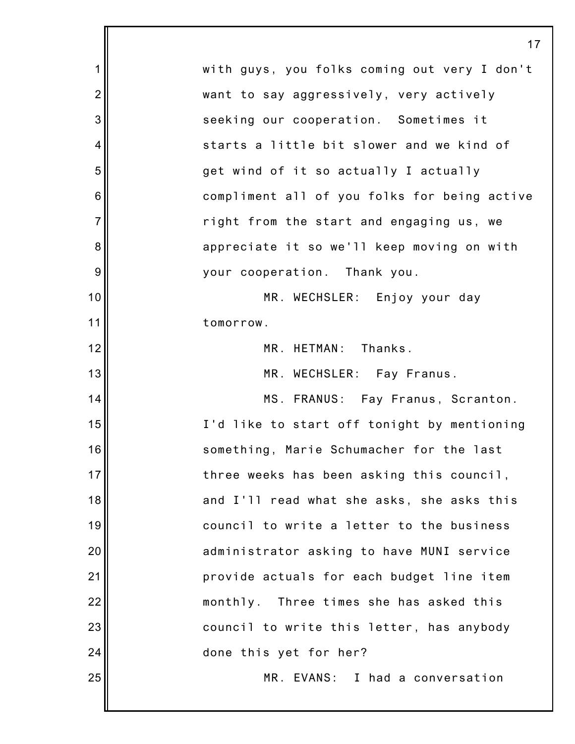1 2 3 4 5 6 7 8 9 10 11 12 13 14 15 16 17 18 19 20 21 22 23 24 25 with guys, you folks coming out very I don't want to say aggressively, very actively seeking our cooperation. Sometimes it starts a little bit slower and we kind of get wind of it so actually I actually compliment all of you folks for being active right from the start and engaging us, we appreciate it so we'll keep moving on with your cooperation. Thank you. MR. WECHSLER: Enjoy your day tomorrow. MR. HETMAN: Thanks. MR. WECHSLER: Fay Franus. MS. FRANUS: Fay Franus, Scranton. I'd like to start off tonight by mentioning something, Marie Schumacher for the last three weeks has been asking this council, and I'll read what she asks, she asks this council to write a letter to the business administrator asking to have MUNI service provide actuals for each budget line item monthly. Three times she has asked this council to write this letter, has anybody done this yet for her? MR. EVANS: I had a conversation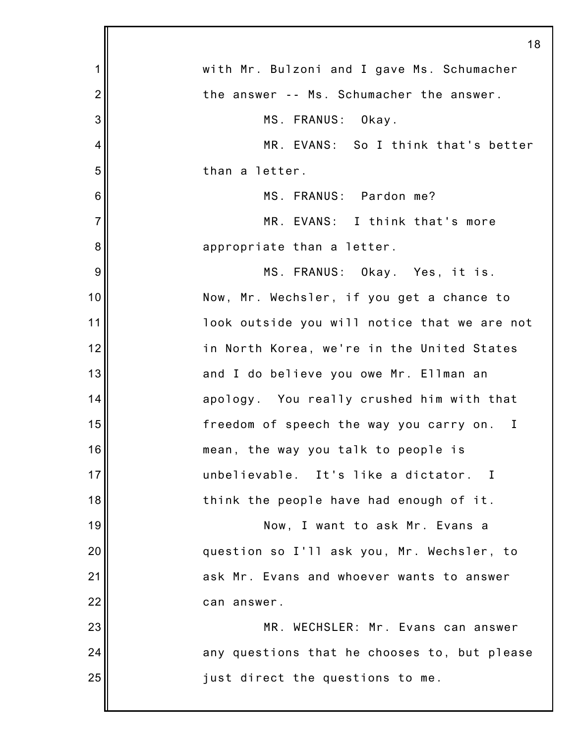|                 | 18                                           |
|-----------------|----------------------------------------------|
| 1               | with Mr. Bulzoni and I gave Ms. Schumacher   |
| $\overline{2}$  | the answer -- Ms. Schumacher the answer.     |
| 3               | MS. FRANUS: Okay.                            |
| 4               | MR. EVANS: So I think that's better          |
| 5               | than a letter.                               |
| $6\phantom{1}6$ | MS. FRANUS: Pardon me?                       |
| $\overline{7}$  | MR. EVANS: I think that's more               |
| 8               | appropriate than a letter.                   |
| 9               | MS. FRANUS: Okay. Yes, it is.                |
| 10              | Now, Mr. Wechsler, if you get a chance to    |
| 11              | look outside you will notice that we are not |
| 12              | in North Korea, we're in the United States   |
| 13              | and I do believe you owe Mr. Ellman an       |
| 14              | apology. You really crushed him with that    |
| 15              | freedom of speech the way you carry on. I    |
| 16              | mean, the way you talk to people is          |
| 17              | unbelievable. It's like a dictator. I        |
| 18              | think the people have had enough of it.      |
| 19              | Now, I want to ask Mr. Evans a               |
| 20              | question so I'll ask you, Mr. Wechsler, to   |
| 21              | ask Mr. Evans and whoever wants to answer    |
| 22              | can answer.                                  |
| 23              | MR. WECHSLER: Mr. Evans can answer           |
| 24              | any questions that he chooses to, but please |
| 25              | just direct the questions to me.             |
|                 |                                              |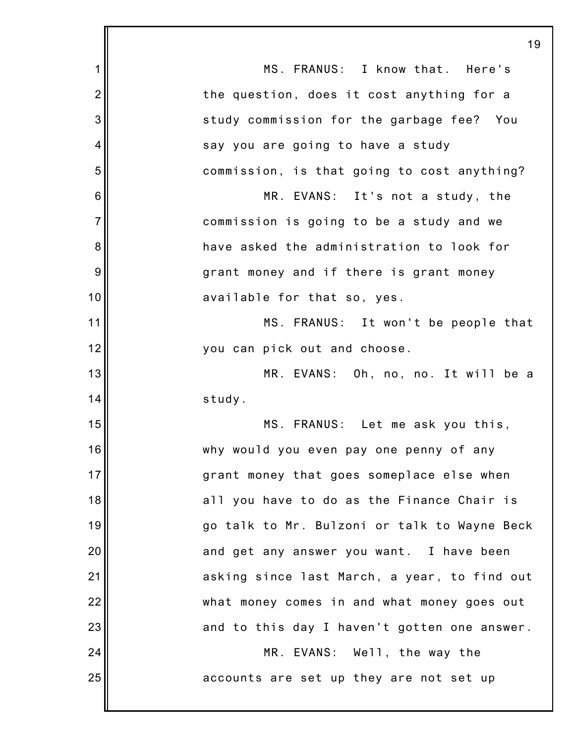|                | 19                                           |
|----------------|----------------------------------------------|
| 1              | MS. FRANUS: I know that. Here's              |
| $\overline{2}$ | the question, does it cost anything for a    |
| 3              | study commission for the garbage fee? You    |
| 4              | say you are going to have a study            |
| 5              | commission, is that going to cost anything?  |
| 6              | MR. EVANS: It's not a study, the             |
| $\overline{7}$ | commission is going to be a study and we     |
| 8              | have asked the administration to look for    |
| 9              | grant money and if there is grant money      |
| 10             | available for that so, yes.                  |
| 11             | MS. FRANUS: It won't be people that          |
| 12             | you can pick out and choose.                 |
| 13             | MR. EVANS: Oh, no, no. It will be a          |
| 14             | study.                                       |
| 15             | MS. FRANUS: Let me ask you this,             |
| 16             | why would you even pay one penny of any      |
| 17             | grant money that goes someplace else when    |
| 18             | all you have to do as the Finance Chair is   |
| 19             | go talk to Mr. Bulzoni or talk to Wayne Beck |
| 20             | and get any answer you want. I have been     |
| 21             | asking since last March, a year, to find out |
| 22             | what money comes in and what money goes out  |
| 23             | and to this day I haven't gotten one answer. |
| 24             | MR. EVANS: Well, the way the                 |
| 25             | accounts are set up they are not set up      |
|                |                                              |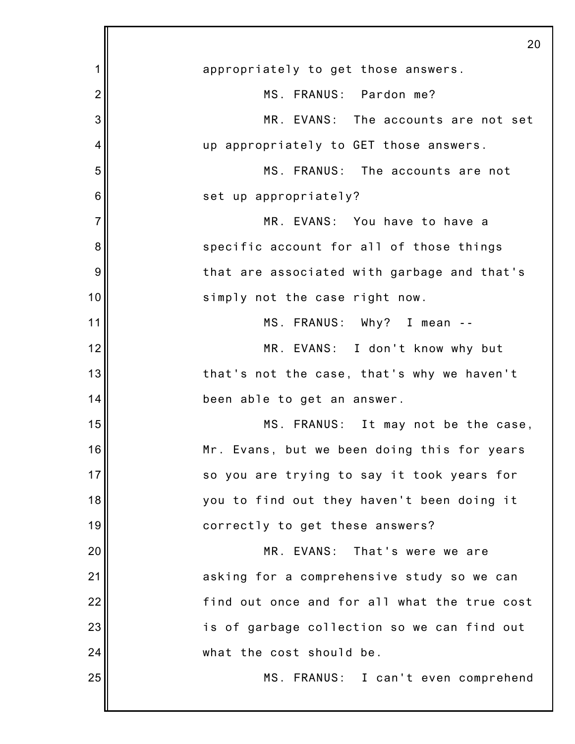|                | 20                                           |
|----------------|----------------------------------------------|
| 1              | appropriately to get those answers.          |
| $\overline{2}$ | MS. FRANUS: Pardon me?                       |
| 3              | MR. EVANS: The accounts are not set          |
| 4              | up appropriately to GET those answers.       |
| 5              | MS. FRANUS: The accounts are not             |
| 6              | set up appropriately?                        |
| $\overline{7}$ | MR. EVANS: You have to have a                |
| 8              | specific account for all of those things     |
| 9              | that are associated with garbage and that's  |
| 10             | simply not the case right now.               |
| 11             | MS. FRANUS: Why? I mean --                   |
| 12             | MR. EVANS: I don't know why but              |
| 13             | that's not the case, that's why we haven't   |
| 14             | been able to get an answer.                  |
| 15             | MS. FRANUS: It may not be the case,          |
| 16             | Mr. Evans, but we been doing this for years  |
| 17             | so you are trying to say it took years for   |
| 18             | you to find out they haven't been doing it   |
| 19             | correctly to get these answers?              |
| 20             | MR. EVANS:<br>That's were we are             |
| 21             | asking for a comprehensive study so we can   |
| 22             | find out once and for all what the true cost |
| 23             | is of garbage collection so we can find out  |
| 24             | what the cost should be.                     |
| 25             | MS. FRANUS: I can't even comprehend          |
|                |                                              |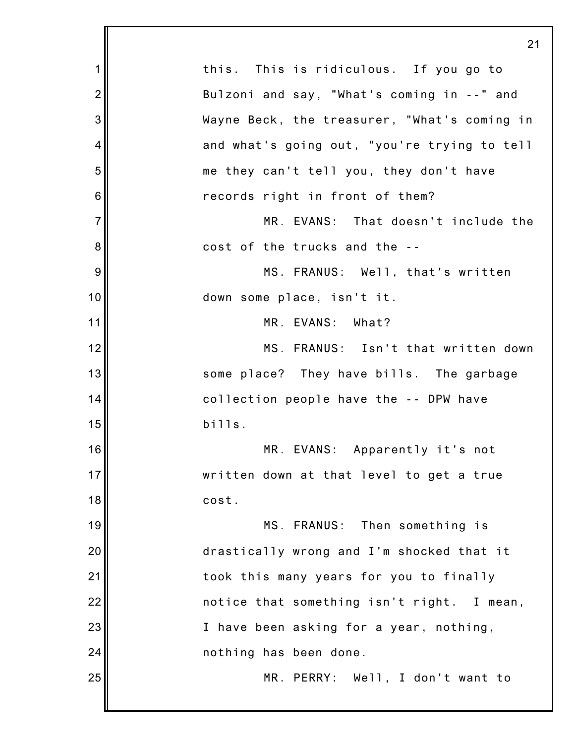|                | 2 <sup>1</sup>                               |
|----------------|----------------------------------------------|
| 1              | this. This is ridiculous. If you go to       |
| $\overline{2}$ | Bulzoni and say, "What's coming in --" and   |
| 3              | Wayne Beck, the treasurer, "What's coming in |
| $\overline{4}$ | and what's going out, "you're trying to tell |
| 5              | me they can't tell you, they don't have      |
| 6              | records right in front of them?              |
| $\overline{7}$ | MR. EVANS: That doesn't include the          |
| 8              | cost of the trucks and the --                |
| 9              | MS. FRANUS: Well, that's written             |
| 10             | down some place, isn't it.                   |
| 11             | MR. EVANS: What?                             |
| 12             | MS. FRANUS: Isn't that written down          |
| 13             | some place? They have bills. The garbage     |
| 14             | collection people have the -- DPW have       |
| 15             | bills.                                       |
| 16             | MR. EVANS: Apparently it's not               |
| 17             | written down at that level to get a true     |
| 18             | cost.                                        |
| 19             | MS. FRANUS: Then something is                |
| 20             | drastically wrong and I'm shocked that it    |
| 21             | took this many years for you to finally      |
| 22             | notice that something isn't right. I mean,   |
| 23             | I have been asking for a year, nothing,      |
| 24             | nothing has been done.                       |
| 25             | MR. PERRY: Well, I don't want to             |
|                |                                              |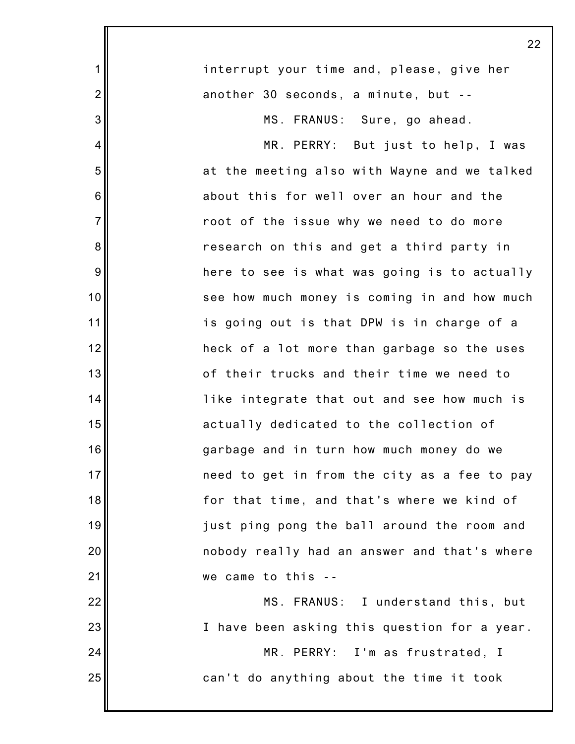|                | 22                                           |
|----------------|----------------------------------------------|
| 1              | interrupt your time and, please, give her    |
| $\overline{2}$ | another 30 seconds, a minute, but --         |
| 3              | MS. FRANUS: Sure, go ahead.                  |
| 4              | MR. PERRY: But just to help, I was           |
| 5              | at the meeting also with Wayne and we talked |
| 6              | about this for well over an hour and the     |
| $\overline{7}$ | root of the issue why we need to do more     |
| 8              | research on this and get a third party in    |
| 9              | here to see is what was going is to actually |
| 10             | see how much money is coming in and how much |
| 11             | is going out is that DPW is in charge of a   |
| 12             | heck of a lot more than garbage so the uses  |
| 13             | of their trucks and their time we need to    |
| 14             | like integrate that out and see how much is  |
| 15             | actually dedicated to the collection of      |
| 16             | garbage and in turn how much money do we     |
| 17             | need to get in from the city as a fee to pay |
| 18             | for that time, and that's where we kind of   |
| 19             | just ping pong the ball around the room and  |
| 20             | nobody really had an answer and that's where |
| 21             | we came to this --                           |
| 22             | MS. FRANUS: I understand this, but           |
| 23             | I have been asking this question for a year. |
| 24             | MR. PERRY: I'm as frustrated, I              |
| 25             | can't do anything about the time it took     |
|                |                                              |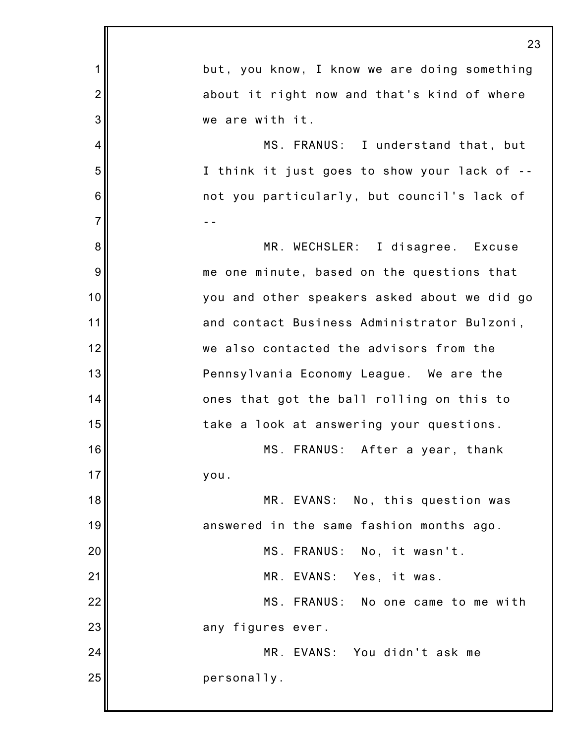|                | 23                                           |
|----------------|----------------------------------------------|
| 1              | but, you know, I know we are doing something |
| $\overline{2}$ | about it right now and that's kind of where  |
| 3              | we are with it.                              |
| 4              | MS. FRANUS: I understand that, but           |
| 5              | I think it just goes to show your lack of -- |
| 6              | not you particularly, but council's lack of  |
| $\overline{7}$ |                                              |
| 8              | MR. WECHSLER: I disagree. Excuse             |
| 9              | me one minute, based on the questions that   |
| 10             | you and other speakers asked about we did go |
| 11             | and contact Business Administrator Bulzoni,  |
| 12             | we also contacted the advisors from the      |
| 13             | Pennsylvania Economy League. We are the      |
| 14             | ones that got the ball rolling on this to    |
| 15             | take a look at answering your questions.     |
| 16             | MS. FRANUS: After a year, thank              |
| 17             | you.                                         |
| 18             | MR. EVANS: No, this question was             |
| 19             | answered in the same fashion months ago.     |
| 20             | MS. FRANUS: No, it wasn't.                   |
| 21             | MR. EVANS: Yes, it was.                      |
| 22             | MS. FRANUS: No one came to me with           |
| 23             | any figures ever.                            |
| 24             | MR. EVANS: You didn't ask me                 |
| 25             | personally.                                  |
|                |                                              |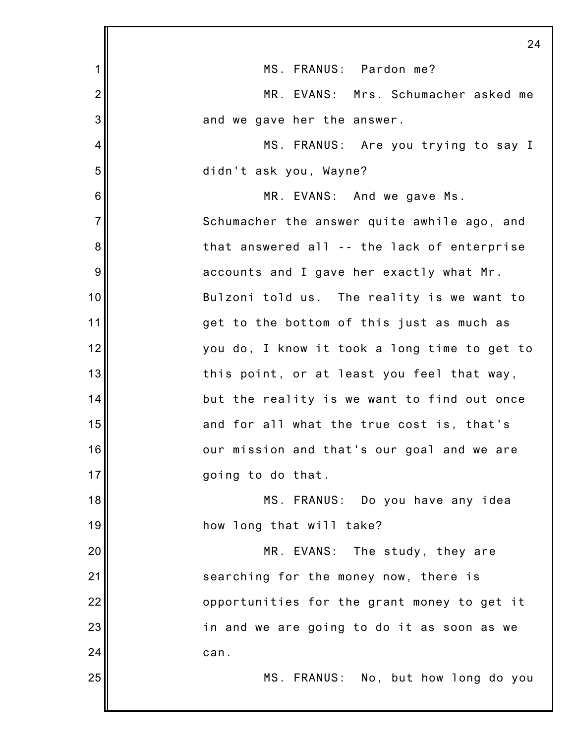|                | 24                                           |
|----------------|----------------------------------------------|
| 1              | MS. FRANUS: Pardon me?                       |
| $\overline{2}$ | MR. EVANS: Mrs. Schumacher asked me          |
| 3              | and we gave her the answer.                  |
| 4              | MS. FRANUS: Are you trying to say I          |
| 5              | didn't ask you, Wayne?                       |
| 6              | MR. EVANS: And we gave Ms.                   |
| $\overline{7}$ | Schumacher the answer quite awhile ago, and  |
| 8              | that answered all -- the lack of enterprise  |
| 9              | accounts and I gave her exactly what Mr.     |
| 10             | Bulzoni told us. The reality is we want to   |
| 11             | get to the bottom of this just as much as    |
| 12             | you do, I know it took a long time to get to |
| 13             | this point, or at least you feel that way,   |
| 14             | but the reality is we want to find out once  |
| 15             | and for all what the true cost is, that's    |
| 16             | our mission and that's our goal and we are   |
| 17             | going to do that.                            |
| 18             | MS. FRANUS: Do you have any idea             |
| 19             | how long that will take?                     |
| 20             | MR. EVANS: The study, they are               |
| 21             | searching for the money now, there is        |
| 22             | opportunities for the grant money to get it  |
| 23             | in and we are going to do it as soon as we   |
| 24             | can.                                         |
| 25             | MS. FRANUS: No, but how long do you          |
|                |                                              |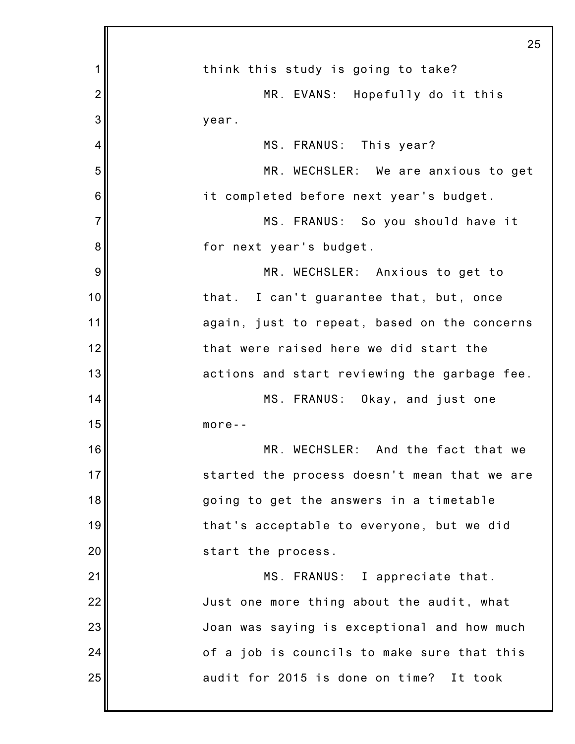|                | 25                                           |
|----------------|----------------------------------------------|
| 1              | think this study is going to take?           |
| $\overline{2}$ | MR. EVANS: Hopefully do it this              |
| 3              | year.                                        |
| 4              | MS. FRANUS: This year?                       |
| 5              | MR. WECHSLER: We are anxious to get          |
| 6              | it completed before next year's budget.      |
| $\overline{7}$ | MS. FRANUS: So you should have it            |
| 8              | for next year's budget.                      |
| 9              | MR. WECHSLER: Anxious to get to              |
| 10             | that. I can't guarantee that, but, once      |
| 11             | again, just to repeat, based on the concerns |
| 12             | that were raised here we did start the       |
| 13             | actions and start reviewing the garbage fee. |
| 14             | MS. FRANUS: Okay, and just one               |
| 15             | $more--$                                     |
| 16             | MR. WECHSLER: And the fact that we           |
| 17             | started the process doesn't mean that we are |
| 18             | going to get the answers in a timetable      |
| 19             | that's acceptable to everyone, but we did    |
| 20             | start the process.                           |
| 21             | MS. FRANUS: I appreciate that.               |
| 22             | Just one more thing about the audit, what    |
| 23             | Joan was saying is exceptional and how much  |
| 24             | of a job is councils to make sure that this  |
| 25             | audit for 2015 is done on time? It took      |
|                |                                              |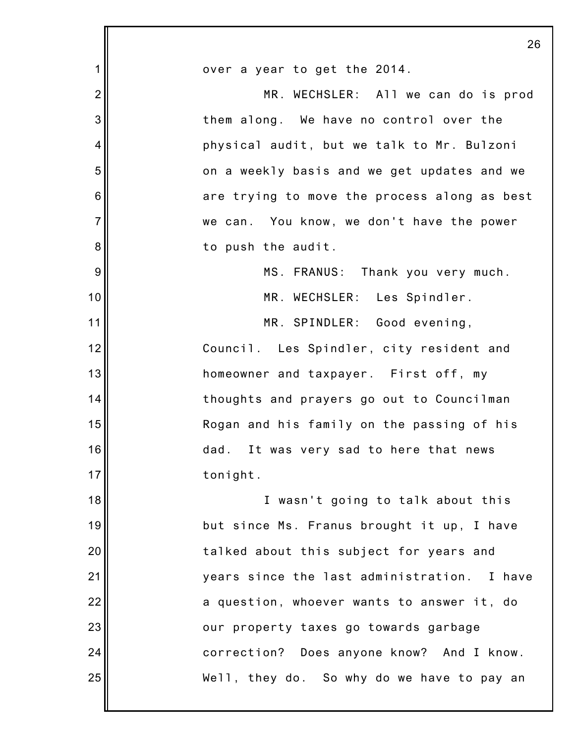|                | 26                                           |
|----------------|----------------------------------------------|
| 1              | over a year to get the 2014.                 |
| $\overline{c}$ | MR. WECHSLER: All we can do is prod          |
| 3              | them along. We have no control over the      |
| 4              | physical audit, but we talk to Mr. Bulzoni   |
| 5              | on a weekly basis and we get updates and we  |
| 6              | are trying to move the process along as best |
| $\overline{7}$ | we can. You know, we don't have the power    |
| 8              | to push the audit.                           |
| 9              | MS. FRANUS: Thank you very much.             |
| 10             | MR. WECHSLER: Les Spindler.                  |
| 11             | MR. SPINDLER: Good evening,                  |
| 12             | Council. Les Spindler, city resident and     |
| 13             | homeowner and taxpayer. First off, my        |
| 14             | thoughts and prayers go out to Councilman    |
| 15             | Rogan and his family on the passing of his   |
| 16             | dad. It was very sad to here that news       |
| 17             | tonight.                                     |
| 18             | I wasn't going to talk about this            |
| 19             | but since Ms. Franus brought it up, I have   |
| 20             | talked about this subject for years and      |
| 21             | years since the last administration. I have  |
| 22             | a question, whoever wants to answer it, do   |
| 23             | our property taxes go towards garbage        |
| 24             | correction? Does anyone know? And I know.    |
| 25             | Well, they do. So why do we have to pay an   |
|                |                                              |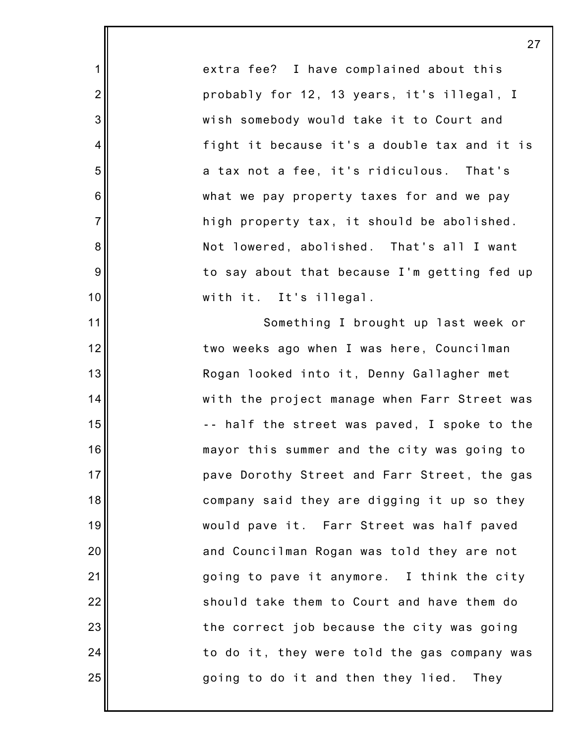extra fee? I have complained about this probably for 12, 13 years, it's illegal, I wish somebody would take it to Court and fight it because it's a double tax and it is a tax not a fee, it's ridiculous. That's what we pay property taxes for and we pay high property tax, it should be abolished. Not lowered, abolished. That's all I want to say about that because I'm getting fed up with it. It's illegal.

1

2

3

4

5

6

7

8

9

10

11

12

13

14

15

16

17

18

19

20

21

22

23

24

25

Something I brought up last week or two weeks ago when I was here, Councilman Rogan looked into it, Denny Gallagher met with the project manage when Farr Street was -- half the street was paved, I spoke to the mayor this summer and the city was going to pave Dorothy Street and Farr Street, the gas company said they are digging it up so they would pave it. Farr Street was half paved and Councilman Rogan was told they are not going to pave it anymore. I think the city should take them to Court and have them do the correct job because the city was going to do it, they were told the gas company was going to do it and then they lied. They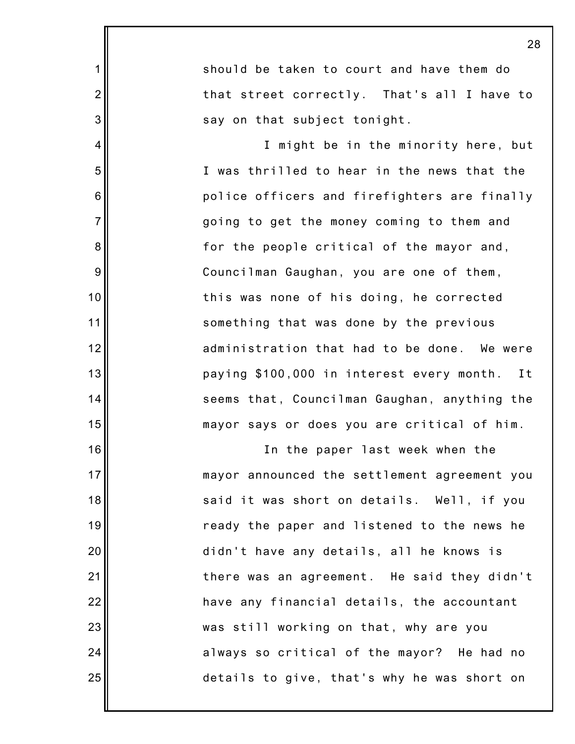|                  | 28                                           |
|------------------|----------------------------------------------|
| 1                | should be taken to court and have them do    |
| $\overline{2}$   | that street correctly. That's all I have to  |
| 3                | say on that subject tonight.                 |
| 4                | I might be in the minority here, but         |
| 5                | I was thrilled to hear in the news that the  |
| $6\phantom{1}6$  | police officers and firefighters are finally |
| $\overline{7}$   | going to get the money coming to them and    |
| $\bf 8$          | for the people critical of the mayor and,    |
| $\boldsymbol{9}$ | Councilman Gaughan, you are one of them,     |
| 10               | this was none of his doing, he corrected     |
| 11               | something that was done by the previous      |
| 12               | administration that had to be done. We were  |
| 13               | paying \$100,000 in interest every month. It |
| 14               | seems that, Councilman Gaughan, anything the |
| 15               | mayor says or does you are critical of him.  |
| 16               | In the paper last week when the              |
| 17               | mayor announced the settlement agreement you |
| 18               | said it was short on details. Well, if you   |
| 19               | ready the paper and listened to the news he  |
| 20               | didn't have any details, all he knows is     |
| 21               | there was an agreement. He said they didn't  |
| 22               | have any financial details, the accountant   |
| 23               | was still working on that, why are you       |
| 24               | always so critical of the mayor? He had no   |
| 25               | details to give, that's why he was short on  |
|                  |                                              |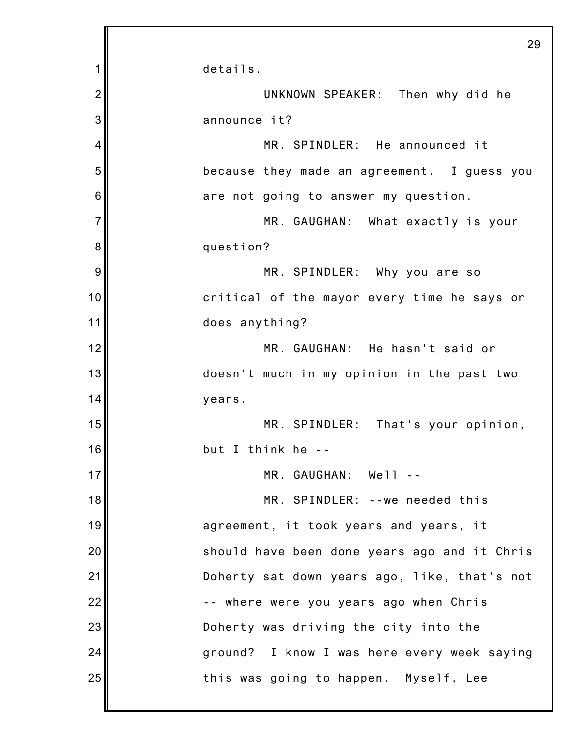|                | 29                                           |
|----------------|----------------------------------------------|
| 1              | details.                                     |
| $\overline{2}$ | UNKNOWN SPEAKER: Then why did he             |
| 3              | announce it?                                 |
| 4              | MR. SPINDLER: He announced it                |
| 5              | because they made an agreement. I guess you  |
| 6              | are not going to answer my question.         |
| $\overline{7}$ | MR. GAUGHAN: What exactly is your            |
| 8              | question?                                    |
| 9              | MR. SPINDLER: Why you are so                 |
| 10             | critical of the mayor every time he says or  |
| 11             | does anything?                               |
| 12             | MR. GAUGHAN: He hasn't said or               |
| 13             | doesn't much in my opinion in the past two   |
| 14             | years.                                       |
| 15             | MR. SPINDLER: That's your opinion,           |
| 16             | but I think he --                            |
| 17             | MR. GAUGHAN: Well --                         |
| 18             | MR. SPINDLER: -- we needed this              |
| 19             | agreement, it took years and years, it       |
| 20             | should have been done years ago and it Chris |
| 21             | Doherty sat down years ago, like, that's not |
| 22             | -- where were you years ago when Chris       |
| 23             | Doherty was driving the city into the        |
| 24             | ground? I know I was here every week saying  |
| 25             | this was going to happen. Myself, Lee        |
|                |                                              |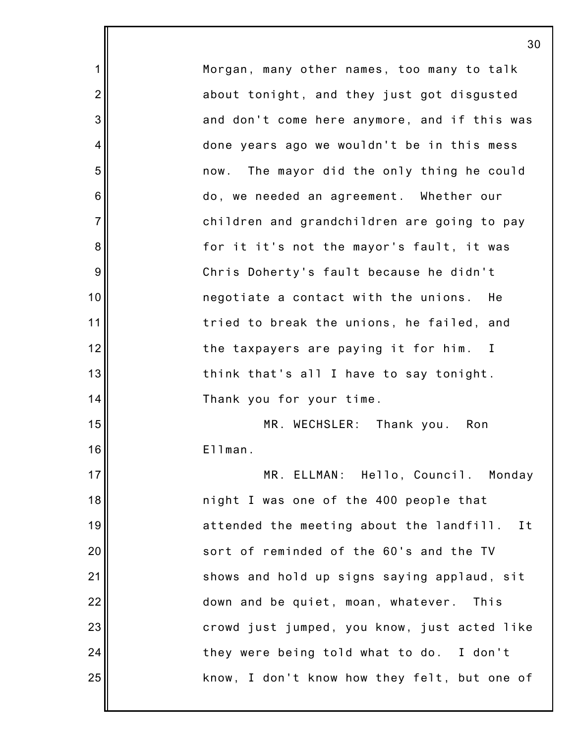Morgan, many other names, too many to talk about tonight, and they just got disgusted and don't come here anymore, and if this was done years ago we wouldn't be in this mess now. The mayor did the only thing he could do, we needed an agreement. Whether our children and grandchildren are going to pay for it it's not the mayor's fault, it was Chris Doherty's fault because he didn't negotiate a contact with the unions. He tried to break the unions, he failed, and the taxpayers are paying it for him. I think that's all I have to say tonight. Thank you for your time. MR. WECHSLER: Thank you. Ron Ellman. MR. ELLMAN: Hello, Council. Monday night I was one of the 400 people that attended the meeting about the landfill. It sort of reminded of the 60's and the TV shows and hold up signs saying applaud, sit down and be quiet, moan, whatever. This

crowd just jumped, you know, just acted like

know, I don't know how they felt, but one of

they were being told what to do. I don't

1

2

3

4

5

6

7

8

9

10

11

12

13

14

15

16

17

18

19

20

21

22

23

24

25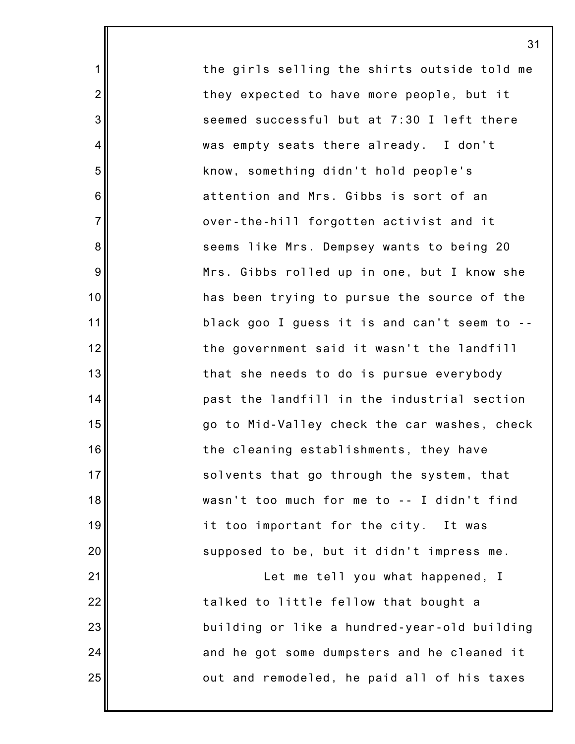the girls selling the shirts outside told me they expected to have more people, but it seemed successful but at 7:30 I left there was empty seats there already. I don't know, something didn't hold people's attention and Mrs. Gibbs is sort of an over-the-hill forgotten activist and it seems like Mrs. Dempsey wants to being 20 Mrs. Gibbs rolled up in one, but I know she has been trying to pursue the source of the black goo I guess it is and can't seem to - the government said it wasn't the landfill that she needs to do is pursue everybody past the landfill in the industrial section go to Mid-Valley check the car washes, check the cleaning establishments, they have solvents that go through the system, that wasn't too much for me to -- I didn't find it too important for the city. It was supposed to be, but it didn't impress me. Let me tell you what happened, I

31

1

2

3

4

5

6

7

8

9

10

11

12

13

14

15

16

17

18

19

20

21

22

23

24

25

talked to little fellow that bought a building or like a hundred-year-old building and he got some dumpsters and he cleaned it out and remodeled, he paid all of his taxes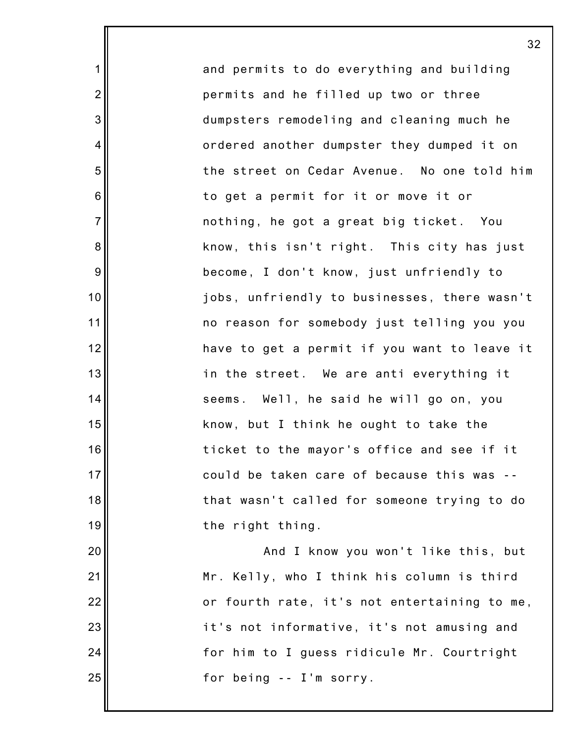and permits to do everything and building permits and he filled up two or three dumpsters remodeling and cleaning much he ordered another dumpster they dumped it on the street on Cedar Avenue. No one told him to get a permit for it or move it or nothing, he got a great big ticket. You know, this isn't right. This city has just become, I don't know, just unfriendly to jobs, unfriendly to businesses, there wasn't no reason for somebody just telling you you have to get a permit if you want to leave it in the street. We are anti everything it seems. Well, he said he will go on, you know, but I think he ought to take the ticket to the mayor's office and see if it could be taken care of because this was - that wasn't called for someone trying to do the right thing.

1

2

3

4

5

6

7

8

9

10

11

12

13

14

15

16

17

18

19

20

21

22

23

24

25

And I know you won't like this, but Mr. Kelly, who I think his column is third or fourth rate, it's not entertaining to me, it's not informative, it's not amusing and for him to I guess ridicule Mr. Courtright for being -- I'm sorry.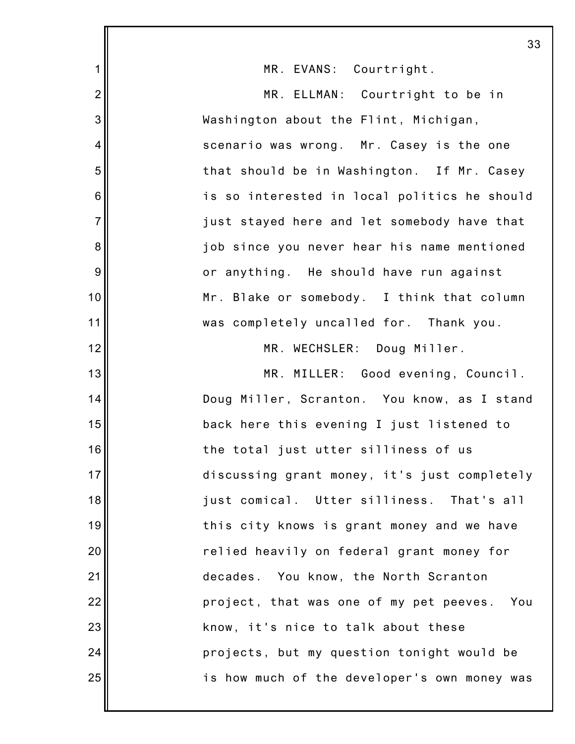|                | 33                                           |
|----------------|----------------------------------------------|
| 1              | MR. EVANS: Courtright.                       |
| $\overline{2}$ | MR. ELLMAN: Courtright to be in              |
| 3              | Washington about the Flint, Michigan,        |
| $\overline{4}$ | scenario was wrong. Mr. Casey is the one     |
| 5              | that should be in Washington. If Mr. Casey   |
| 6              | is so interested in local politics he should |
| $\overline{7}$ | just stayed here and let somebody have that  |
| 8              | job since you never hear his name mentioned  |
| 9              | or anything. He should have run against      |
| 10             | Mr. Blake or somebody. I think that column   |
| 11             | was completely uncalled for. Thank you.      |
| 12             | MR. WECHSLER: Doug Miller.                   |
| 13             | MR. MILLER: Good evening, Council.           |
| 14             | Doug Miller, Scranton. You know, as I stand  |
| 15             | back here this evening I just listened to    |
| 16             | the total just utter silliness of us         |
| 17             | discussing grant money, it's just completely |
| 18             | just comical. Utter silliness.<br>That's all |
| 19             | this city knows is grant money and we have   |
| 20             | relied heavily on federal grant money for    |
| 21             | decades. You know, the North Scranton        |
| 22             | project, that was one of my pet peeves. You  |
| 23             | know, it's nice to talk about these          |
| 24             | projects, but my question tonight would be   |
| 25             | is how much of the developer's own money was |
|                |                                              |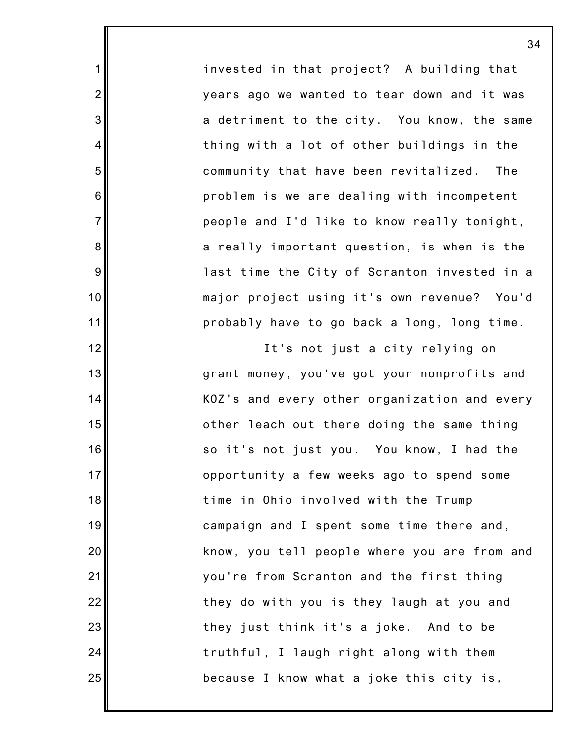invested in that project? A building that years ago we wanted to tear down and it was a detriment to the city. You know, the same thing with a lot of other buildings in the community that have been revitalized. The problem is we are dealing with incompetent people and I'd like to know really tonight, a really important question, is when is the last time the City of Scranton invested in a major project using it's own revenue? You'd probably have to go back a long, long time.

1

2

3

4

5

6

7

8

9

10

11

12

13

14

15

16

17

18

19

20

21

22

23

24

25

It's not just a city relying on grant money, you've got your nonprofits and KOZ's and every other organization and every other leach out there doing the same thing so it's not just you. You know, I had the opportunity a few weeks ago to spend some time in Ohio involved with the Trump campaign and I spent some time there and, know, you tell people where you are from and you're from Scranton and the first thing they do with you is they laugh at you and they just think it's a joke. And to be truthful, I laugh right along with them because I know what a joke this city is,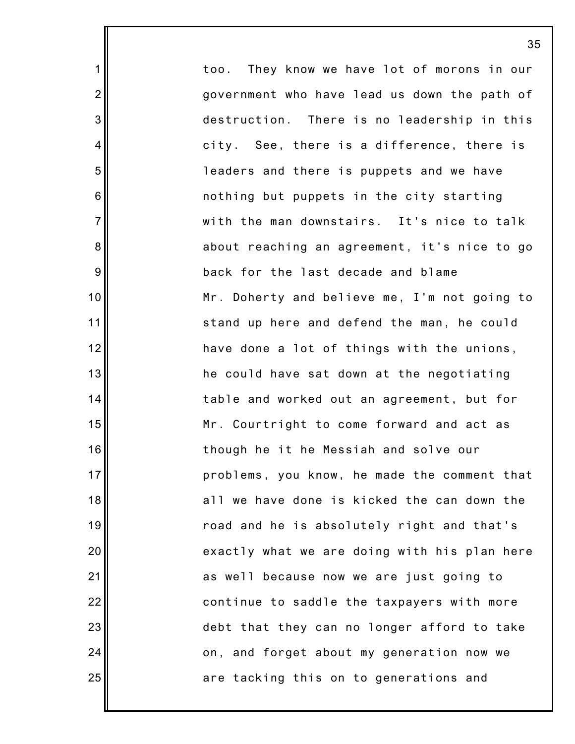|                 | 35                                           |
|-----------------|----------------------------------------------|
| 1               | too. They know we have lot of morons in our  |
| $\overline{2}$  | government who have lead us down the path of |
| 3               | destruction. There is no leadership in this  |
| 4               | city. See, there is a difference, there is   |
| 5               | leaders and there is puppets and we have     |
| $6\phantom{1}6$ | nothing but puppets in the city starting     |
| $\overline{7}$  | with the man downstairs. It's nice to talk   |
| $\bf 8$         | about reaching an agreement, it's nice to go |
| 9               | back for the last decade and blame           |
| 10              | Mr. Doherty and believe me, I'm not going to |
| 11              | stand up here and defend the man, he could   |
| 12              | have done a lot of things with the unions,   |
| 13              | he could have sat down at the negotiating    |
| 14              | table and worked out an agreement, but for   |
| 15              | Mr. Courtright to come forward and act as    |
| 16              | though he it he Messiah and solve our        |
| 17              | problems, you know, he made the comment that |
| 18              | all we have done is kicked the can down the  |
| 19              | road and he is absolutely right and that's   |
| 20              | exactly what we are doing with his plan here |
| 21              | as well because now we are just going to     |
| 22              | continue to saddle the taxpayers with more   |
| 23              | debt that they can no longer afford to take  |
| 24              | on, and forget about my generation now we    |
| 25              | are tacking this on to generations and       |
|                 |                                              |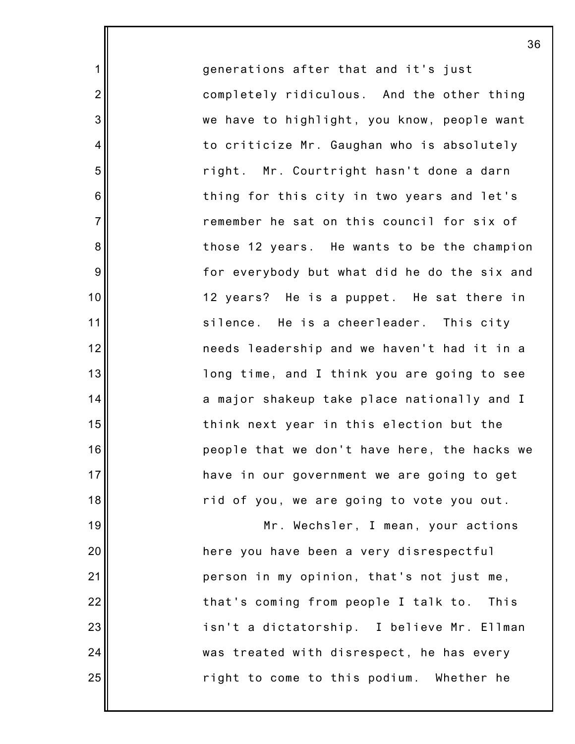generations after that and it's just completely ridiculous. And the other thing we have to highlight, you know, people want to criticize Mr. Gaughan who is absolutely right. Mr. Courtright hasn't done a darn thing for this city in two years and let's remember he sat on this council for six of those 12 years. He wants to be the champion for everybody but what did he do the six and 12 years? He is a puppet. He sat there in silence. He is a cheerleader. This city needs leadership and we haven't had it in a long time, and I think you are going to see a major shakeup take place nationally and I think next year in this election but the people that we don't have here, the hacks we have in our government we are going to get rid of you, we are going to vote you out.

1

2

3

4

5

6

7

8

9

10

11

12

13

14

15

16

17

18

19

20

21

22

23

24

25

Mr. Wechsler, I mean, your actions here you have been a very disrespectful person in my opinion, that's not just me, that's coming from people I talk to. This isn't a dictatorship. I believe Mr. Ellman was treated with disrespect, he has every right to come to this podium. Whether he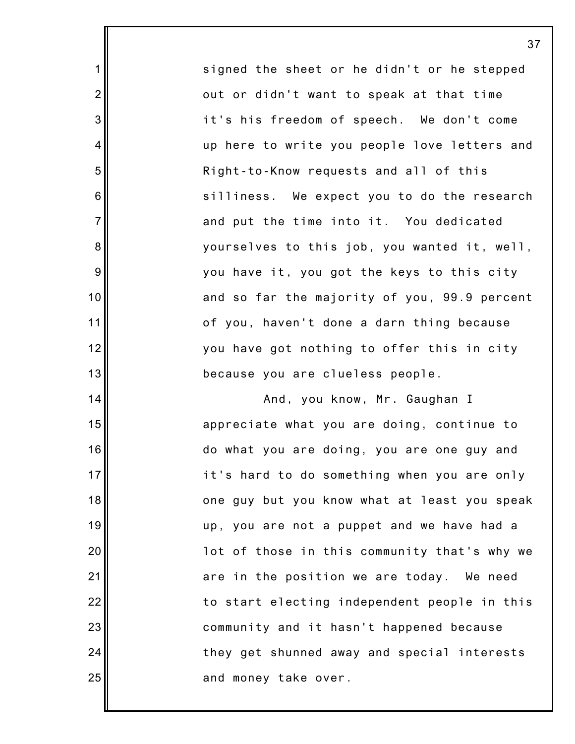signed the sheet or he didn't or he stepped out or didn't want to speak at that time it's his freedom of speech. We don't come up here to write you people love letters and Right-to-Know requests and all of this silliness. We expect you to do the research and put the time into it. You dedicated yourselves to this job, you wanted it, well, you have it, you got the keys to this city and so far the majority of you, 99.9 percent of you, haven't done a darn thing because you have got nothing to offer this in city because you are clueless people.

1

2

3

4

5

6

7

8

9

10

11

12

13

14

15

16

17

18

19

20

21

22

23

24

25

And, you know, Mr. Gaughan I appreciate what you are doing, continue to do what you are doing, you are one guy and it's hard to do something when you are only one guy but you know what at least you speak up, you are not a puppet and we have had a lot of those in this community that's why we are in the position we are today. We need to start electing independent people in this community and it hasn't happened because they get shunned away and special interests and money take over.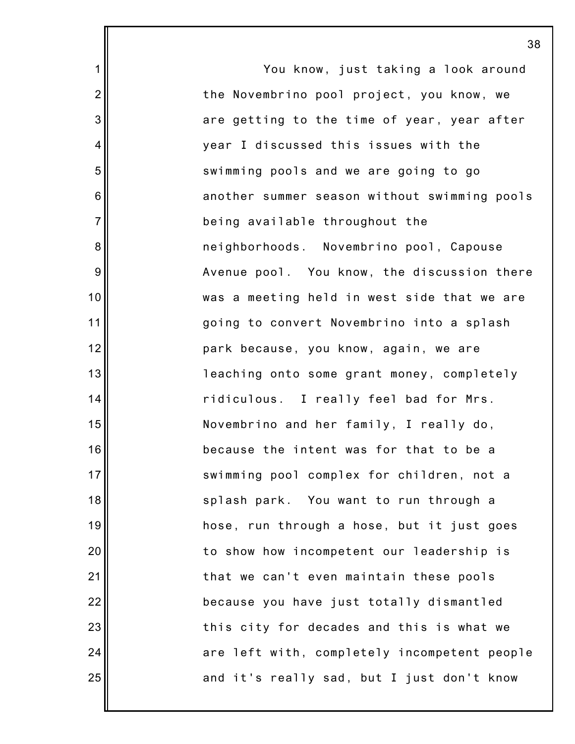You know, just taking a look around the Novembrino pool project, you know, we are getting to the time of year, year after year I discussed this issues with the swimming pools and we are going to go another summer season without swimming pools being available throughout the neighborhoods. Novembrino pool, Capouse Avenue pool. You know, the discussion there was a meeting held in west side that we are going to convert Novembrino into a splash park because, you know, again, we are leaching onto some grant money, completely ridiculous. I really feel bad for Mrs. Novembrino and her family, I really do, because the intent was for that to be a swimming pool complex for children, not a splash park. You want to run through a hose, run through a hose, but it just goes to show how incompetent our leadership is that we can't even maintain these pools because you have just totally dismantled this city for decades and this is what we are left with, completely incompetent people and it's really sad, but I just don't know

1

2

3

4

5

6

7

8

9

10

11

12

13

14

15

16

17

18

19

20

21

22

23

24

25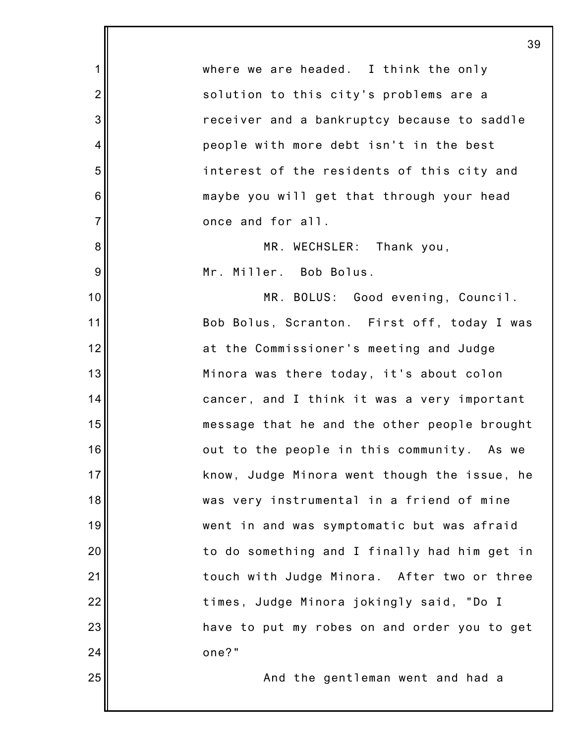1 2 3 4 5 6 7 8 9 10 11 12 13 14 15 16 17 18 19 20 21 22 23 24 25 39 where we are headed. I think the only solution to this city's problems are a receiver and a bankruptcy because to saddle people with more debt isn't in the best interest of the residents of this city and maybe you will get that through your head once and for all. MR. WECHSLER: Thank you, Mr. Miller. Bob Bolus. MR. BOLUS: Good evening, Council. Bob Bolus, Scranton. First off, today I was at the Commissioner's meeting and Judge Minora was there today, it's about colon cancer, and I think it was a very important message that he and the other people brought out to the people in this community. As we know, Judge Minora went though the issue, he was very instrumental in a friend of mine went in and was symptomatic but was afraid to do something and I finally had him get in touch with Judge Minora. After two or three times, Judge Minora jokingly said, "Do I have to put my robes on and order you to get one?" And the gentleman went and had a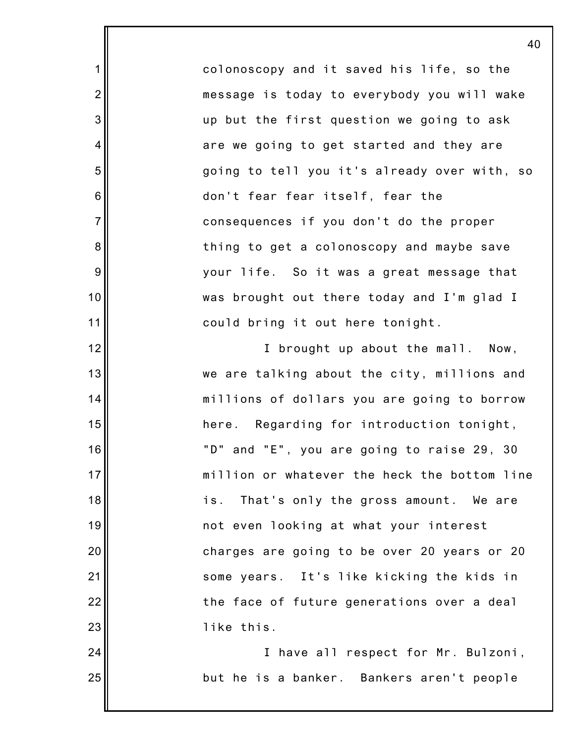colonoscopy and it saved his life, so the message is today to everybody you will wake up but the first question we going to ask are we going to get started and they are going to tell you it's already over with, so don't fear fear itself, fear the consequences if you don't do the proper thing to get a colonoscopy and maybe save your life. So it was a great message that was brought out there today and I'm glad I could bring it out here tonight.

1

2

3

4

5

6

7

8

9

10

11

12

13

14

15

16

17

18

19

20

21

22

23

24

25

I brought up about the mall. Now, we are talking about the city, millions and millions of dollars you are going to borrow here. Regarding for introduction tonight, "D" and "E", you are going to raise 29, 30 million or whatever the heck the bottom line is. That's only the gross amount. We are not even looking at what your interest charges are going to be over 20 years or 20 some years. It's like kicking the kids in the face of future generations over a deal like this.

I have all respect for Mr. Bulzoni, but he is a banker. Bankers aren't people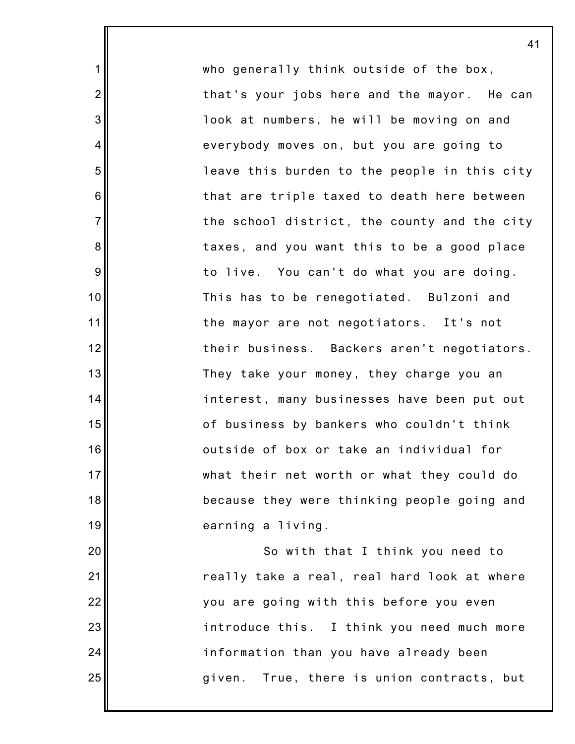who generally think outside of the box, that's your jobs here and the mayor. He can look at numbers, he will be moving on and everybody moves on, but you are going to leave this burden to the people in this city that are triple taxed to death here between the school district, the county and the city taxes, and you want this to be a good place to live. You can't do what you are doing. This has to be renegotiated. Bulzoni and the mayor are not negotiators. It's not their business. Backers aren't negotiators. They take your money, they charge you an interest, many businesses have been put out of business by bankers who couldn't think outside of box or take an individual for what their net worth or what they could do because they were thinking people going and earning a living.

1

2

3

4

5

6

7

8

9

10

11

12

13

14

15

16

17

18

19

20

21

22

23

24

25

So with that I think you need to really take a real, real hard look at where you are going with this before you even introduce this. I think you need much more information than you have already been given. True, there is union contracts, but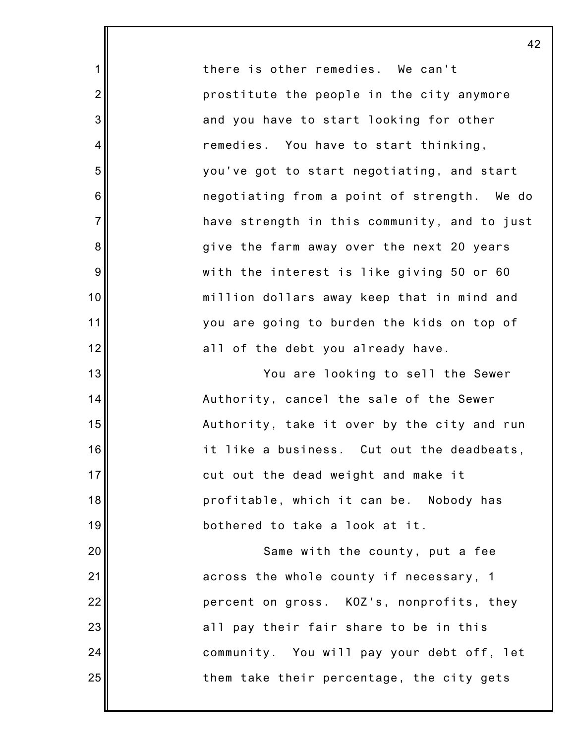there is other remedies. We can't prostitute the people in the city anymore and you have to start looking for other remedies. You have to start thinking, you've got to start negotiating, and start negotiating from a point of strength. We do have strength in this community, and to just give the farm away over the next 20 years with the interest is like giving 50 or 60 million dollars away keep that in mind and you are going to burden the kids on top of all of the debt you already have.

1

2

3

4

5

6

7

8

9

10

11

12

13

14

15

16

17

18

19

20

21

22

23

24

25

You are looking to sell the Sewer Authority, cancel the sale of the Sewer Authority, take it over by the city and run it like a business. Cut out the deadbeats, cut out the dead weight and make it profitable, which it can be. Nobody has bothered to take a look at it.

Same with the county, put a fee across the whole county if necessary, 1 percent on gross. KOZ's, nonprofits, they all pay their fair share to be in this community. You will pay your debt off, let them take their percentage, the city gets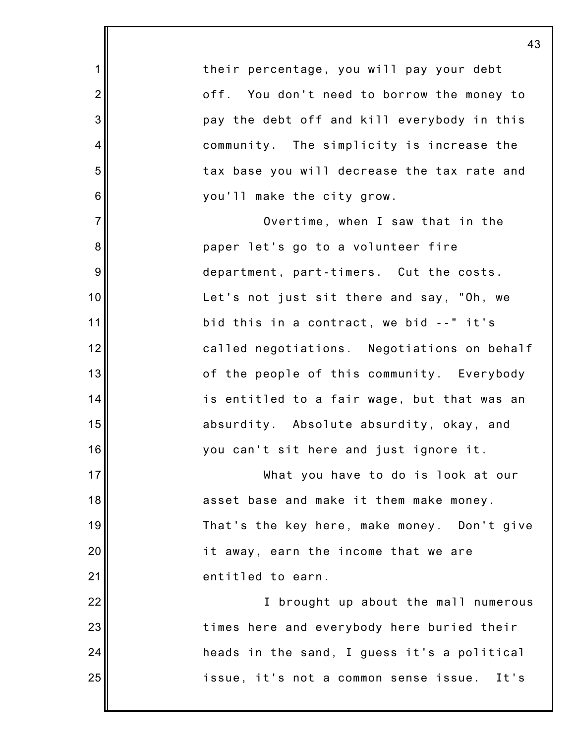|                  | 4                                           |
|------------------|---------------------------------------------|
| 1                | their percentage, you will pay your debt    |
| $\overline{2}$   | off. You don't need to borrow the money to  |
| $\mathbf{3}$     | pay the debt off and kill everybody in this |
| $\overline{4}$   | community. The simplicity is increase the   |
| $\mathbf 5$      | tax base you will decrease the tax rate and |
| $\,6$            | you'll make the city grow.                  |
| $\overline{7}$   | Overtime, when I saw that in the            |
| 8                | paper let's go to a volunteer fire          |
| $\boldsymbol{9}$ | department, part-timers. Cut the costs.     |
| 10               | Let's not just sit there and say, "Oh, we   |
| 11               | bid this in a contract, we bid --" it's     |
| 12               | called negotiations. Negotiations on behalf |
| 13               | of the people of this community. Everybody  |
| 14               | is entitled to a fair wage, but that was an |
| 15               | absurdity. Absolute absurdity, okay, and    |
| 16               | you can't sit here and just ignore it.      |
| 17               | What you have to do is look at our          |
| 18               | asset base and make it them make money.     |
| 19               | That's the key here, make money. Don't give |
| 20               | it away, earn the income that we are        |
| 21               | entitled to earn.                           |
| 22               | I brought up about the mall numerous        |
| 23               | times here and everybody here buried their  |
| 24               | heads in the sand, I guess it's a political |
| 25               | issue, it's not a common sense issue. It's  |
|                  |                                             |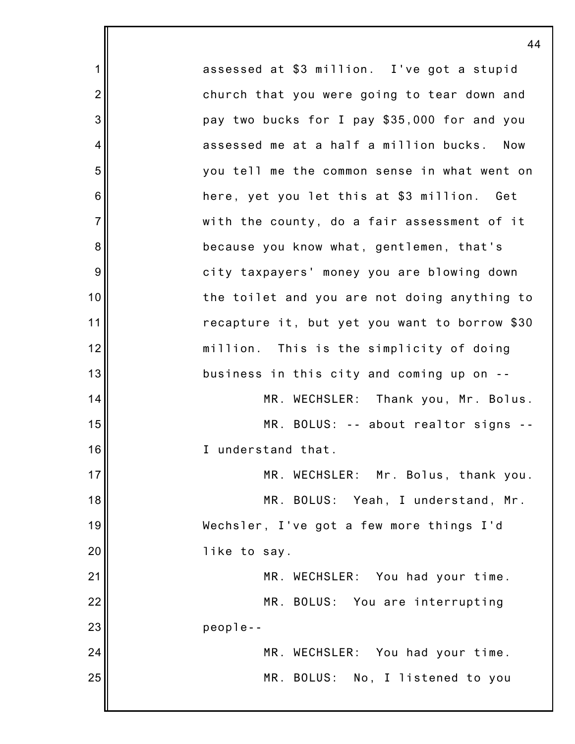1 2 3 4 5 6 7 8 9 10 11 12 13 14 15 16 17 18 19 20 21 22 23 24 25 assessed at \$3 million. I've got a stupid church that you were going to tear down and pay two bucks for I pay \$35,000 for and you assessed me at a half a million bucks. Now you tell me the common sense in what went on here, yet you let this at \$3 million. Get with the county, do a fair assessment of it because you know what, gentlemen, that's city taxpayers' money you are blowing down the toilet and you are not doing anything to recapture it, but yet you want to borrow \$30 million. This is the simplicity of doing business in this city and coming up on -- MR. WECHSLER: Thank you, Mr. Bolus. MR. BOLUS: -- about realtor signs -- I understand that. MR. WECHSLER: Mr. Bolus, thank you. MR. BOLUS: Yeah, I understand, Mr. Wechsler, I've got a few more things I'd like to say. MR. WECHSLER: You had your time. MR. BOLUS: You are interrupting people-- MR. WECHSLER: You had your time. MR. BOLUS: No, I listened to you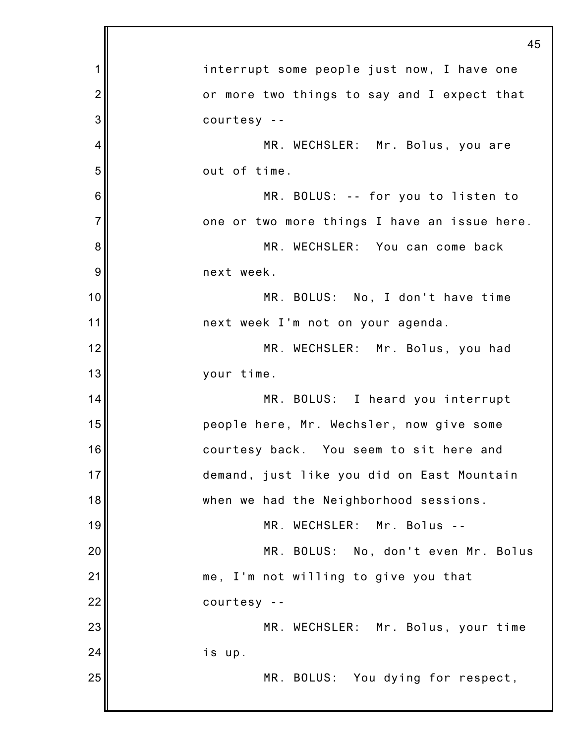|                | 45                                           |
|----------------|----------------------------------------------|
| 1              | interrupt some people just now, I have one   |
| $\overline{2}$ | or more two things to say and I expect that  |
| 3              | courtesy --                                  |
| 4              | MR. WECHSLER: Mr. Bolus, you are             |
| 5              | out of time.                                 |
| 6              | MR. BOLUS: -- for you to listen to           |
| $\overline{7}$ | one or two more things I have an issue here. |
| 8              | MR. WECHSLER: You can come back              |
| 9              | next week.                                   |
| 10             | MR. BOLUS: No, I don't have time             |
| 11             | next week I'm not on your agenda.            |
| 12             | MR. WECHSLER: Mr. Bolus, you had             |
| 13             | your time.                                   |
| 14             | MR. BOLUS: I heard you interrupt             |
| 15             | people here, Mr. Wechsler, now give some     |
| 16             | courtesy back. You seem to sit here and      |
| 17             | demand, just like you did on East Mountain   |
| 18             | when we had the Neighborhood sessions.       |
| 19             | MR. WECHSLER: Mr. Bolus --                   |
| 20             | MR. BOLUS: No, don't even Mr. Bolus          |
| 21             | me, I'm not willing to give you that         |
| 22             | courtesy --                                  |
| 23             | MR. WECHSLER: Mr. Bolus, your time           |
| 24             | is up.                                       |
| 25             | MR. BOLUS: You dying for respect,            |
|                |                                              |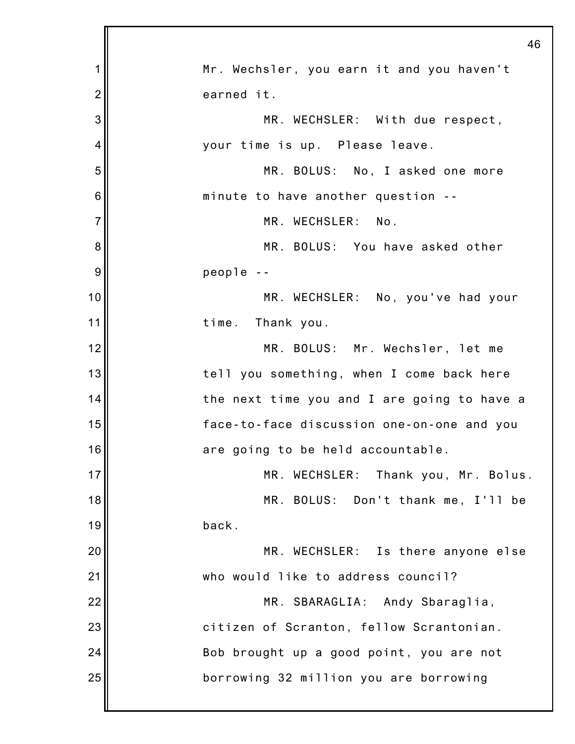|                | 46                                          |
|----------------|---------------------------------------------|
| 1              | Mr. Wechsler, you earn it and you haven't   |
| $\overline{2}$ | earned it.                                  |
| 3              | MR. WECHSLER: With due respect,             |
| 4              | your time is up. Please leave.              |
| 5              | MR. BOLUS: No, I asked one more             |
| 6              | minute to have another question --          |
| $\overline{7}$ | MR. WECHSLER: No.                           |
| 8              | MR. BOLUS: You have asked other             |
| 9              | people --                                   |
| 10             | MR. WECHSLER: No, you've had your           |
| 11             | time. Thank you.                            |
| 12             | MR. BOLUS: Mr. Wechsler, let me             |
| 13             | tell you something, when I come back here   |
| 14             | the next time you and I are going to have a |
| 15             | face-to-face discussion one-on-one and you  |
| 16             | are going to be held accountable.           |
| 17             | MR. WECHSLER: Thank you, Mr. Bolus.         |
| 18             | MR. BOLUS: Don't thank me, I'll be          |
| 19             | back.                                       |
| 20             | MR. WECHSLER: Is there anyone else          |
| 21             | who would like to address council?          |
| 22             | MR. SBARAGLIA: Andy Sbaraglia,              |
| 23             | citizen of Scranton, fellow Scrantonian.    |
| 24             | Bob brought up a good point, you are not    |
| 25             | borrowing 32 million you are borrowing      |
|                |                                             |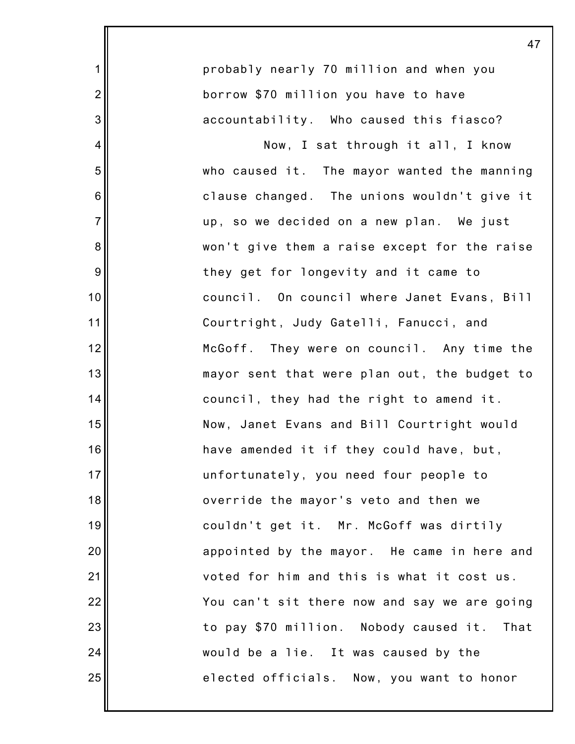|                | 47                                           |
|----------------|----------------------------------------------|
| $\mathbf{1}$   | probably nearly 70 million and when you      |
| $\overline{2}$ | borrow \$70 million you have to have         |
| 3              | accountability. Who caused this fiasco?      |
| $\overline{4}$ | Now, I sat through it all, I know            |
| 5              | who caused it. The mayor wanted the manning  |
| 6              | clause changed. The unions wouldn't give it  |
| $\overline{7}$ | up, so we decided on a new plan. We just     |
| 8              | won't give them a raise except for the raise |
| 9              | they get for longevity and it came to        |
| 10             | council. On council where Janet Evans, Bill  |
| 11             | Courtright, Judy Gatelli, Fanucci, and       |
| 12             | McGoff. They were on council. Any time the   |
| 13             | mayor sent that were plan out, the budget to |
| 14             | council, they had the right to amend it.     |
| 15             | Now, Janet Evans and Bill Courtright would   |
| 16             | have amended it if they could have, but,     |
| 17             | unfortunately, you need four people to       |
| 18             | override the mayor's veto and then we        |
| 19             | couldn't get it. Mr. McGoff was dirtily      |
| 20             | appointed by the mayor. He came in here and  |
| 21             | voted for him and this is what it cost us.   |
| 22             | You can't sit there now and say we are going |
| 23             | to pay \$70 million. Nobody caused it. That  |
| 24             | would be a lie. It was caused by the         |
| 25             | elected officials. Now, you want to honor    |
|                |                                              |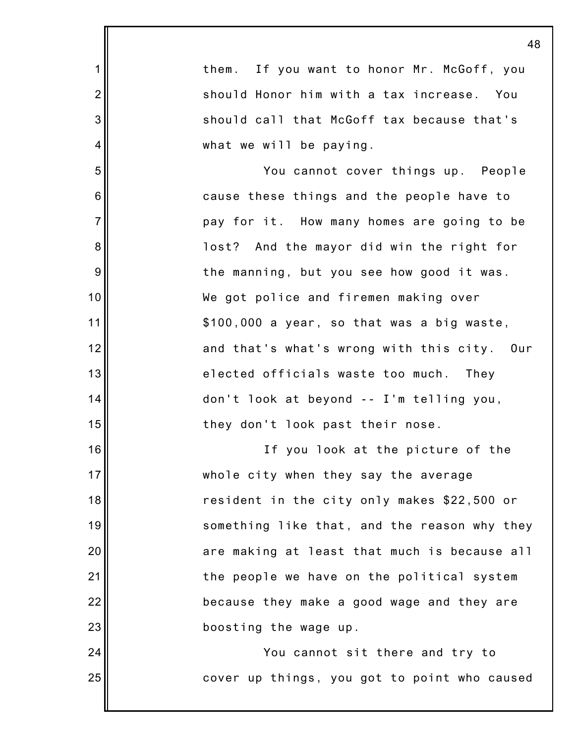1 2 3 4 5 6 7 8 9 10 11 12 13 14 15 16 17 18 19 20 21 22 23 24 25 48 them. If you want to honor Mr. McGoff, you should Honor him with a tax increase. You should call that McGoff tax because that's what we will be paying. You cannot cover things up. People cause these things and the people have to pay for it. How many homes are going to be lost? And the mayor did win the right for the manning, but you see how good it was. We got police and firemen making over \$100,000 a year, so that was a big waste, and that's what's wrong with this city. Our elected officials waste too much. They don't look at beyond -- I'm telling you, they don't look past their nose. If you look at the picture of the whole city when they say the average resident in the city only makes \$22,500 or something like that, and the reason why they are making at least that much is because all the people we have on the political system because they make a good wage and they are boosting the wage up. You cannot sit there and try to cover up things, you got to point who caused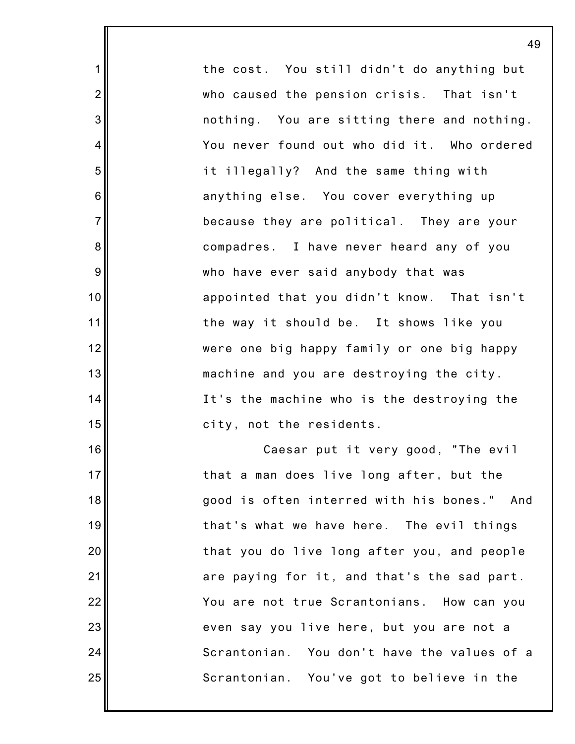the cost. You still didn't do anything but who caused the pension crisis. That isn't nothing. You are sitting there and nothing. You never found out who did it. Who ordered it illegally? And the same thing with anything else. You cover everything up because they are political. They are your compadres. I have never heard any of you who have ever said anybody that was appointed that you didn't know. That isn't the way it should be. It shows like you were one big happy family or one big happy machine and you are destroying the city. It's the machine who is the destroying the city, not the residents. Caesar put it very good, "The evil that a man does live long after, but the good is often interred with his bones." And that's what we have here. The evil things that you do live long after you, and people are paying for it, and that's the sad part. You are not true Scrantonians. How can you even say you live here, but you are not a Scrantonian. You don't have the values of a Scrantonian. You've got to believe in the

49

1

2

3

4

5

6

7

8

9

10

11

12

13

14

15

16

17

18

19

20

21

22

23

24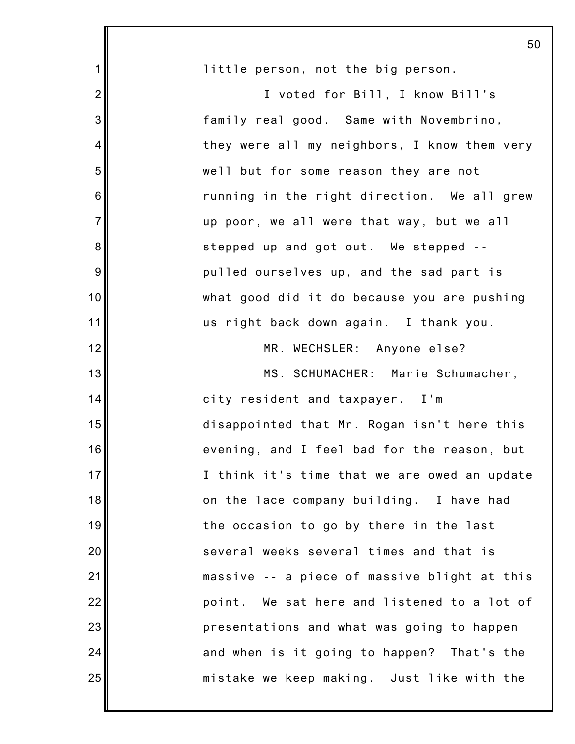|                  | 50                                           |
|------------------|----------------------------------------------|
| $\mathbf 1$      | little person, not the big person.           |
| $\overline{2}$   | I voted for Bill, I know Bill's              |
| $\mathbf{3}$     | family real good. Same with Novembrino,      |
| 4                | they were all my neighbors, I know them very |
| 5                | well but for some reason they are not        |
| 6                | running in the right direction. We all grew  |
| $\overline{7}$   | up poor, we all were that way, but we all    |
| $\bf 8$          | stepped up and got out. We stepped --        |
| $\boldsymbol{9}$ | pulled ourselves up, and the sad part is     |
| 10               | what good did it do because you are pushing  |
| 11               | us right back down again. I thank you.       |
| 12               | MR. WECHSLER: Anyone else?                   |
| 13               | MS. SCHUMACHER: Marie Schumacher,            |
| 14               | city resident and taxpayer. I'm              |
| 15               | disappointed that Mr. Rogan isn't here this  |
| 16               | evening, and I feel bad for the reason, but  |
| 17               | I think it's time that we are owed an update |
| 18               | on the lace company building. I have had     |
| 19               | the occasion to go by there in the last      |
| 20               | several weeks several times and that is      |
| 21               | massive -- a piece of massive blight at this |
| 22               | point. We sat here and listened to a lot of  |
| 23               | presentations and what was going to happen   |
| 24               | and when is it going to happen? That's the   |
| 25               | mistake we keep making. Just like with the   |
|                  |                                              |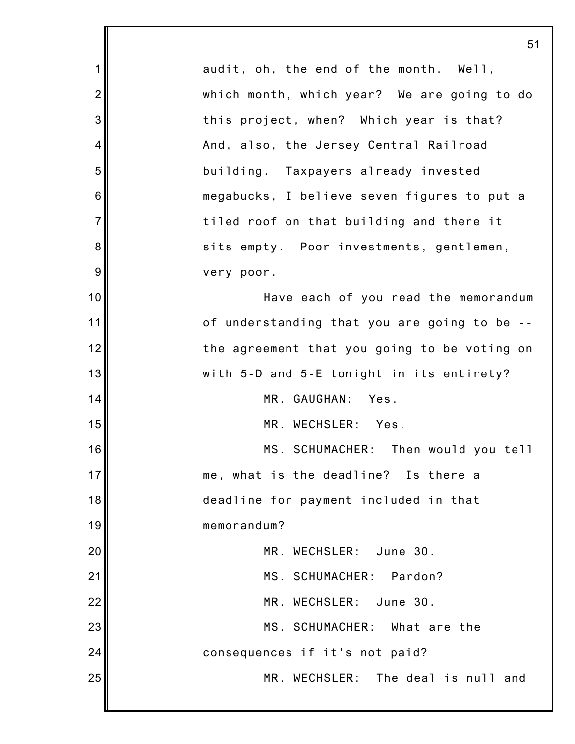|                | 51                                           |
|----------------|----------------------------------------------|
| 1              | audit, oh, the end of the month. Well,       |
| $\overline{2}$ | which month, which year? We are going to do  |
| 3              | this project, when? Which year is that?      |
| 4              | And, also, the Jersey Central Railroad       |
| 5              | building. Taxpayers already invested         |
| 6              | megabucks, I believe seven figures to put a  |
| $\overline{7}$ | tiled roof on that building and there it     |
| 8              | sits empty. Poor investments, gentlemen,     |
| 9              | very poor.                                   |
| 10             | Have each of you read the memorandum         |
| 11             | of understanding that you are going to be -- |
| 12             | the agreement that you going to be voting on |
| 13             | with 5-D and 5-E tonight in its entirety?    |
| 14             | MR. GAUGHAN:<br>Yes.                         |
| 15             | MR. WECHSLER: Yes.                           |
| 16             | MS. SCHUMACHER: Then would you tell          |
| 17             | me, what is the deadline? Is there a         |
| 18             | deadline for payment included in that        |
| 19             | memorandum?                                  |
| 20             | MR. WECHSLER: June 30.                       |
| 21             | MS. SCHUMACHER: Pardon?                      |
| 22             | MR. WECHSLER: June 30.                       |
| 23             | MS. SCHUMACHER: What are the                 |
| 24             | consequences if it's not paid?               |
| 25             | MR. WECHSLER: The deal is null and           |
|                |                                              |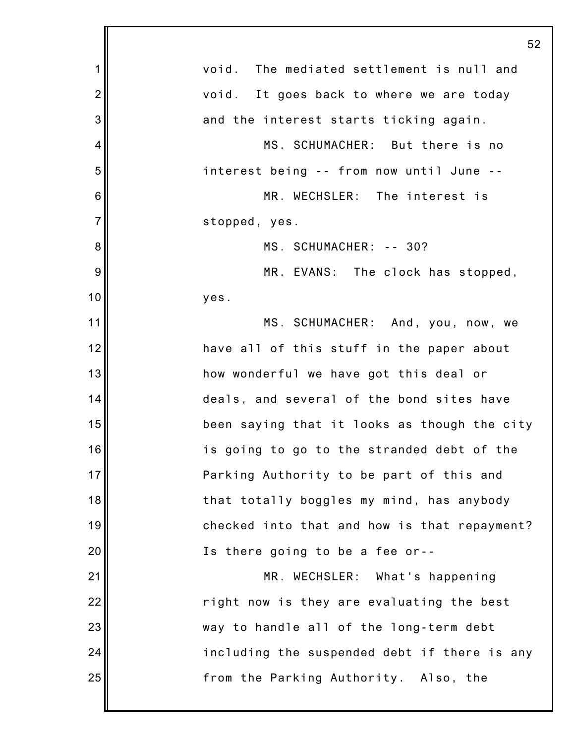|                | 52                                           |
|----------------|----------------------------------------------|
| 1              | void. The mediated settlement is null and    |
| $\overline{2}$ | void. It goes back to where we are today     |
| 3              | and the interest starts ticking again.       |
| 4              | MS. SCHUMACHER: But there is no              |
| 5              | interest being -- from now until June --     |
| 6              | MR. WECHSLER: The interest is                |
| $\overline{7}$ | stopped, yes.                                |
| 8              | MS. SCHUMACHER: -- 30?                       |
| 9              | MR. EVANS: The clock has stopped,            |
| 10             | yes.                                         |
| 11             | MS. SCHUMACHER: And, you, now, we            |
| 12             | have all of this stuff in the paper about    |
| 13             | how wonderful we have got this deal or       |
| 14             | deals, and several of the bond sites have    |
| 15             | been saying that it looks as though the city |
| 16             | is going to go to the stranded debt of the   |
| 17             | Parking Authority to be part of this and     |
| 18             | that totally boggles my mind, has anybody    |
| 19             | checked into that and how is that repayment? |
| 20             | Is there going to be a fee or--              |
| 21             | MR. WECHSLER: What's happening               |
| 22             | right now is they are evaluating the best    |
| 23             | way to handle all of the long-term debt      |
| 24             | including the suspended debt if there is any |
| 25             | from the Parking Authority. Also, the        |
|                |                                              |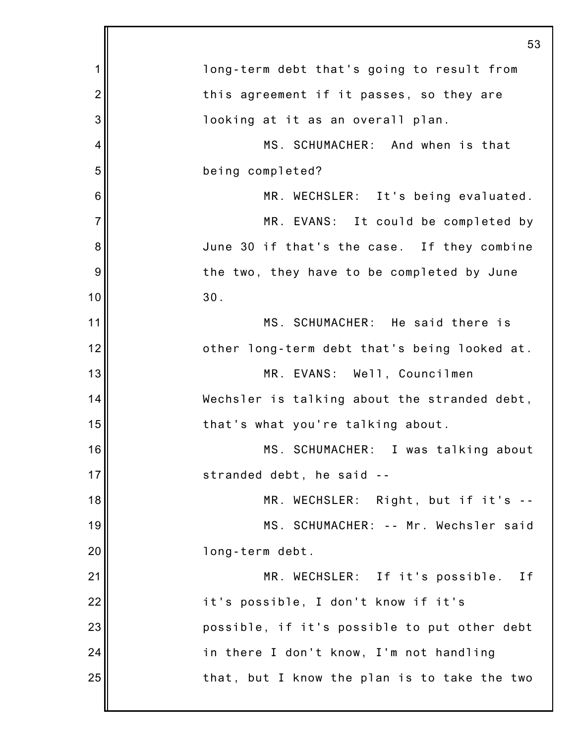|                | 53                                           |
|----------------|----------------------------------------------|
| 1              | long-term debt that's going to result from   |
| $\overline{2}$ | this agreement if it passes, so they are     |
| 3              | looking at it as an overall plan.            |
| 4              | MS. SCHUMACHER: And when is that             |
| 5              | being completed?                             |
| 6              | MR. WECHSLER: It's being evaluated.          |
| $\overline{7}$ | MR. EVANS: It could be completed by          |
| 8              | June 30 if that's the case. If they combine  |
| 9              | the two, they have to be completed by June   |
| 10             | 30.                                          |
| 11             | MS. SCHUMACHER: He said there is             |
| 12             | other long-term debt that's being looked at. |
| 13             | MR. EVANS: Well, Councilmen                  |
| 14             | Wechsler is talking about the stranded debt, |
| 15             | that's what you're talking about.            |
| 16             | MS. SCHUMACHER: I was talking about          |
| 17             | stranded debt, he said                       |
| 18             | MR. WECHSLER: Right, but if it's --          |
| 19             | MS. SCHUMACHER: -- Mr. Wechsler said         |
| 20             | long-term debt.                              |
| 21             | MR. WECHSLER: If it's possible.<br>Ιf        |
| 22             | it's possible, I don't know if it's          |
| 23             | possible, if it's possible to put other debt |
| 24             | in there I don't know, I'm not handling      |
| 25             | that, but I know the plan is to take the two |
|                |                                              |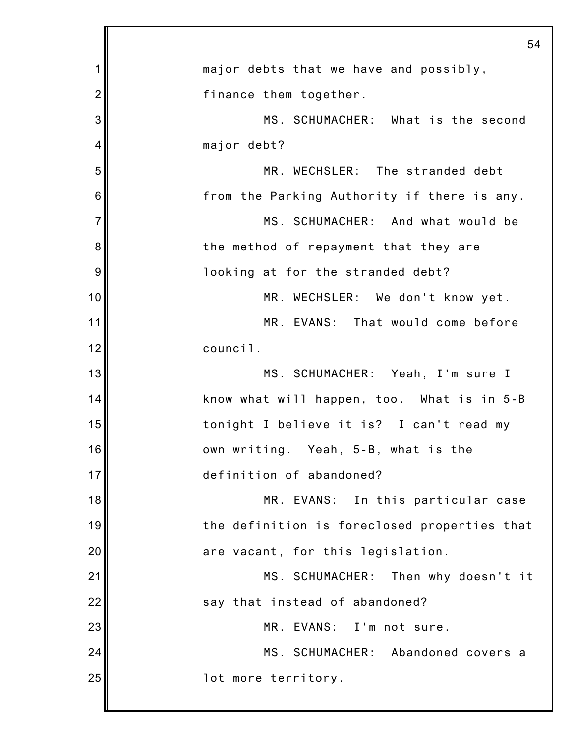|                | 54                                           |
|----------------|----------------------------------------------|
| 1              | major debts that we have and possibly,       |
| $\overline{2}$ | finance them together.                       |
| 3              | MS. SCHUMACHER: What is the second           |
| 4              | major debt?                                  |
| 5              | MR. WECHSLER: The stranded debt              |
| 6              | from the Parking Authority if there is any.  |
| $\overline{7}$ | MS. SCHUMACHER: And what would be            |
| 8              | the method of repayment that they are        |
| 9              | looking at for the stranded debt?            |
| 10             | MR. WECHSLER: We don't know yet.             |
| 11             | MR. EVANS: That would come before            |
| 12             | council.                                     |
| 13             | MS. SCHUMACHER: Yeah, I'm sure I             |
| 14             | know what will happen, too. What is in 5-B   |
| 15             | tonight I believe it is? I can't read my     |
| 16             | own writing. Yeah, 5-B, what is the          |
| 17             | definition of abandoned?                     |
| 18             | MR. EVANS: In this particular case           |
| 19             | the definition is foreclosed properties that |
| 20             | are vacant, for this legislation.            |
| 21             | MS. SCHUMACHER: Then why doesn't it          |
| 22             | say that instead of abandoned?               |
| 23             | MR. EVANS: I'm not sure.                     |
| 24             | MS. SCHUMACHER: Abandoned covers a           |
| 25             | lot more territory.                          |
|                |                                              |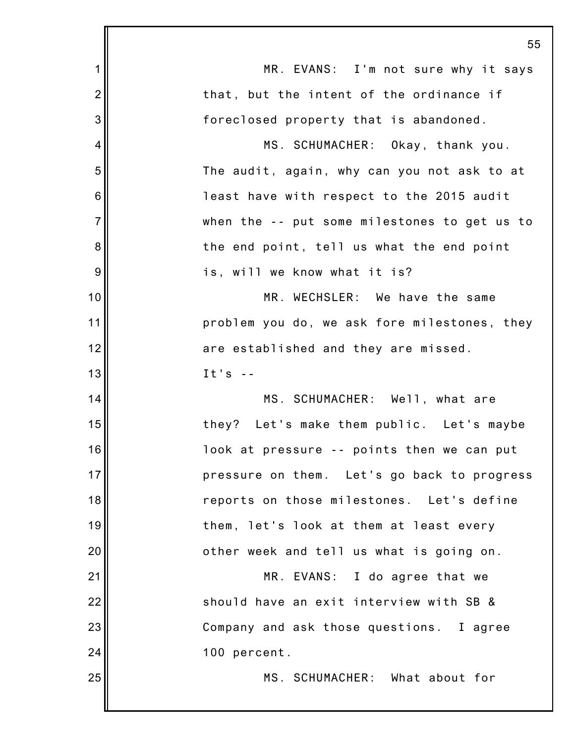|                | 55                                           |
|----------------|----------------------------------------------|
| $\mathbf 1$    | MR. EVANS: I'm not sure why it says          |
| $\overline{2}$ | that, but the intent of the ordinance if     |
| 3              | foreclosed property that is abandoned.       |
| 4              | MS. SCHUMACHER: Okay, thank you.             |
| 5              | The audit, again, why can you not ask to at  |
| 6              | least have with respect to the 2015 audit    |
| $\overline{7}$ | when the -- put some milestones to get us to |
| 8              | the end point, tell us what the end point    |
| 9              | is, will we know what it is?                 |
| 10             | MR. WECHSLER: We have the same               |
| 11             | problem you do, we ask fore milestones, they |
| 12             | are established and they are missed.         |
| 13             | It's $-$                                     |
| 14             | MS. SCHUMACHER: Well, what are               |
| 15             | they? Let's make them public. Let's maybe    |
| 16             | look at pressure -- points then we can put   |
| 17             | pressure on them. Let's go back to progress  |
| 18             | reports on those milestones. Let's define    |
| 19             | them, let's look at them at least every      |
| 20             | other week and tell us what is going on.     |
| 21             | MR. EVANS: I do agree that we                |
| 22             | should have an exit interview with SB &      |
| 23             | Company and ask those questions. I agree     |
| 24             | 100 percent.                                 |
| 25             | MS. SCHUMACHER: What about for               |
|                |                                              |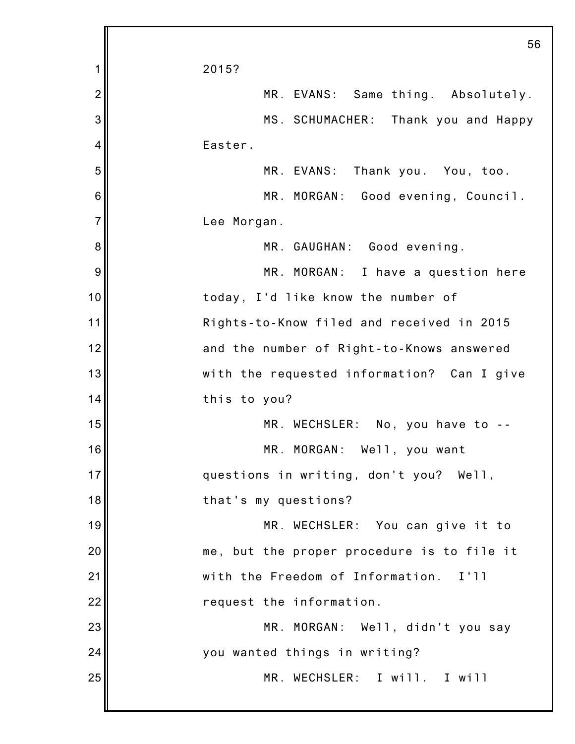|                 | 56                                         |
|-----------------|--------------------------------------------|
| 1               | 2015?                                      |
| $\overline{2}$  | MR. EVANS: Same thing. Absolutely.         |
| 3               | MS. SCHUMACHER: Thank you and Happy        |
| 4               | Easter.                                    |
| 5               | MR. EVANS: Thank you. You, too.            |
| $6\phantom{1}6$ | MR. MORGAN: Good evening, Council.         |
| $\overline{7}$  | Lee Morgan.                                |
| 8               | MR. GAUGHAN: Good evening.                 |
| 9               | MR. MORGAN: I have a question here         |
| 10              | today, I'd like know the number of         |
| 11              | Rights-to-Know filed and received in 2015  |
| 12              | and the number of Right-to-Knows answered  |
| 13              | with the requested information? Can I give |
| 14              | this to you?                               |
| 15              | MR. WECHSLER: No, you have to --           |
| 16              | MR. MORGAN: Well, you want                 |
| 17              | questions in writing, don't you? Well,     |
| 18              | that's my questions?                       |
| 19              | MR. WECHSLER: You can give it to           |
| 20              | me, but the proper procedure is to file it |
| 21              | with the Freedom of Information.<br>I'II   |
| 22              | request the information.                   |
| 23              | MR. MORGAN: Well, didn't you say           |
| 24              | you wanted things in writing?              |
| 25              | MR. WECHSLER: I will. I will               |
|                 |                                            |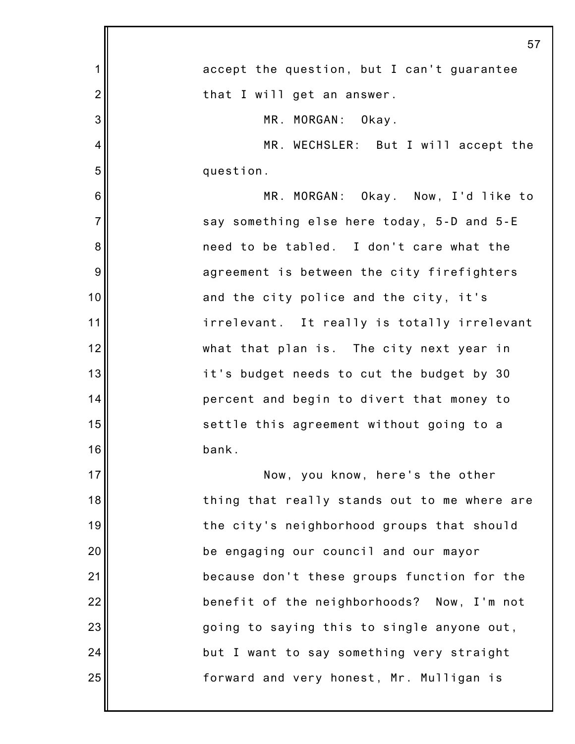|                | 57                                           |
|----------------|----------------------------------------------|
| 1              | accept the question, but I can't guarantee   |
| $\overline{2}$ | that I will get an answer.                   |
| 3              | MR. MORGAN: Okay.                            |
| 4              | MR. WECHSLER: But I will accept the          |
| 5              | question.                                    |
| 6              | MR. MORGAN: Okay. Now, I'd like to           |
| $\overline{7}$ | say something else here today, 5-D and 5-E   |
| 8              | need to be tabled. I don't care what the     |
| 9              | agreement is between the city firefighters   |
| 10             | and the city police and the city, it's       |
| 11             | irrelevant. It really is totally irrelevant  |
| 12             | what that plan is. The city next year in     |
| 13             | it's budget needs to cut the budget by 30    |
| 14             | percent and begin to divert that money to    |
| 15             | settle this agreement without going to a     |
| 16             | bank.                                        |
| 17             | Now, you know, here's the other              |
| 18             | thing that really stands out to me where are |
| 19             | the city's neighborhood groups that should   |
| 20             | be engaging our council and our mayor        |
| 21             | because don't these groups function for the  |
| 22             | benefit of the neighborhoods? Now, I'm not   |
| 23             | going to saying this to single anyone out,   |
| 24             | but I want to say something very straight    |
| 25             | forward and very honest, Mr. Mulligan is     |
|                |                                              |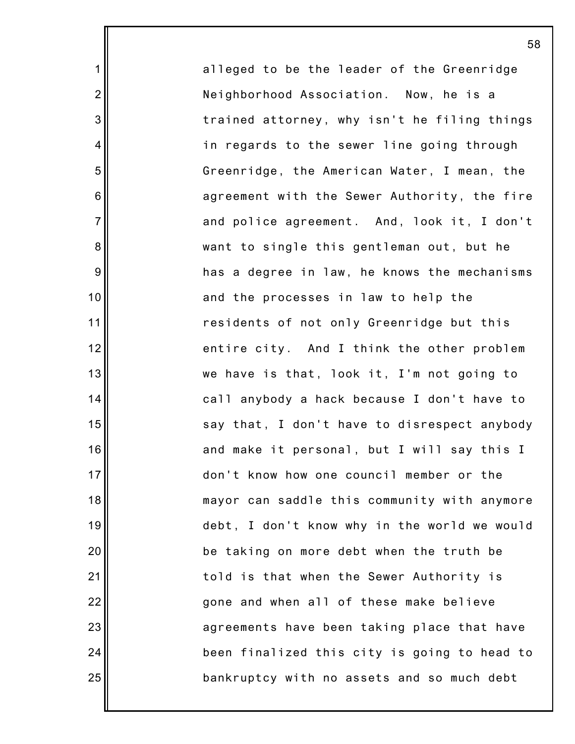alleged to be the leader of the Greenridge Neighborhood Association. Now, he is a trained attorney, why isn't he filing things in regards to the sewer line going through Greenridge, the American Water, I mean, the agreement with the Sewer Authority, the fire and police agreement. And, look it, I don't want to single this gentleman out, but he has a degree in law, he knows the mechanisms and the processes in law to help the residents of not only Greenridge but this entire city. And I think the other problem we have is that, look it, I'm not going to call anybody a hack because I don't have to say that, I don't have to disrespect anybody and make it personal, but I will say this I don't know how one council member or the mayor can saddle this community with anymore debt, I don't know why in the world we would be taking on more debt when the truth be told is that when the Sewer Authority is gone and when all of these make believe agreements have been taking place that have been finalized this city is going to head to bankruptcy with no assets and so much debt

58

1

2

3

4

5

6

7

8

9

10

11

12

13

14

15

16

17

18

19

20

21

22

23

24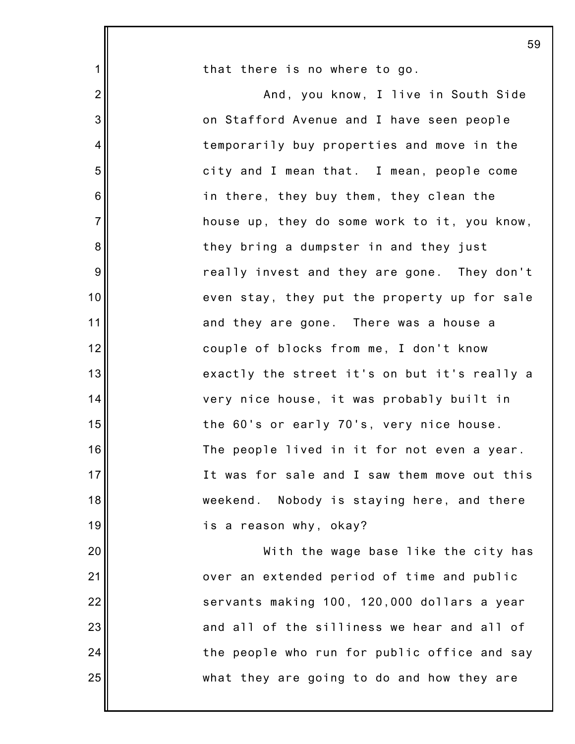|                | 59                                           |
|----------------|----------------------------------------------|
| $\mathbf 1$    | that there is no where to go.                |
| $\overline{2}$ | And, you know, I live in South Side          |
| 3              | on Stafford Avenue and I have seen people    |
| $\overline{4}$ | temporarily buy properties and move in the   |
| 5              | city and I mean that. I mean, people come    |
| 6              | in there, they buy them, they clean the      |
| $\overline{7}$ | house up, they do some work to it, you know, |
| 8              | they bring a dumpster in and they just       |
| 9              | really invest and they are gone. They don't  |
| 10             | even stay, they put the property up for sale |
| 11             | and they are gone. There was a house a       |
| 12             | couple of blocks from me, I don't know       |
| 13             | exactly the street it's on but it's really a |
| 14             | very nice house, it was probably built in    |
| 15             | the 60's or early 70's, very nice house.     |
| 16             | The people lived in it for not even a year.  |
| 17             | It was for sale and I saw them move out this |
| 18             | weekend. Nobody is staying here, and there   |
| 19             | is a reason why, okay?                       |
| 20             | With the wage base like the city has         |
| 21             | over an extended period of time and public   |
| 22             | servants making 100, 120,000 dollars a year  |
| 23             | and all of the silliness we hear and all of  |
| 24             | the people who run for public office and say |
| 25             | what they are going to do and how they are   |
|                |                                              |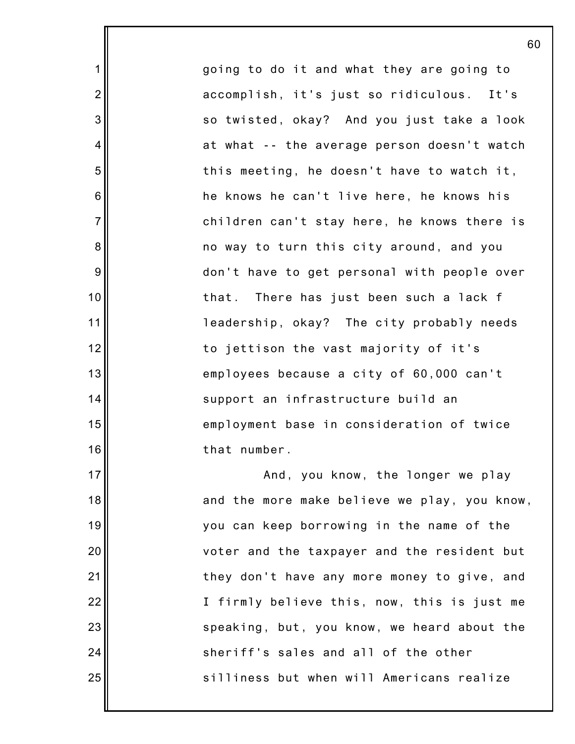going to do it and what they are going to accomplish, it's just so ridiculous. It's so twisted, okay? And you just take a look at what -- the average person doesn't watch this meeting, he doesn't have to watch it, he knows he can't live here, he knows his children can't stay here, he knows there is no way to turn this city around, and you don't have to get personal with people over that. There has just been such a lack f leadership, okay? The city probably needs to jettison the vast majority of it's employees because a city of 60,000 can't support an infrastructure build an employment base in consideration of twice that number. And, you know, the longer we play

1

2

3

4

5

6

7

8

9

10

11

12

13

14

15

16

17

18

19

20

21

22

23

24

25

and the more make believe we play, you know, you can keep borrowing in the name of the voter and the taxpayer and the resident but they don't have any more money to give, and I firmly believe this, now, this is just me speaking, but, you know, we heard about the sheriff's sales and all of the other silliness but when will Americans realize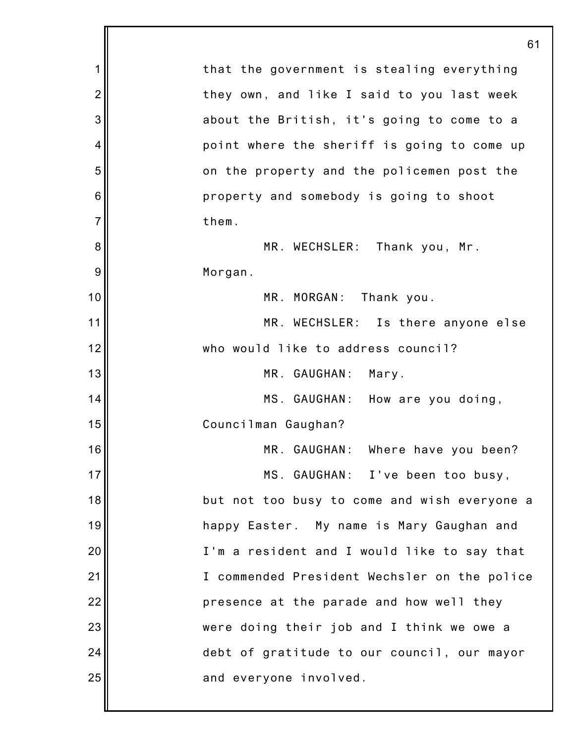|                | 61                                           |
|----------------|----------------------------------------------|
| 1              | that the government is stealing everything   |
| $\overline{2}$ | they own, and like I said to you last week   |
| 3              | about the British, it's going to come to a   |
| 4              | point where the sheriff is going to come up  |
| 5              | on the property and the policemen post the   |
| 6              | property and somebody is going to shoot      |
| $\overline{7}$ | them.                                        |
| 8              | MR. WECHSLER: Thank you, Mr.                 |
| 9              | Morgan.                                      |
| 10             | MR. MORGAN: Thank you.                       |
| 11             | MR. WECHSLER: Is there anyone else           |
| 12             | who would like to address council?           |
| 13             | MR. GAUGHAN:<br>Mary.                        |
| 14             | MS. GAUGHAN: How are you doing,              |
| 15             | Councilman Gaughan?                          |
| 16             | MR. GAUGHAN: Where have you been?            |
| 17             | MS. GAUGHAN: I've been too busy,             |
| 18             | but not too busy to come and wish everyone a |
| 19             | happy Easter. My name is Mary Gaughan and    |
| 20             | I'm a resident and I would like to say that  |
| 21             | I commended President Wechsler on the police |
| 22             | presence at the parade and how well they     |
| 23             | were doing their job and I think we owe a    |
| 24             | debt of gratitude to our council, our mayor  |
| 25             | and everyone involved.                       |
|                |                                              |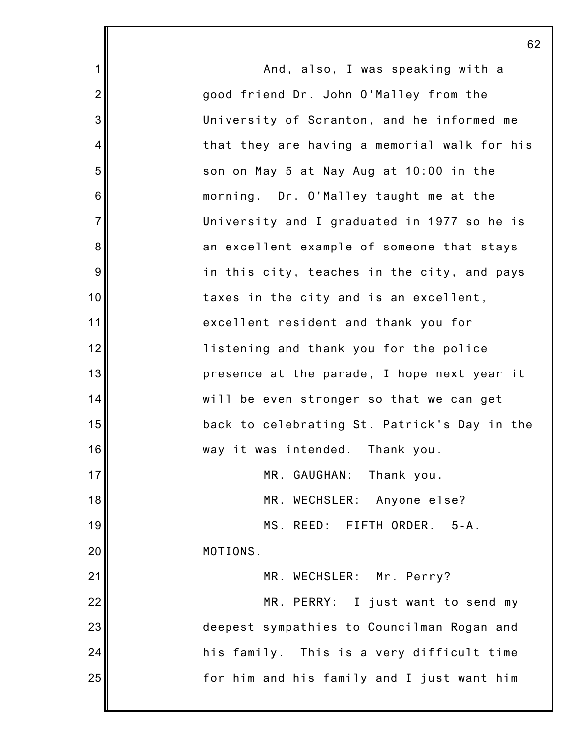|                | 62                                           |
|----------------|----------------------------------------------|
| 1              | And, also, I was speaking with a             |
| $\overline{2}$ | good friend Dr. John O'Malley from the       |
| 3              | University of Scranton, and he informed me   |
| 4              | that they are having a memorial walk for his |
| 5              | son on May 5 at Nay Aug at 10:00 in the      |
| 6              | morning. Dr. O'Malley taught me at the       |
| $\overline{7}$ | University and I graduated in 1977 so he is  |
| 8              | an excellent example of someone that stays   |
| 9              | in this city, teaches in the city, and pays  |
| 10             | taxes in the city and is an excellent,       |
| 11             | excellent resident and thank you for         |
| 12             | listening and thank you for the police       |
| 13             | presence at the parade, I hope next year it  |
| 14             | will be even stronger so that we can get     |
| 15             | back to celebrating St. Patrick's Day in the |
| 16             | way it was intended. Thank you.              |
| 17             | MR. GAUGHAN:<br>Thank you.                   |
| 18             | MR. WECHSLER: Anyone else?                   |
| 19             | MS. REED: FIFTH ORDER. 5-A.                  |
| 20             | MOTIONS.                                     |
| 21             | MR. WECHSLER: Mr. Perry?                     |
| 22             | MR. PERRY: I just want to send my            |
| 23             | deepest sympathies to Councilman Rogan and   |
| 24             | his family. This is a very difficult time    |
| 25             | for him and his family and I just want him   |
|                |                                              |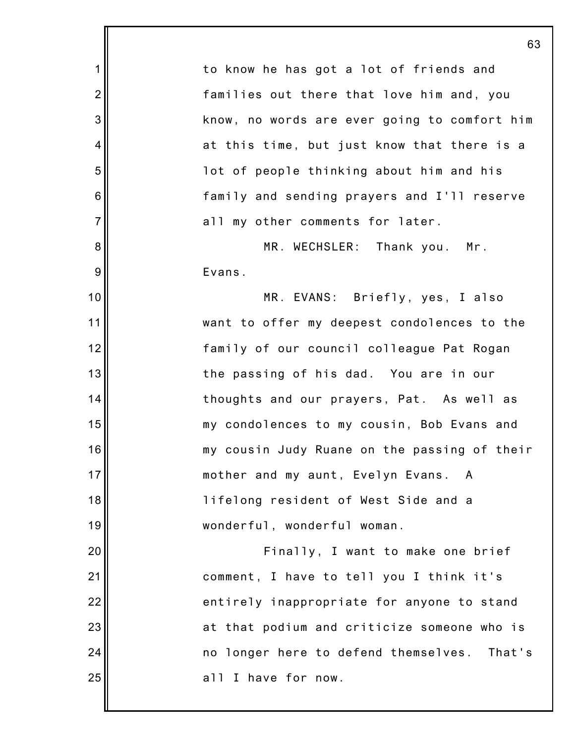1 2 3 4 5 6 7 8 9 10 11 12 13 14 15 16 17 18 19 20 21 22 23 24 25 63 to know he has got a lot of friends and families out there that love him and, you know, no words are ever going to comfort him at this time, but just know that there is a lot of people thinking about him and his family and sending prayers and I'll reserve all my other comments for later. MR. WECHSLER: Thank you. Mr. Evans. MR. EVANS: Briefly, yes, I also want to offer my deepest condolences to the family of our council colleague Pat Rogan the passing of his dad. You are in our thoughts and our prayers, Pat. As well as my condolences to my cousin, Bob Evans and my cousin Judy Ruane on the passing of their mother and my aunt, Evelyn Evans. A lifelong resident of West Side and a wonderful, wonderful woman. Finally, I want to make one brief comment, I have to tell you I think it's entirely inappropriate for anyone to stand at that podium and criticize someone who is no longer here to defend themselves. That's all I have for now.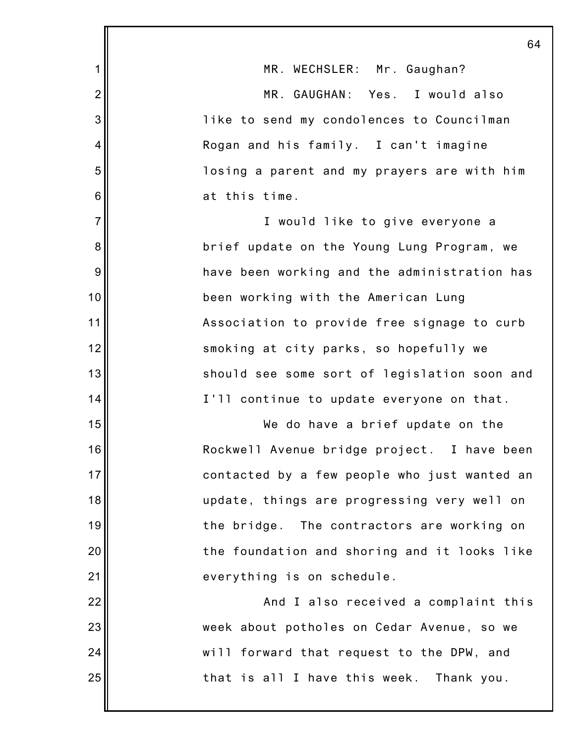|                | 64                                           |
|----------------|----------------------------------------------|
| 1              | MR. WECHSLER: Mr. Gaughan?                   |
| $\overline{2}$ | MR. GAUGHAN: Yes. I would also               |
| 3              | like to send my condolences to Councilman    |
| 4              | Rogan and his family. I can't imagine        |
| 5              | losing a parent and my prayers are with him  |
| 6              | at this time.                                |
| $\overline{7}$ | I would like to give everyone a              |
| 8              | brief update on the Young Lung Program, we   |
| 9              | have been working and the administration has |
| 10             | been working with the American Lung          |
| 11             | Association to provide free signage to curb  |
| 12             | smoking at city parks, so hopefully we       |
| 13             | should see some sort of legislation soon and |
| 14             | I'll continue to update everyone on that.    |
| 15             | We do have a brief update on the             |
| 16             | Rockwell Avenue bridge project. I have been  |
| 17             | contacted by a few people who just wanted an |
| 18             | update, things are progressing very well on  |
| 19             | the bridge. The contractors are working on   |
| 20             | the foundation and shoring and it looks like |
| 21             | everything is on schedule.                   |
| 22             | And I also received a complaint this         |
| 23             | week about potholes on Cedar Avenue, so we   |
| 24             | will forward that request to the DPW, and    |
| 25             | that is all I have this week. Thank you.     |
|                |                                              |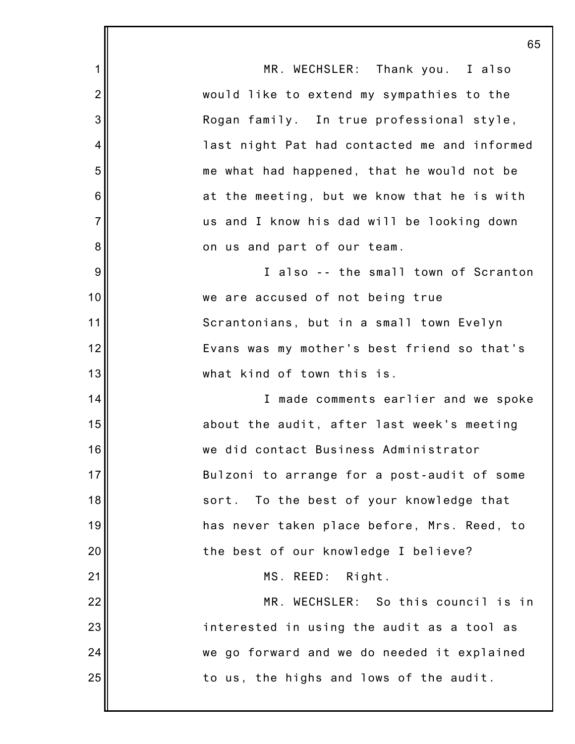|                | 65                                           |
|----------------|----------------------------------------------|
| 1              | MR. WECHSLER: Thank you. I also              |
| $\overline{2}$ | would like to extend my sympathies to the    |
| 3              | Rogan family. In true professional style,    |
| 4              | last night Pat had contacted me and informed |
| 5              | me what had happened, that he would not be   |
| $6\,$          | at the meeting, but we know that he is with  |
| $\overline{7}$ | us and I know his dad will be looking down   |
| 8              | on us and part of our team.                  |
| 9              | I also -- the small town of Scranton         |
| 10             | we are accused of not being true             |
| 11             | Scrantonians, but in a small town Evelyn     |
| 12             | Evans was my mother's best friend so that's  |
| 13             | what kind of town this is.                   |
| 14             | I made comments earlier and we spoke         |
| 15             | about the audit, after last week's meeting   |
| 16             | we did contact Business Administrator        |
| 17             | Bulzoni to arrange for a post-audit of some  |
| 18             | To the best of your knowledge that<br>sort.  |
| 19             | has never taken place before, Mrs. Reed, to  |
| 20             | the best of our knowledge I believe?         |
| 21             | MS. REED: Right.                             |
| 22             | MR. WECHSLER: So this council is in          |
| 23             | interested in using the audit as a tool as   |
| 24             | we go forward and we do needed it explained  |
| 25             | to us, the highs and lows of the audit.      |
|                |                                              |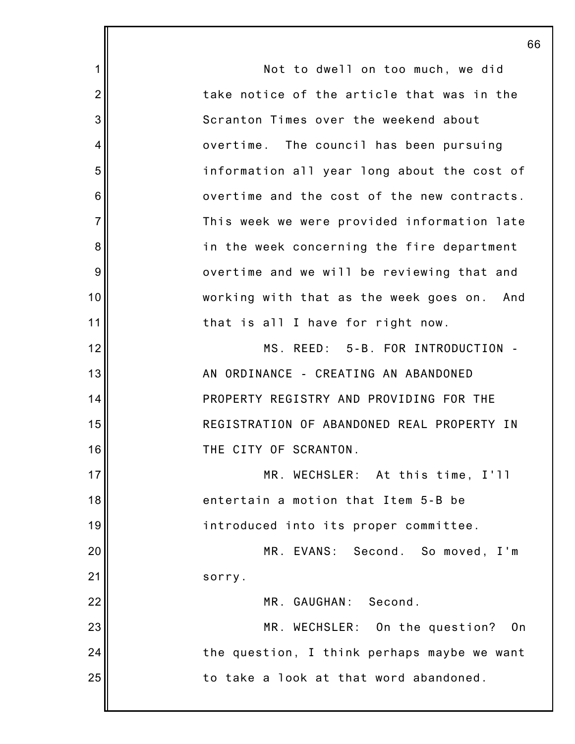1 2 3 4 5 6 7 8 9 10 11 12 13 14 15 16 17 18 19 20 21 22 23 24 25 Not to dwell on too much, we did take notice of the article that was in the Scranton Times over the weekend about overtime. The council has been pursuing information all year long about the cost of overtime and the cost of the new contracts. This week we were provided information late in the week concerning the fire department overtime and we will be reviewing that and working with that as the week goes on. And that is all I have for right now. MS. REED: 5-B. FOR INTRODUCTION - AN ORDINANCE - CREATING AN ABANDONED PROPERTY REGISTRY AND PROVIDING FOR THE REGISTRATION OF ABANDONED REAL PROPERTY IN THE CITY OF SCRANTON. MR. WECHSLER: At this time, I'll entertain a motion that Item 5-B be introduced into its proper committee. MR. EVANS: Second. So moved, I'm sorry. MR. GAUGHAN: Second. MR. WECHSLER: On the question? On the question, I think perhaps maybe we want to take a look at that word abandoned.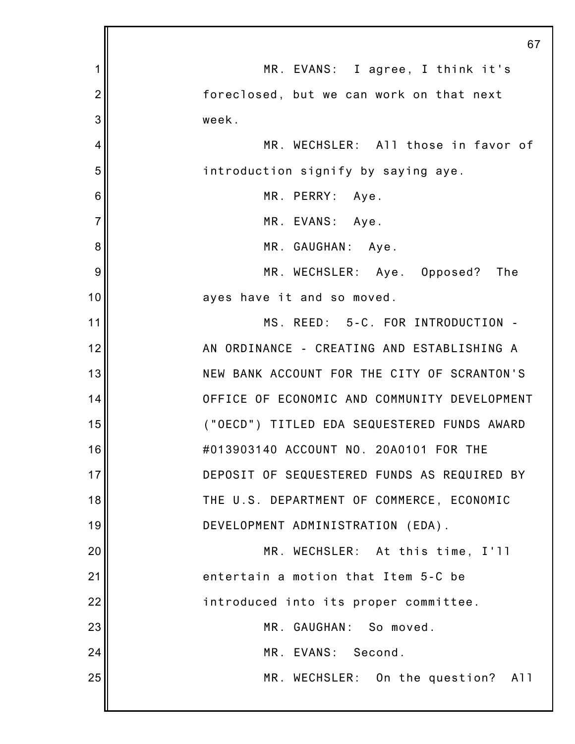|                | 67                                           |
|----------------|----------------------------------------------|
| 1              | MR. EVANS: I agree, I think it's             |
| $\overline{2}$ | foreclosed, but we can work on that next     |
| 3              | week.                                        |
| 4              | MR. WECHSLER: All those in favor of          |
| 5              | introduction signify by saying aye.          |
| 6              | MR. PERRY: Aye.                              |
| $\overline{7}$ | MR. EVANS: Aye.                              |
| 8              | MR. GAUGHAN: Aye.                            |
| 9              | MR. WECHSLER: Aye. Opposed? The              |
| 10             | ayes have it and so moved.                   |
| 11             | MS. REED: 5-C. FOR INTRODUCTION -            |
| 12             | AN ORDINANCE - CREATING AND ESTABLISHING A   |
| 13             | NEW BANK ACCOUNT FOR THE CITY OF SCRANTON'S  |
| 14             | OFFICE OF ECONOMIC AND COMMUNITY DEVELOPMENT |
| 15             | ("OECD") TITLED EDA SEQUESTERED FUNDS AWARD  |
| 16             | #013903140 ACCOUNT NO. 20A0101 FOR THE       |
| 17             | DEPOSIT OF SEQUESTERED FUNDS AS REQUIRED BY  |
| 18             | THE U.S. DEPARTMENT OF COMMERCE, ECONOMIC    |
| 19             | DEVELOPMENT ADMINISTRATION (EDA).            |
| 20             | MR. WECHSLER: At this time, I'll             |
| 21             | entertain a motion that Item 5-C be          |
| 22             | introduced into its proper committee.        |
| 23             | MR. GAUGHAN: So moved.                       |
| 24             | MR. EVANS: Second.                           |
| 25             | MR. WECHSLER: On the question? All           |
|                |                                              |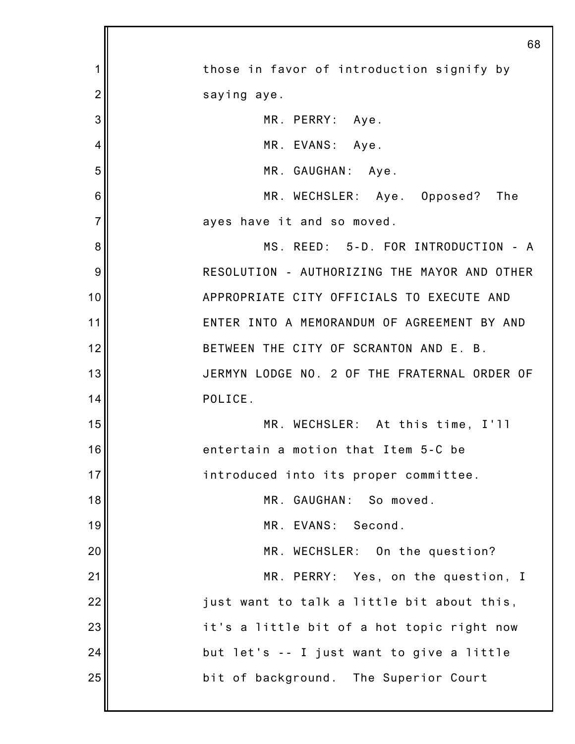|                | 68                                           |
|----------------|----------------------------------------------|
| 1              | those in favor of introduction signify by    |
| $\overline{2}$ | saying aye.                                  |
| 3              | MR. PERRY: Aye.                              |
| 4              | MR. EVANS: Aye.                              |
| 5              | MR. GAUGHAN: Aye.                            |
| 6              | MR. WECHSLER: Aye. Opposed? The              |
| $\overline{7}$ | ayes have it and so moved.                   |
| 8              | MS. REED: 5-D. FOR INTRODUCTION - A          |
| 9              | RESOLUTION - AUTHORIZING THE MAYOR AND OTHER |
| 10             | APPROPRIATE CITY OFFICIALS TO EXECUTE AND    |
| 11             | ENTER INTO A MEMORANDUM OF AGREEMENT BY AND  |
| 12             | BETWEEN THE CITY OF SCRANTON AND E. B.       |
| 13             | JERMYN LODGE NO. 2 OF THE FRATERNAL ORDER OF |
| 14             | POLICE.                                      |
| 15             | MR. WECHSLER: At this time, I'll             |
| 16             | entertain a motion that Item 5-C be          |
| 17             | introduced into its proper committee.        |
| 18             | MR. GAUGHAN: So moved.                       |
| 19             | MR. EVANS:<br>Second.                        |
| 20             | MR. WECHSLER: On the question?               |
| 21             | MR. PERRY: Yes, on the question, I           |
| 22             | just want to talk a little bit about this,   |
| 23             | it's a little bit of a hot topic right now   |
| 24             | but let's -- I just want to give a little    |
| 25             | bit of background. The Superior Court        |
|                |                                              |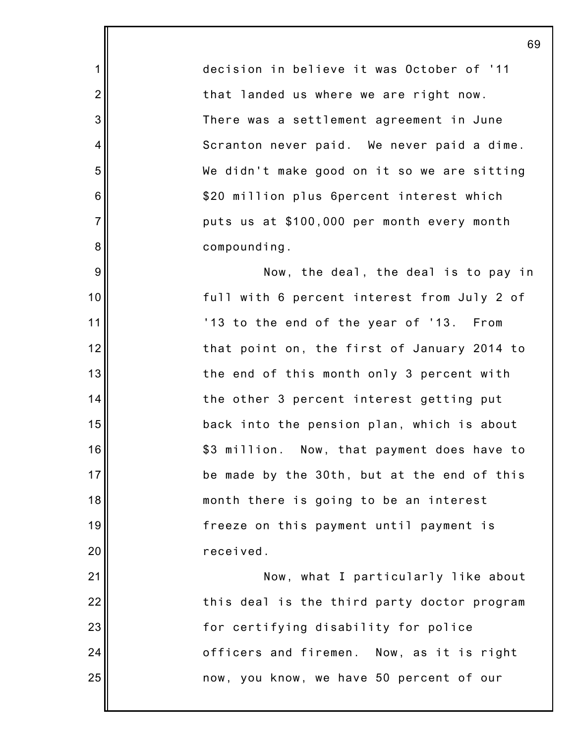decision in believe it was October of '11 that landed us where we are right now. There was a settlement agreement in June Scranton never paid. We never paid a dime. We didn't make good on it so we are sitting \$20 million plus 6percent interest which puts us at \$100,000 per month every month compounding.

1

2

3

4

5

6

7

8

9

10

11

12

13

14

15

16

17

18

19

20

21

22

23

24

25

Now, the deal, the deal is to pay in full with 6 percent interest from July 2 of '13 to the end of the year of '13. From that point on, the first of January 2014 to the end of this month only 3 percent with the other 3 percent interest getting put back into the pension plan, which is about \$3 million. Now, that payment does have to be made by the 30th, but at the end of this month there is going to be an interest freeze on this payment until payment is received.

Now, what I particularly like about this deal is the third party doctor program for certifying disability for police officers and firemen. Now, as it is right now, you know, we have 50 percent of our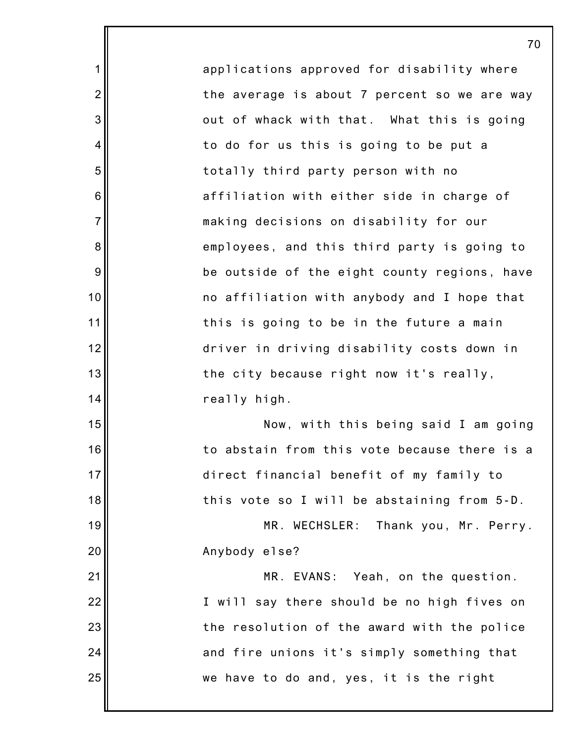applications approved for disability where the average is about 7 percent so we are way out of whack with that. What this is going to do for us this is going to be put a totally third party person with no affiliation with either side in charge of making decisions on disability for our employees, and this third party is going to be outside of the eight county regions, have no affiliation with anybody and I hope that this is going to be in the future a main driver in driving disability costs down in the city because right now it's really, really high. Now, with this being said I am going to abstain from this vote because there is a direct financial benefit of my family to this vote so I will be abstaining from 5-D. MR. WECHSLER: Thank you, Mr. Perry. Anybody else? MR. EVANS: Yeah, on the question. I will say there should be no high fives on the resolution of the award with the police and fire unions it's simply something that we have to do and, yes, it is the right

1

2

3

4

5

6

7

8

9

10

11

12

13

14

15

16

17

18

19

20

21

22

23

24

25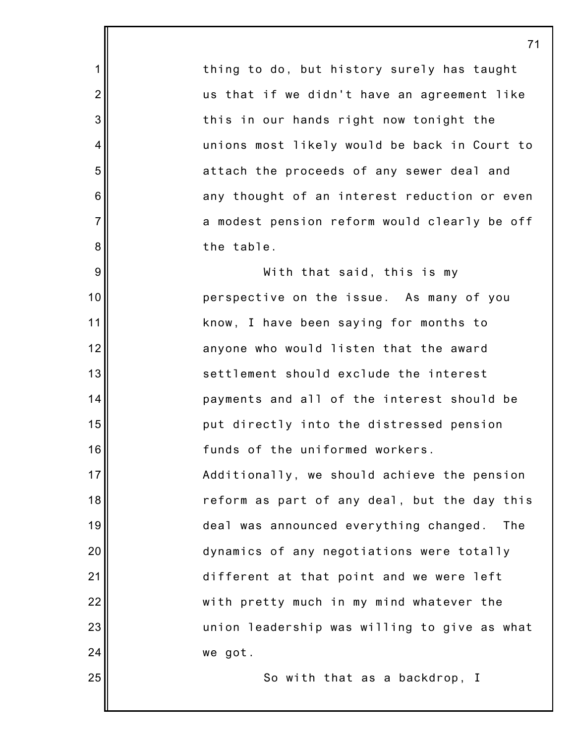thing to do, but history surely has taught us that if we didn't have an agreement like this in our hands right now tonight the unions most likely would be back in Court to attach the proceeds of any sewer deal and any thought of an interest reduction or even a modest pension reform would clearly be off the table.

1

2

3

4

5

6

7

8

9

10

11

12

13

14

15

16

17

18

19

20

21

22

23

24

25

With that said, this is my perspective on the issue. As many of you know, I have been saying for months to anyone who would listen that the award settlement should exclude the interest payments and all of the interest should be put directly into the distressed pension funds of the uniformed workers. Additionally, we should achieve the pension reform as part of any deal, but the day this deal was announced everything changed. The dynamics of any negotiations were totally different at that point and we were left with pretty much in my mind whatever the union leadership was willing to give as what we got.

So with that as a backdrop, I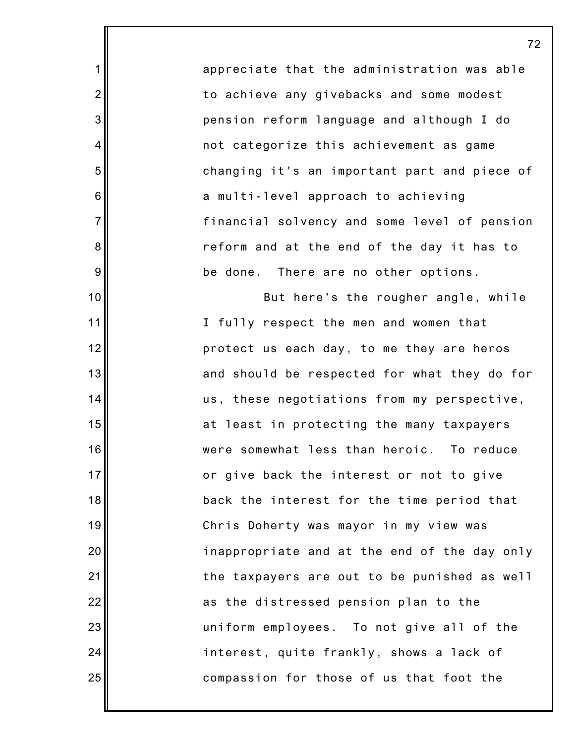appreciate that the administration was able to achieve any givebacks and some modest pension reform language and although I do not categorize this achievement as game changing it's an important part and piece of a multi-level approach to achieving financial solvency and some level of pension reform and at the end of the day it has to be done. There are no other options.

72

1

2

3

4

5

6

7

8

9

10

11

12

13

14

15

16

17

18

19

20

21

22

23

24

25

But here's the rougher angle, while I fully respect the men and women that protect us each day, to me they are heros and should be respected for what they do for us, these negotiations from my perspective, at least in protecting the many taxpayers were somewhat less than heroic. To reduce or give back the interest or not to give back the interest for the time period that Chris Doherty was mayor in my view was inappropriate and at the end of the day only the taxpayers are out to be punished as well as the distressed pension plan to the uniform employees. To not give all of the interest, quite frankly, shows a lack of compassion for those of us that foot the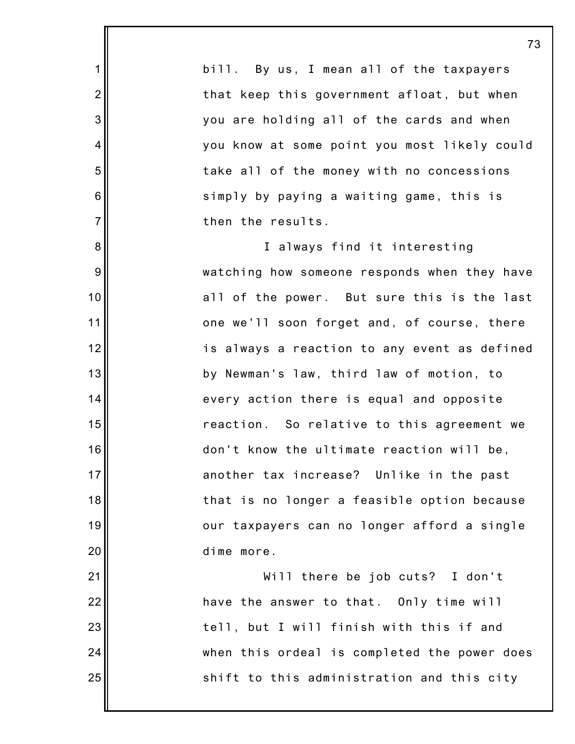bill. By us, I mean all of the taxpayers that keep this government afloat, but when you are holding all of the cards and when you know at some point you most likely could take all of the money with no concessions simply by paying a waiting game, this is then the results. I always find it interesting

1

2

3

4

5

6

7

8

9

10

11

12

13

14

15

16

17

18

19

20

21

22

23

24

25

watching how someone responds when they have all of the power. But sure this is the last one we'll soon forget and, of course, there is always a reaction to any event as defined by Newman's law, third law of motion, to every action there is equal and opposite reaction. So relative to this agreement we don't know the ultimate reaction will be, another tax increase? Unlike in the past that is no longer a feasible option because our taxpayers can no longer afford a single dime more.

Will there be job cuts? I don't have the answer to that. Only time will tell, but I will finish with this if and when this ordeal is completed the power does shift to this administration and this city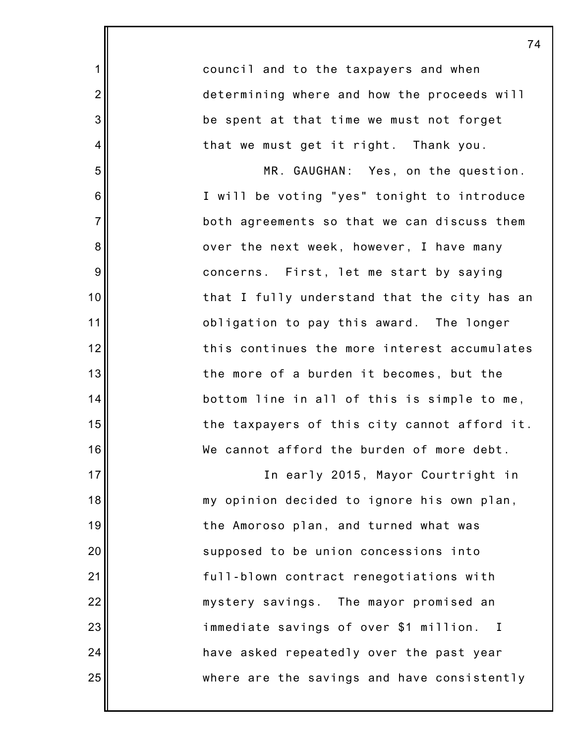|                  | 7                                            |
|------------------|----------------------------------------------|
| 1                | council and to the taxpayers and when        |
| $\overline{c}$   | determining where and how the proceeds will  |
| $\mathbf{3}$     | be spent at that time we must not forget     |
| 4                | that we must get it right. Thank you.        |
| 5                | MR. GAUGHAN: Yes, on the question.           |
| $6\phantom{1}6$  | I will be voting "yes" tonight to introduce  |
| $\overline{7}$   | both agreements so that we can discuss them  |
| $\bf 8$          | over the next week, however, I have many     |
| $\boldsymbol{9}$ | concerns. First, let me start by saying      |
| 10               | that I fully understand that the city has an |
| 11               | obligation to pay this award. The longer     |
| 12               | this continues the more interest accumulates |
| 13               | the more of a burden it becomes, but the     |
| 14               | bottom line in all of this is simple to me,  |
| 15               | the taxpayers of this city cannot afford it. |
| 16               | We cannot afford the burden of more debt.    |
| 17               | In early 2015, Mayor Courtright in           |
| 18               | my opinion decided to ignore his own plan,   |
| 19               | the Amoroso plan, and turned what was        |
| 20               | supposed to be union concessions into        |
| 21               | full-blown contract renegotiations with      |
| 22               | mystery savings. The mayor promised an       |
| 23               | immediate savings of over \$1 million. I     |
| 24               | have asked repeatedly over the past year     |
| 25               | where are the savings and have consistently  |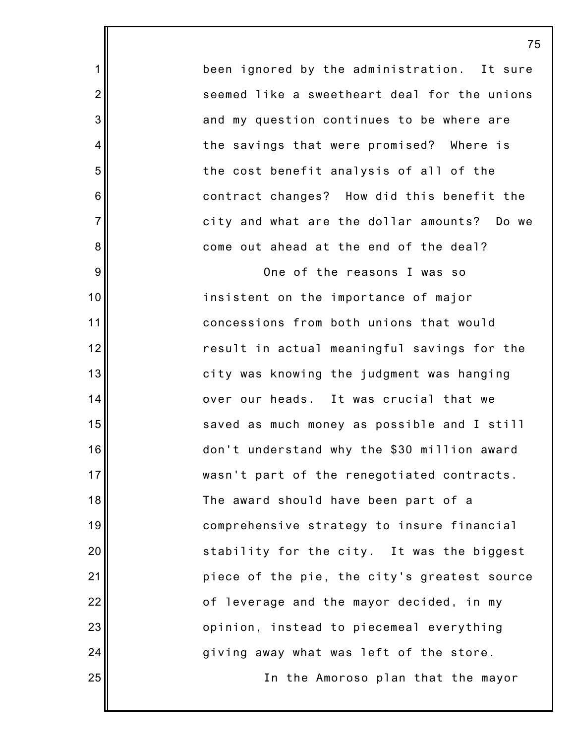been ignored by the administration. It sure seemed like a sweetheart deal for the unions and my question continues to be where are the savings that were promised? Where is the cost benefit analysis of all of the contract changes? How did this benefit the city and what are the dollar amounts? Do we come out ahead at the end of the deal?

1

2

3

4

5

6

7

8

9

10

11

12

13

14

15

16

17

18

19

20

21

22

23

24

25

One of the reasons I was so insistent on the importance of major concessions from both unions that would result in actual meaningful savings for the city was knowing the judgment was hanging over our heads. It was crucial that we saved as much money as possible and I still don't understand why the \$30 million award wasn't part of the renegotiated contracts. The award should have been part of a comprehensive strategy to insure financial stability for the city. It was the biggest piece of the pie, the city's greatest source of leverage and the mayor decided, in my opinion, instead to piecemeal everything giving away what was left of the store.

In the Amoroso plan that the mayor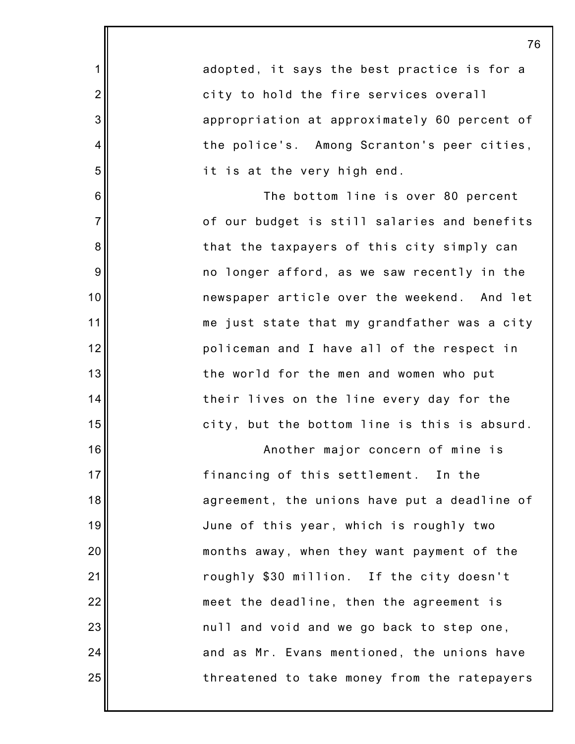| adopted, it says the best practice is for a  |
|----------------------------------------------|
| city to hold the fire services overall       |
| appropriation at approximately 60 percent of |
| the police's. Among Scranton's peer cities,  |
| it is at the very high end.                  |
| The bottom line is over 80 percent           |
| of our budget is still salaries and benefits |
| that the taxpayers of this city simply can   |
| no longer afford, as we saw recently in the  |
| newspaper article over the weekend. And let  |
| me just state that my grandfather was a city |

1

2

3

4

5

6

7

8

9

10

11

12

13

14

15

16

17

18

19

20

21

22

23

24

25

me just state that my grandfather was a city policeman and I have all of the respect in the world for the men and women who put their lives on the line every day for the city, but the bottom line is this is absurd.

Another major concern of mine is financing of this settlement. In the agreement, the unions have put a deadline of June of this year, which is roughly two months away, when they want payment of the roughly \$30 million. If the city doesn't meet the deadline, then the agreement is null and void and we go back to step one, and as Mr. Evans mentioned, the unions have threatened to take money from the ratepayers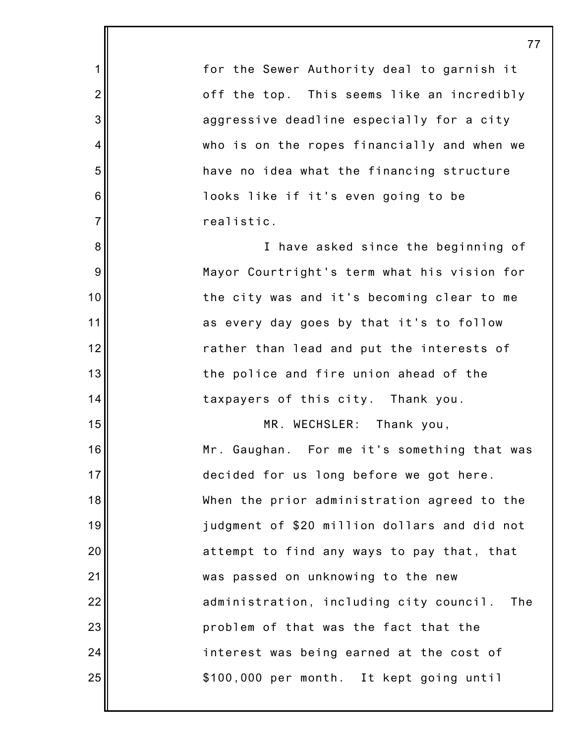for the Sewer Authority deal to garnish it off the top. This seems like an incredibly aggressive deadline especially for a city who is on the ropes financially and when we have no idea what the financing structure looks like if it's even going to be realistic.

1

2

3

4

5

6

7

8

9

10

11

12

13

14

15

16

17

18

19

20

21

22

23

24

25

I have asked since the beginning of Mayor Courtright's term what his vision for the city was and it's becoming clear to me as every day goes by that it's to follow rather than lead and put the interests of the police and fire union ahead of the taxpayers of this city. Thank you.

MR. WECHSLER: Thank you, Mr. Gaughan. For me it's something that was decided for us long before we got here. When the prior administration agreed to the judgment of \$20 million dollars and did not attempt to find any ways to pay that, that was passed on unknowing to the new administration, including city council. The problem of that was the fact that the interest was being earned at the cost of \$100,000 per month. It kept going until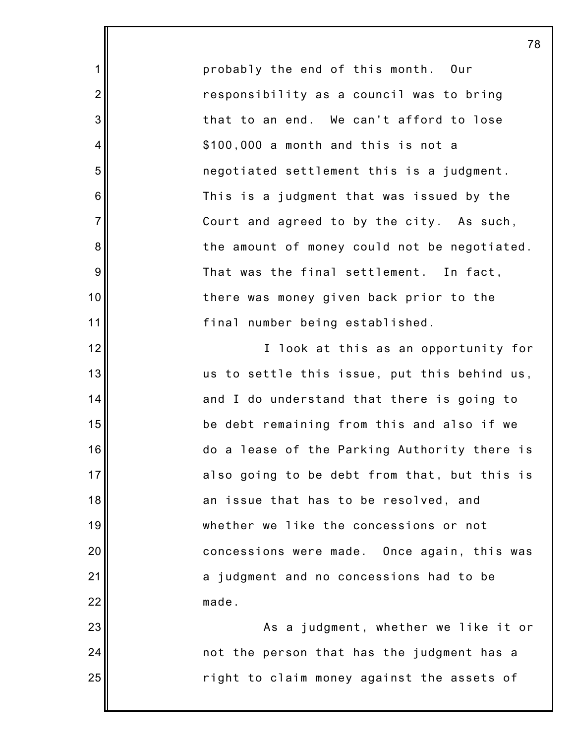probably the end of this month. Our responsibility as a council was to bring that to an end. We can't afford to lose \$100,000 a month and this is not a negotiated settlement this is a judgment. This is a judgment that was issued by the Court and agreed to by the city. As such, the amount of money could not be negotiated. That was the final settlement. In fact, there was money given back prior to the final number being established.

1

2

3

4

5

6

7

8

9

10

11

12

13

14

15

16

17

18

19

20

21

22

23

24

25

I look at this as an opportunity for us to settle this issue, put this behind us, and I do understand that there is going to be debt remaining from this and also if we do a lease of the Parking Authority there is also going to be debt from that, but this is an issue that has to be resolved, and whether we like the concessions or not concessions were made. Once again, this was a judgment and no concessions had to be made.

As a judgment, whether we like it or not the person that has the judgment has a right to claim money against the assets of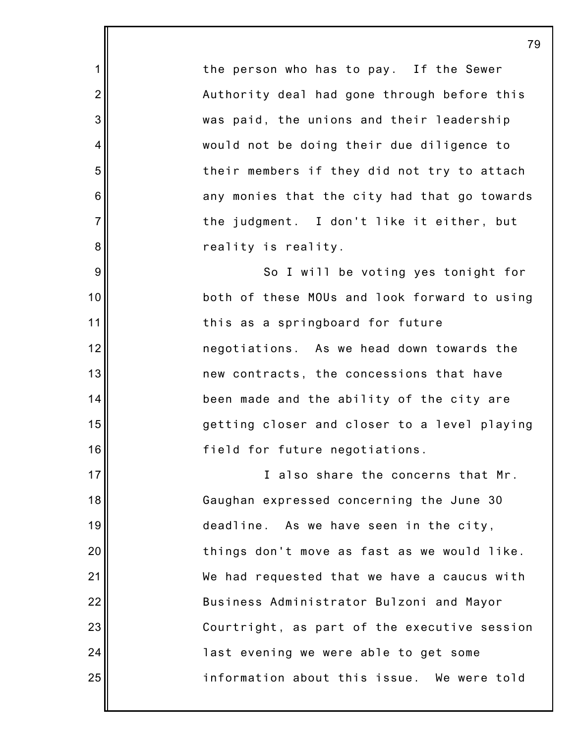the person who has to pay. If the Sewer Authority deal had gone through before this was paid, the unions and their leadership would not be doing their due diligence to their members if they did not try to attach any monies that the city had that go towards the judgment. I don't like it either, but reality is reality.

1

2

3

4

5

6

7

8

9

10

11

12

13

14

15

16

17

18

19

20

21

22

23

24

25

So I will be voting yes tonight for both of these MOUs and look forward to using this as a springboard for future negotiations. As we head down towards the new contracts, the concessions that have been made and the ability of the city are getting closer and closer to a level playing field for future negotiations.

I also share the concerns that Mr. Gaughan expressed concerning the June 30 deadline. As we have seen in the city, things don't move as fast as we would like. We had requested that we have a caucus with Business Administrator Bulzoni and Mayor Courtright, as part of the executive session last evening we were able to get some information about this issue. We were told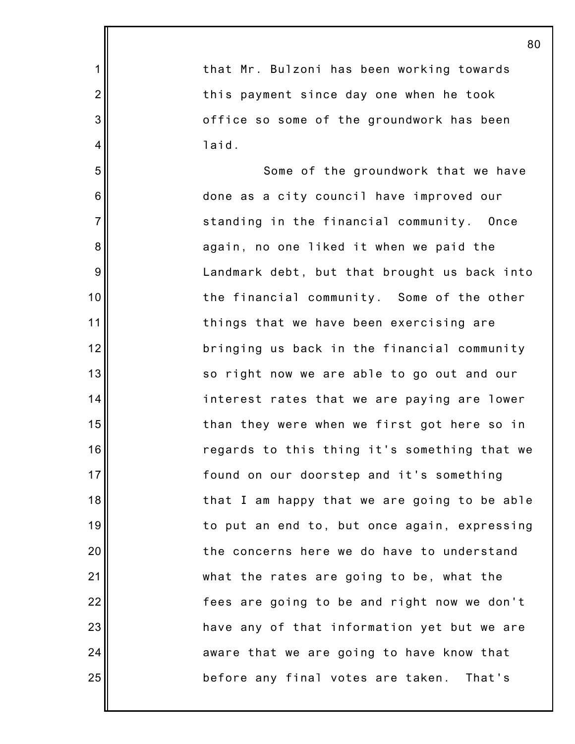|                 | 80                                           |
|-----------------|----------------------------------------------|
| $\mathbf 1$     | that Mr. Bulzoni has been working towards    |
| $\overline{2}$  | this payment since day one when he took      |
| 3               | office so some of the groundwork has been    |
| 4               | laid.                                        |
| 5               | Some of the groundwork that we have          |
| $6\phantom{1}6$ | done as a city council have improved our     |
| $\overline{7}$  | standing in the financial community. Once    |
| 8               | again, no one liked it when we paid the      |
| 9               | Landmark debt, but that brought us back into |
| 10              | the financial community. Some of the other   |
| 11              | things that we have been exercising are      |
| 12              | bringing us back in the financial community  |
| 13              | so right now we are able to go out and our   |
| 14              | interest rates that we are paying are lower  |
| 15              | than they were when we first got here so in  |
| 16              | regards to this thing it's something that we |
| 17              | found on our doorstep and it's something     |
| 18              | that I am happy that we are going to be able |
| 19              | to put an end to, but once again, expressing |
| 20              | the concerns here we do have to understand   |
| 21              | what the rates are going to be, what the     |
| 22              | fees are going to be and right now we don't  |
| 23              | have any of that information yet but we are  |
| 24              | aware that we are going to have know that    |
| 25              | before any final votes are taken.<br>That's  |
|                 |                                              |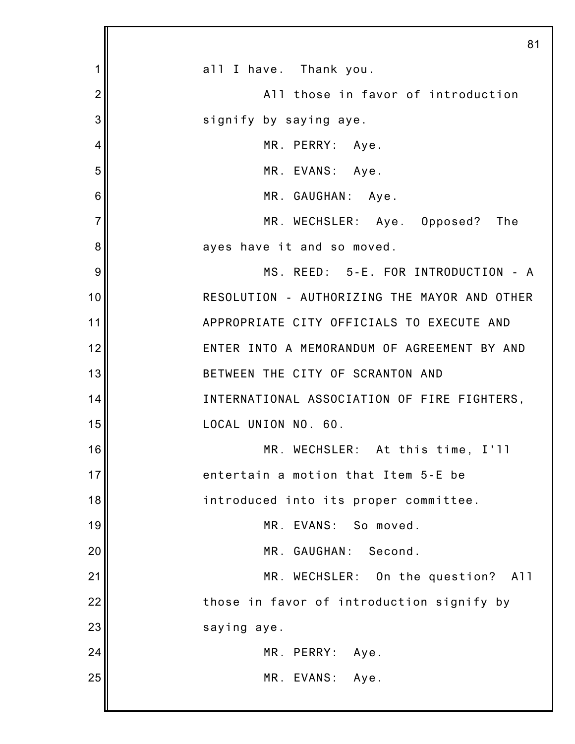|                | 81                                           |
|----------------|----------------------------------------------|
| 1              | all I have. Thank you.                       |
| $\overline{2}$ | All those in favor of introduction           |
| 3              | signify by saying aye.                       |
| 4              | MR. PERRY: Aye.                              |
| 5              | MR. EVANS: Aye.                              |
| 6              | MR. GAUGHAN: Aye.                            |
| $\overline{7}$ | MR. WECHSLER: Aye. Opposed? The              |
| 8              | ayes have it and so moved.                   |
| 9              | MS. REED: 5-E. FOR INTRODUCTION - A          |
| 10             | RESOLUTION - AUTHORIZING THE MAYOR AND OTHER |
| 11             | APPROPRIATE CITY OFFICIALS TO EXECUTE AND    |
| 12             | ENTER INTO A MEMORANDUM OF AGREEMENT BY AND  |
| 13             | BETWEEN THE CITY OF SCRANTON AND             |
| 14             | INTERNATIONAL ASSOCIATION OF FIRE FIGHTERS,  |
| 15             | LOCAL UNION NO. 60.                          |
| 16             | MR. WECHSLER: At this time, I'll             |
| 17             | entertain a motion that Item 5-E be          |
| 18             | introduced into its proper committee.        |
| 19             | MR. EVANS: So moved.                         |
| 20             | MR. GAUGHAN:<br>Second.                      |
| 21             | MR. WECHSLER: On the question? All           |
| 22             | those in favor of introduction signify by    |
| 23             | saying aye.                                  |
| 24             | MR. PERRY: Aye.                              |
| 25             | MR. EVANS: Aye.                              |
|                |                                              |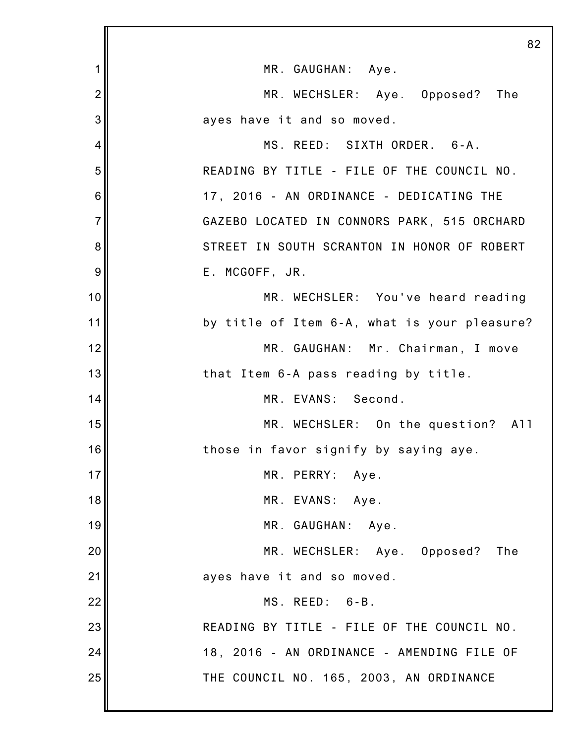|                | 82                                           |
|----------------|----------------------------------------------|
| 1              | MR. GAUGHAN: Aye.                            |
| $\overline{2}$ | MR. WECHSLER: Aye. Opposed? The              |
| 3              | ayes have it and so moved.                   |
| 4              | MS. REED: SIXTH ORDER. 6-A.                  |
| 5              | READING BY TITLE - FILE OF THE COUNCIL NO.   |
| 6              | 17, 2016 - AN ORDINANCE - DEDICATING THE     |
| $\overline{7}$ | GAZEBO LOCATED IN CONNORS PARK, 515 ORCHARD  |
| 8              | STREET IN SOUTH SCRANTON IN HONOR OF ROBERT  |
| 9              | E. MCGOFF, JR.                               |
| 10             | MR. WECHSLER: You've heard reading           |
| 11             | by title of Item 6-A, what is your pleasure? |
| 12             | MR. GAUGHAN: Mr. Chairman, I move            |
| 13             | that Item 6-A pass reading by title.         |
| 14             | MR. EVANS: Second.                           |
| 15             | MR. WECHSLER: On the question? All           |
| 16             | those in favor signify by saying aye.        |
| 17             | MR. PERRY:<br>Aye.                           |
| 18             | MR. EVANS: Aye.                              |
| 19             | MR. GAUGHAN: Aye.                            |
| 20             | MR. WECHSLER: Aye. Opposed? The              |
| 21             | ayes have it and so moved.                   |
| 22             | MS. REED: 6-B.                               |
| 23             | READING BY TITLE - FILE OF THE COUNCIL NO.   |
| 24             | 18, 2016 - AN ORDINANCE - AMENDING FILE OF   |
| 25             | THE COUNCIL NO. 165, 2003, AN ORDINANCE      |
|                |                                              |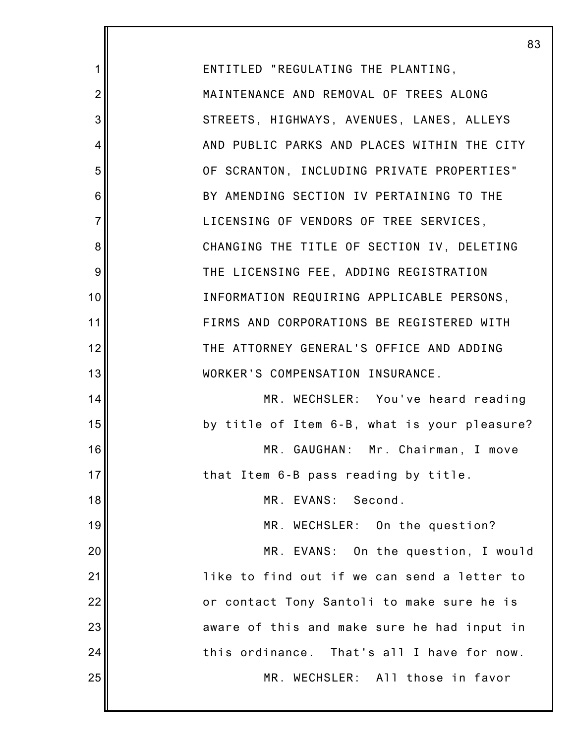83 ENTITLED "REGULATING THE PLANTING, MAINTENANCE AND REMOVAL OF TREES ALONG STREETS, HIGHWAYS, AVENUES, LANES, ALLEYS AND PUBLIC PARKS AND PLACES WITHIN THE CITY OF SCRANTON, INCLUDING PRIVATE PROPERTIES" BY AMENDING SECTION IV PERTAINING TO THE LICENSING OF VENDORS OF TREE SERVICES, CHANGING THE TITLE OF SECTION IV, DELETING THE LICENSING FEE, ADDING REGISTRATION INFORMATION REQUIRING APPLICABLE PERSONS, FIRMS AND CORPORATIONS BE REGISTERED WITH THE ATTORNEY GENERAL'S OFFICE AND ADDING WORKER'S COMPENSATION INSURANCE. MR. WECHSLER: You've heard reading by title of Item 6-B, what is your pleasure? MR. GAUGHAN: Mr. Chairman, I move that Item 6-B pass reading by title. MR. EVANS: Second. MR. WECHSLER: On the question? MR. EVANS: On the question, I would like to find out if we can send a letter to or contact Tony Santoli to make sure he is aware of this and make sure he had input in this ordinance. That's all I have for now. MR. WECHSLER: All those in favor

1

2

3

4

5

6

7

8

9

10

11

12

13

14

15

16

17

18

19

20

21

22

23

24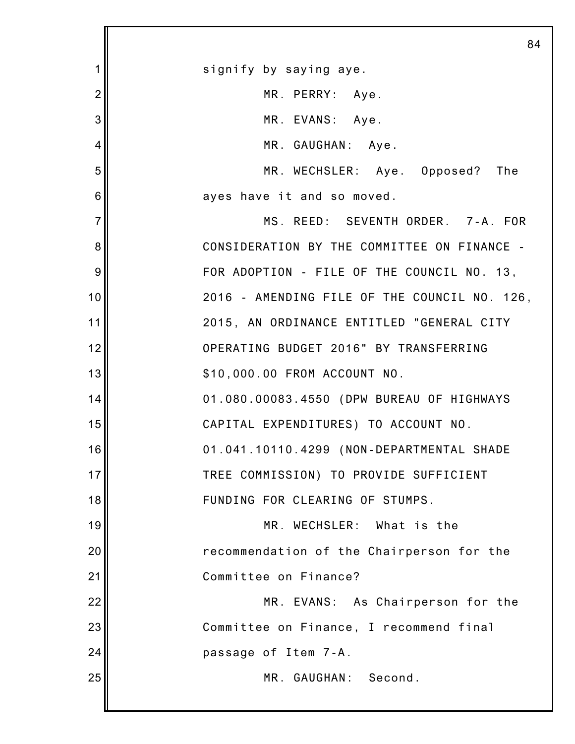|                | 84                                           |
|----------------|----------------------------------------------|
| 1              | signify by saying aye.                       |
| $\overline{2}$ | MR. PERRY: Aye.                              |
| 3              | MR. EVANS: Aye.                              |
| 4              | MR. GAUGHAN: Aye.                            |
| 5              | MR. WECHSLER: Aye. Opposed? The              |
| 6              | ayes have it and so moved.                   |
| $\overline{7}$ | MS. REED: SEVENTH ORDER. 7-A. FOR            |
| 8              | CONSIDERATION BY THE COMMITTEE ON FINANCE -  |
| 9              | FOR ADOPTION - FILE OF THE COUNCIL NO. 13,   |
| 10             | 2016 - AMENDING FILE OF THE COUNCIL NO. 126, |
| 11             | 2015, AN ORDINANCE ENTITLED "GENERAL CITY    |
| 12             | OPERATING BUDGET 2016" BY TRANSFERRING       |
| 13             | \$10,000.00 FROM ACCOUNT NO.                 |
| 14             | 01.080.00083.4550 (DPW BUREAU OF HIGHWAYS    |
| 15             | CAPITAL EXPENDITURES) TO ACCOUNT NO.         |
| 16             | 01.041.10110.4299 (NON-DEPARTMENTAL SHADE    |
| 17             | TREE COMMISSION) TO PROVIDE SUFFICIENT       |
| 18             | FUNDING FOR CLEARING OF STUMPS.              |
| 19             | MR. WECHSLER: What is the                    |
| 20             | recommendation of the Chairperson for the    |
| 21             | Committee on Finance?                        |
| 22             | MR. EVANS: As Chairperson for the            |
| 23             | Committee on Finance, I recommend final      |
| 24             | passage of Item 7-A.                         |
| 25             | MR. GAUGHAN: Second.                         |
|                |                                              |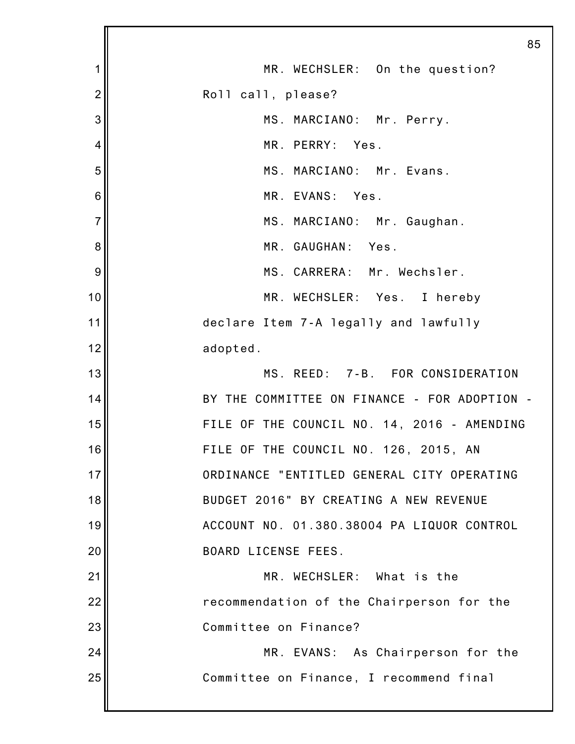|                | 85                                           |
|----------------|----------------------------------------------|
| 1              | MR. WECHSLER: On the question?               |
| $\overline{2}$ | Roll call, please?                           |
| 3              | MS. MARCIANO: Mr. Perry.                     |
| 4              | MR. PERRY: Yes.                              |
| 5              | MS. MARCIANO: Mr. Evans.                     |
| 6              | MR. EVANS: Yes.                              |
| $\overline{7}$ | MS. MARCIANO: Mr. Gaughan.                   |
| 8              | MR. GAUGHAN: Yes.                            |
| 9              | MS. CARRERA: Mr. Wechsler.                   |
| 10             | MR. WECHSLER: Yes. I hereby                  |
| 11             | declare Item 7-A legally and lawfully        |
| 12             | adopted.                                     |
| 13             | MS. REED: 7-B. FOR CONSIDERATION             |
| 14             | BY THE COMMITTEE ON FINANCE - FOR ADOPTION - |
| 15             | FILE OF THE COUNCIL NO. 14, 2016 - AMENDING  |
| 16             | FILE OF THE COUNCIL NO. 126, 2015, AN        |
| 17             | ORDINANCE "ENTITLED GENERAL CITY OPERATING   |
| 18             | BUDGET 2016" BY CREATING A NEW REVENUE       |
| 19             | ACCOUNT NO. 01.380.38004 PA LIQUOR CONTROL   |
| 20             | BOARD LICENSE FEES.                          |
| 21             | MR. WECHSLER: What is the                    |
| 22             | recommendation of the Chairperson for the    |
| 23             | Committee on Finance?                        |
| 24             | MR. EVANS: As Chairperson for the            |
| 25             | Committee on Finance, I recommend final      |
|                |                                              |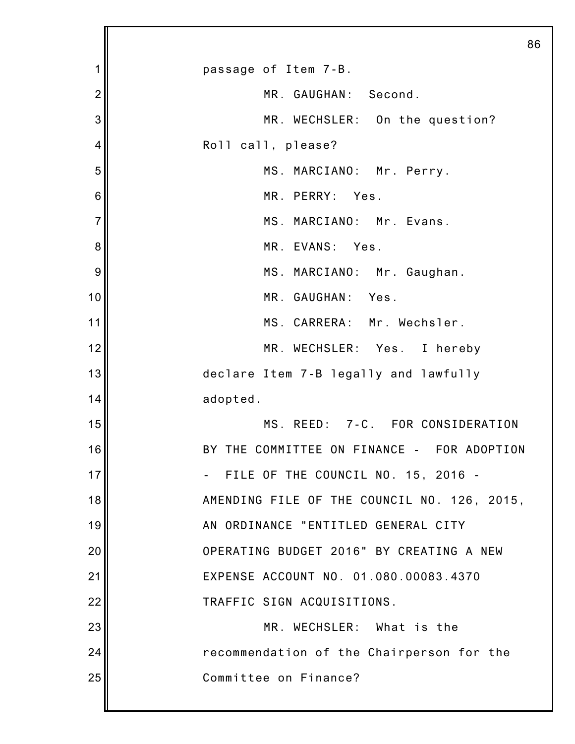|                | 86                                          |
|----------------|---------------------------------------------|
| 1              | passage of Item 7-B.                        |
| $\overline{2}$ | MR. GAUGHAN: Second.                        |
| 3              | MR. WECHSLER: On the question?              |
| 4              | Roll call, please?                          |
| 5              | MS. MARCIANO: Mr. Perry.                    |
| 6              | MR. PERRY: Yes.                             |
| $\overline{7}$ | MS. MARCIANO: Mr. Evans.                    |
| 8              | MR. EVANS: Yes.                             |
| 9              | MS. MARCIANO: Mr. Gaughan.                  |
| 10             | MR. GAUGHAN: Yes.                           |
| 11             | MS. CARRERA: Mr. Wechsler.                  |
| 12             | MR. WECHSLER: Yes. I hereby                 |
| 13             | declare Item 7-B legally and lawfully       |
| 14             | adopted.                                    |
| 15             | MS. REED: 7-C. FOR CONSIDERATION            |
| 16             | BY THE COMMITTEE ON FINANCE - FOR ADOPTION  |
| 17             | FILE OF THE COUNCIL NO. 15, 2016 -          |
| 18             | AMENDING FILE OF THE COUNCIL NO. 126, 2015, |
| 19             | AN ORDINANCE "ENTITLED GENERAL CITY         |
| 20             | OPERATING BUDGET 2016" BY CREATING A NEW    |
| 21             | EXPENSE ACCOUNT NO. 01.080.00083.4370       |
| 22             | TRAFFIC SIGN ACQUISITIONS.                  |
| 23             | MR. WECHSLER: What is the                   |
| 24             | recommendation of the Chairperson for the   |
| 25             | Committee on Finance?                       |
|                |                                             |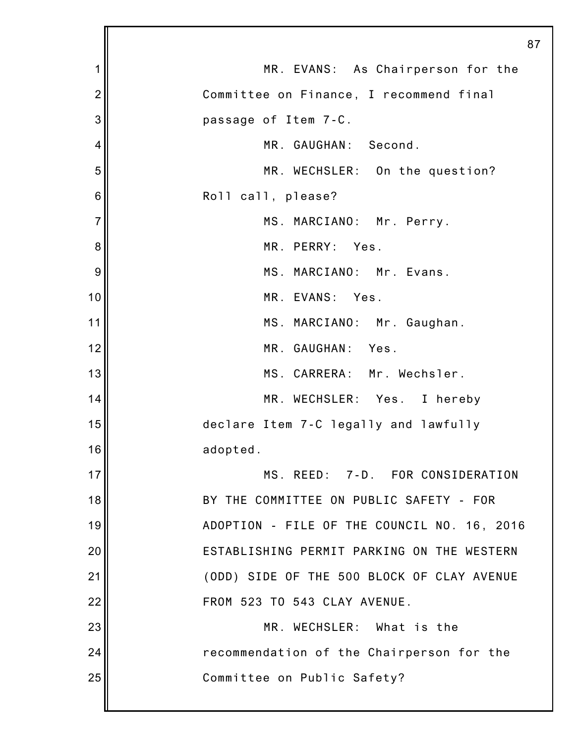|                | 87                                          |
|----------------|---------------------------------------------|
| 1              | MR. EVANS: As Chairperson for the           |
| $\overline{2}$ | Committee on Finance, I recommend final     |
| 3              | passage of Item 7-C.                        |
| 4              | MR. GAUGHAN: Second.                        |
| 5              | MR. WECHSLER: On the question?              |
| 6              | Roll call, please?                          |
| $\overline{7}$ | MS. MARCIANO: Mr. Perry.                    |
| 8              | MR. PERRY: Yes.                             |
| 9              | MS. MARCIANO: Mr. Evans.                    |
| 10             | MR. EVANS: Yes.                             |
| 11             | MS. MARCIANO: Mr. Gaughan.                  |
| 12             | MR. GAUGHAN: Yes.                           |
| 13             | MS. CARRERA: Mr. Wechsler.                  |
| 14             | MR. WECHSLER: Yes. I hereby                 |
| 15             | declare Item 7-C legally and lawfully       |
| 16             | adopted.                                    |
| 17             | MS. REED: 7-D. FOR CONSIDERATION            |
| 18             | BY THE COMMITTEE ON PUBLIC SAFETY - FOR     |
| 19             | ADOPTION - FILE OF THE COUNCIL NO. 16, 2016 |
| 20             | ESTABLISHING PERMIT PARKING ON THE WESTERN  |
| 21             | (ODD) SIDE OF THE 500 BLOCK OF CLAY AVENUE  |
| 22             | FROM 523 TO 543 CLAY AVENUE.                |
| 23             | MR. WECHSLER: What is the                   |
| 24             | recommendation of the Chairperson for the   |
| 25             | Committee on Public Safety?                 |
|                |                                             |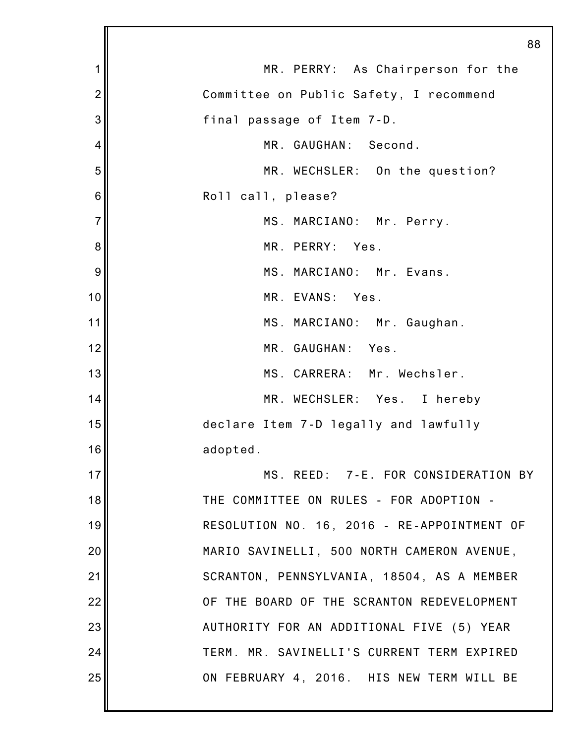|                | 88                                          |
|----------------|---------------------------------------------|
| 1              | MR. PERRY: As Chairperson for the           |
| $\overline{2}$ | Committee on Public Safety, I recommend     |
| 3              | final passage of Item 7-D.                  |
| $\overline{4}$ | MR. GAUGHAN: Second.                        |
| 5              | MR. WECHSLER: On the question?              |
| 6              | Roll call, please?                          |
| $\overline{7}$ | MS. MARCIANO: Mr. Perry.                    |
| 8              | MR. PERRY: Yes.                             |
| 9              | MS. MARCIANO: Mr. Evans.                    |
| 10             | MR. EVANS: Yes.                             |
| 11             | MS. MARCIANO: Mr. Gaughan.                  |
| 12             | MR. GAUGHAN: Yes.                           |
| 13             | MS. CARRERA: Mr. Wechsler.                  |
| 14             | MR. WECHSLER: Yes. I hereby                 |
| 15             | declare Item 7-D legally and lawfully       |
| 16             | adopted.                                    |
| 17             | MS. REED: 7-E. FOR CONSIDERATION BY         |
| 18             | THE COMMITTEE ON RULES - FOR ADOPTION -     |
| 19             | RESOLUTION NO. 16, 2016 - RE-APPOINTMENT OF |
| 20             | MARIO SAVINELLI, 500 NORTH CAMERON AVENUE,  |
| 21             | SCRANTON, PENNSYLVANIA, 18504, AS A MEMBER  |
| 22             | OF THE BOARD OF THE SCRANTON REDEVELOPMENT  |
| 23             | AUTHORITY FOR AN ADDITIONAL FIVE (5) YEAR   |
| 24             | TERM. MR. SAVINELLI'S CURRENT TERM EXPIRED  |
| 25             | ON FEBRUARY 4, 2016. HIS NEW TERM WILL BE   |
|                |                                             |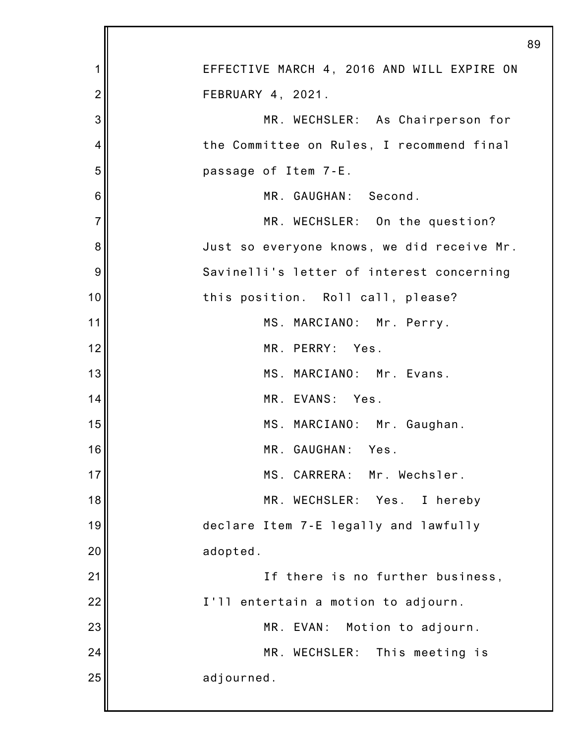| 1              | EFFECTIVE MARCH 4, 2016 AND WILL EXPIRE ON |
|----------------|--------------------------------------------|
| $\overline{2}$ | FEBRUARY 4, 2021.                          |
| 3              | MR. WECHSLER: As Chairperson for           |
| 4              | the Committee on Rules, I recommend final  |
| 5              | passage of Item 7-E.                       |
| 6              | MR. GAUGHAN: Second.                       |
| $\overline{7}$ | MR. WECHSLER: On the question?             |
| 8              | Just so everyone knows, we did receive Mr. |
| 9              | Savinelli's letter of interest concerning  |
| 10             | this position. Roll call, please?          |
| 11             | MS. MARCIANO: Mr. Perry.                   |
| 12             | MR. PERRY: Yes.                            |
| 13             | MS. MARCIANO: Mr. Evans.                   |
| 14             | MR. EVANS: Yes.                            |
| 15             | MS. MARCIANO: Mr. Gaughan.                 |
| 16             | MR. GAUGHAN:<br>Yes.                       |
| 17             | MS. CARRERA: Mr. Wechsler.                 |
| 18             | MR. WECHSLER:<br>Yes.<br>I hereby          |
| 19             | declare Item 7-E legally and lawfully      |
| 20             | adopted.                                   |
| 21             | If there is no further business,           |
| 22             | I'll entertain a motion to adjourn.        |
| 23             | MR. EVAN:<br>Motion to adjourn.            |
| 24             | MR.<br>WECHSLER: This meeting is           |
| 25             | adjourned.                                 |
|                |                                            |